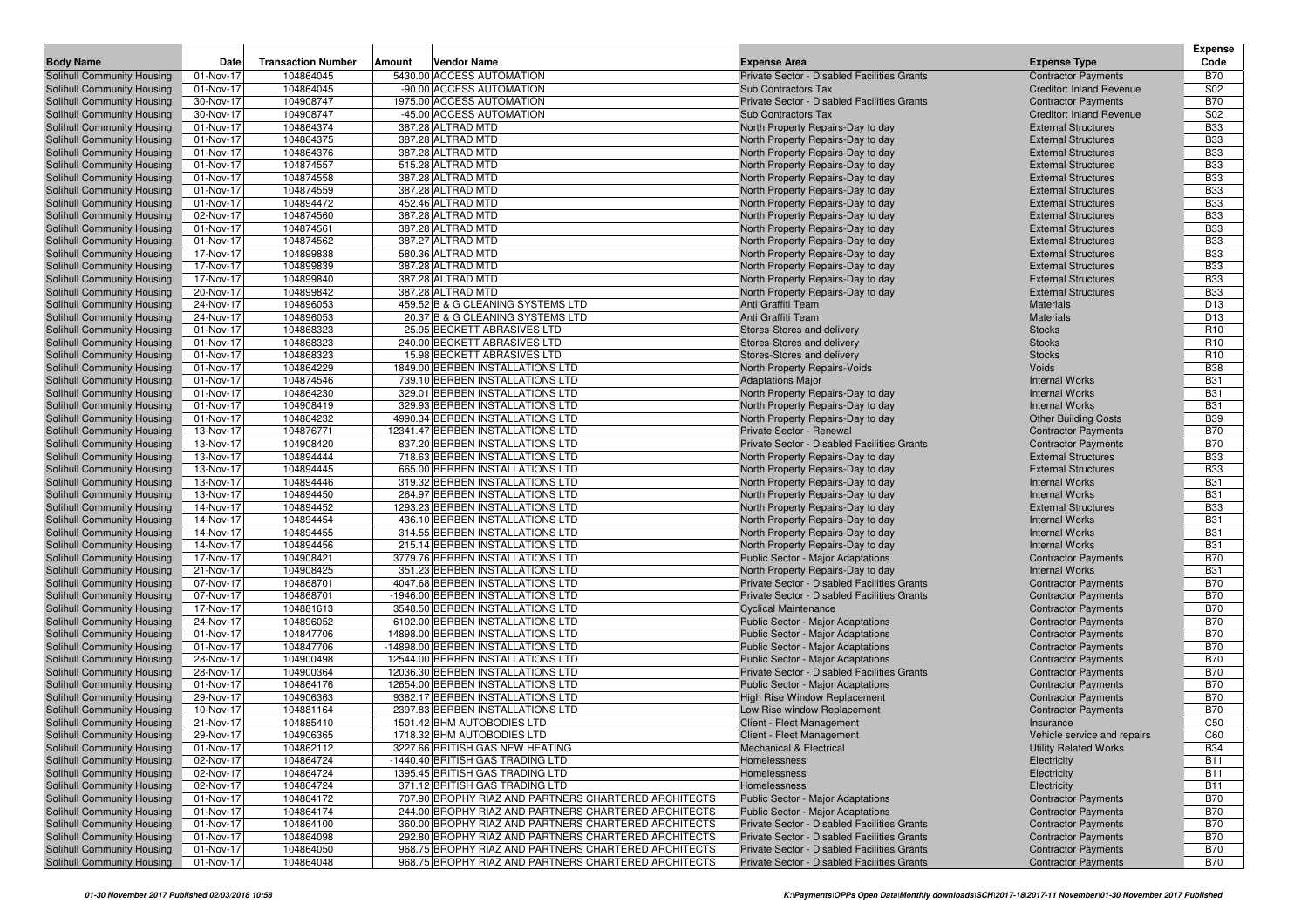|                                                          |                         |                           |        |                                                                     |                                                                        |                                                     | <b>Expense</b>           |
|----------------------------------------------------------|-------------------------|---------------------------|--------|---------------------------------------------------------------------|------------------------------------------------------------------------|-----------------------------------------------------|--------------------------|
| <b>Body Name</b>                                         | Date                    | <b>Transaction Number</b> | Amount | Vendor Name                                                         | <b>Expense Area</b>                                                    | <b>Expense Type</b>                                 | Code                     |
| Solihull Community Housing                               | 01-Nov-17               | 104864045                 |        | 5430.00 ACCESS AUTOMATION                                           | Private Sector - Disabled Facilities Grants                            | <b>Contractor Payments</b>                          | <b>B70</b>               |
| Solihull Community Housing                               | 01-Nov-17               | 104864045                 |        | -90.00 ACCESS AUTOMATION                                            | <b>Sub Contractors Tax</b>                                             | <b>Creditor: Inland Revenue</b>                     | S <sub>02</sub>          |
| Solihull Community Housing                               | 30-Nov-17               | 104908747                 |        | 1975.00 ACCESS AUTOMATION                                           | Private Sector - Disabled Facilities Grants                            | <b>Contractor Payments</b>                          | <b>B70</b>               |
| Solihull Community Housing                               | 30-Nov-17               | 104908747                 |        | -45.00 ACCESS AUTOMATION                                            | Sub Contractors Tax                                                    | <b>Creditor: Inland Revenue</b>                     | S02                      |
| Solihull Community Housing                               | 01-Nov-17               | 104864374                 |        | 387.28 ALTRAD MTD                                                   | North Property Repairs-Day to day                                      | <b>External Structures</b>                          | <b>B33</b>               |
| Solihull Community Housing                               | 01-Nov-17               | 104864375                 |        | 387.28 ALTRAD MTD                                                   | North Property Repairs-Day to day                                      | <b>External Structures</b>                          | <b>B33</b>               |
| Solihull Community Housing                               | 01-Nov-17               | 104864376                 |        | 387.28 ALTRAD MTD                                                   | North Property Repairs-Day to day                                      | <b>External Structures</b>                          | <b>B33</b>               |
| Solihull Community Housing                               | 01-Nov-17               | 104874557                 |        | 515.28 ALTRAD MTD                                                   | North Property Repairs-Day to day                                      | <b>External Structures</b>                          | <b>B33</b>               |
| Solihull Community Housing                               | 01-Nov-17               | 104874558                 |        | 387.28 ALTRAD MTD                                                   | North Property Repairs-Day to day                                      | <b>External Structures</b>                          | <b>B33</b>               |
| Solihull Community Housing                               | 01-Nov-17               | 104874559                 |        | 387.28 ALTRAD MTD                                                   | North Property Repairs-Day to day                                      | <b>External Structures</b>                          | <b>B33</b>               |
| Solihull Community Housing                               | 01-Nov-17               | 104894472                 |        | 452.46 ALTRAD MTD                                                   | North Property Repairs-Day to day                                      | <b>External Structures</b>                          | <b>B33</b>               |
| Solihull Community Housing                               | 02-Nov-17               | 104874560                 |        | 387.28 ALTRAD MTD                                                   | North Property Repairs-Day to day                                      | <b>External Structures</b>                          | <b>B33</b>               |
| Solihull Community Housing                               | 01-Nov-17               | 104874561                 |        | 387.28 ALTRAD MTD                                                   | North Property Repairs-Day to day                                      | <b>External Structures</b>                          | <b>B33</b>               |
| Solihull Community Housing                               | 01-Nov-17               | 104874562                 |        | 387.27 ALTRAD MTD                                                   | North Property Repairs-Day to day                                      | <b>External Structures</b>                          | <b>B33</b>               |
| Solihull Community Housing                               | 17-Nov-17               | 104899838                 |        | 580.36 ALTRAD MTD                                                   | North Property Repairs-Day to day                                      | <b>External Structures</b>                          | <b>B33</b>               |
| Solihull Community Housing                               | 17-Nov-17               | 104899839                 |        | 387.28 ALTRAD MTD                                                   | North Property Repairs-Day to day                                      | <b>External Structures</b>                          | <b>B33</b>               |
| Solihull Community Housing                               | 17-Nov-17               | 104899840                 |        | 387.28 ALTRAD MTD                                                   | North Property Repairs-Day to day                                      | <b>External Structures</b>                          | <b>B33</b>               |
| Solihull Community Housing                               | 20-Nov-17               | 104899842                 |        | 387.28 ALTRAD MTD                                                   | North Property Repairs-Day to day                                      | <b>External Structures</b>                          | <b>B33</b>               |
| Solihull Community Housing                               | 24-Nov-17               | 104896053                 |        | 459.52 B & G CLEANING SYSTEMS LTD                                   | Anti Graffiti Team                                                     | Materials                                           | D <sub>13</sub>          |
| Solihull Community Housing                               | 24-Nov-17               | 104896053                 |        | 20.37 B & G CLEANING SYSTEMS LTD                                    | Anti Graffiti Team                                                     | <b>Materials</b>                                    | D13                      |
| Solihull Community Housing                               | 01-Nov-17               | 104868323                 |        | 25.95 BECKETT ABRASIVES LTD                                         | Stores-Stores and delivery                                             | <b>Stocks</b>                                       | R <sub>10</sub>          |
| Solihull Community Housing                               | 01-Nov-17               | 104868323                 |        | 240.00 BECKETT ABRASIVES LTD                                        | Stores-Stores and delivery                                             | <b>Stocks</b>                                       | R <sub>10</sub>          |
| Solihull Community Housing                               | 01-Nov-17               | 104868323                 |        | 15.98 BECKETT ABRASIVES LTD                                         | Stores-Stores and delivery                                             | <b>Stocks</b>                                       | R <sub>10</sub>          |
| Solihull Community Housing                               | 01-Nov-17               | 104864229                 |        | 1849.00 BERBEN INSTALLATIONS LTD                                    | North Property Repairs-Voids                                           | Voids                                               | <b>B38</b>               |
| Solihull Community Housing                               | 01-Nov-17               | 104874546                 |        | 739.10 BERBEN INSTALLATIONS LTD                                     | <b>Adaptations Major</b>                                               | <b>Internal Works</b>                               | <b>B31</b>               |
| Solihull Community Housing                               | 01-Nov-17               | 104864230                 |        | 329.01 BERBEN INSTALLATIONS LTD                                     | North Property Repairs-Day to day                                      | <b>Internal Works</b>                               | <b>B31</b>               |
| Solihull Community Housing                               | 01-Nov-17               | 104908419                 |        | 329.93 BERBEN INSTALLATIONS LTD                                     | North Property Repairs-Day to day                                      | <b>Internal Works</b>                               | <b>B31</b>               |
| Solihull Community Housing                               | 01-Nov-17               | 104864232                 |        | 4990.34 BERBEN INSTALLATIONS LTD                                    | North Property Repairs-Day to day                                      | <b>Other Building Costs</b>                         | <b>B39</b>               |
| Solihull Community Housing                               | 13-Nov-17               | 104876771                 |        | 12341.47 BERBEN INSTALLATIONS LTD                                   | Private Sector - Renewal                                               | <b>Contractor Payments</b>                          | <b>B70</b>               |
| Solihull Community Housing                               | 13-Nov-17               | 104908420                 |        | 837.20 BERBEN INSTALLATIONS LTD                                     | Private Sector - Disabled Facilities Grants                            | <b>Contractor Payments</b>                          | <b>B70</b>               |
| Solihull Community Housing                               | 13-Nov-17               | 104894444                 |        | 718.63 BERBEN INSTALLATIONS LTD                                     | North Property Repairs-Day to day                                      | <b>External Structures</b>                          | <b>B33</b>               |
| Solihull Community Housing                               | 13-Nov-17               | 104894445                 |        | 665.00 BERBEN INSTALLATIONS LTD                                     | North Property Repairs-Day to day                                      | <b>External Structures</b>                          | <b>B33</b>               |
| Solihull Community Housing                               | 13-Nov-17               | 104894446                 |        | 319.32 BERBEN INSTALLATIONS LTD                                     | North Property Repairs-Day to day                                      | <b>Internal Works</b>                               | <b>B31</b>               |
| Solihull Community Housing                               | 13-Nov-17               | 104894450                 |        | 264.97 BERBEN INSTALLATIONS LTD                                     | North Property Repairs-Day to day                                      | <b>Internal Works</b>                               | <b>B31</b>               |
| Solihull Community Housing                               | 14-Nov-17               | 104894452                 |        | 1293.23 BERBEN INSTALLATIONS LTD<br>436.10 BERBEN INSTALLATIONS LTD | North Property Repairs-Day to day                                      | <b>External Structures</b><br><b>Internal Works</b> | <b>B33</b><br><b>B31</b> |
| Solihull Community Housing                               | 14-Nov-17<br>14-Nov-17  | 104894454<br>104894455    |        | 314.55 BERBEN INSTALLATIONS LTD                                     | North Property Repairs-Day to day                                      | <b>Internal Works</b>                               | <b>B31</b>               |
| Solihull Community Housing<br>Solihull Community Housing | 14-Nov-17               | 104894456                 |        | 215.14 BERBEN INSTALLATIONS LTD                                     | North Property Repairs-Day to day                                      | <b>Internal Works</b>                               | <b>B31</b>               |
| Solihull Community Housing                               | 17-Nov-17               | 104908421                 |        | 3779.76 BERBEN INSTALLATIONS LTD                                    | North Property Repairs-Day to day<br>Public Sector - Major Adaptations | <b>Contractor Payments</b>                          | <b>B70</b>               |
| Solihull Community Housing                               | 21-Nov-17               | 104908425                 |        | 351.23 BERBEN INSTALLATIONS LTD                                     | North Property Repairs-Day to day                                      | <b>Internal Works</b>                               | <b>B31</b>               |
| Solihull Community Housing                               | 07-Nov-17               | 104868701                 |        | 4047.68 BERBEN INSTALLATIONS LTD                                    | Private Sector - Disabled Facilities Grants                            | <b>Contractor Payments</b>                          | <b>B70</b>               |
| Solihull Community Housing                               | $\overline{07}$ -Nov-17 | 104868701                 |        | -1946.00 BERBEN INSTALLATIONS LTD                                   | Private Sector - Disabled Facilities Grants                            | <b>Contractor Payments</b>                          | <b>B70</b>               |
| Solihull Community Housing                               | 17-Nov-17               | 104881613                 |        | 3548.50 BERBEN INSTALLATIONS LTD                                    | <b>Cyclical Maintenance</b>                                            | <b>Contractor Payments</b>                          | <b>B70</b>               |
| <b>Solihull Community Housing</b>                        | 24-Nov-17               | 104896052                 |        | 6102.00 BERBEN INSTALLATIONS LTD                                    | Public Sector - Major Adaptations                                      | <b>Contractor Payments</b>                          | <b>B70</b>               |
| Solihull Community Housing                               | 01-Nov-17               | 104847706                 |        | 14898.00 BERBEN INSTALLATIONS LTD                                   | Public Sector - Major Adaptations                                      | <b>Contractor Payments</b>                          | <b>B70</b>               |
| Solihull Community Housing                               | 01-Nov-17               | 104847706                 |        | -14898.00 BERBEN INSTALLATIONS LTD                                  | <b>Public Sector - Major Adaptations</b>                               | <b>Contractor Payments</b>                          | <b>B70</b>               |
| Solihull Community Housing                               | 28-Nov-17               | 104900498                 |        | 12544.00 BERBEN INSTALLATIONS LTD                                   | Public Sector - Major Adaptations                                      | <b>Contractor Payments</b>                          | <b>B70</b>               |
| Solihull Community Housing                               | 28-Nov-17               | 104900364                 |        | 12036.30 BERBEN INSTALLATIONS LTD                                   | Private Sector - Disabled Facilities Grants                            | <b>Contractor Payments</b>                          | <b>B70</b>               |
| Solihull Community Housing                               | 01-Nov-17               | 104864176                 |        | 12654.00 BERBEN INSTALLATIONS LTD                                   | <b>Public Sector - Major Adaptations</b>                               | <b>Contractor Payments</b>                          | <b>B70</b>               |
| Solihull Community Housing                               | 29-Nov-17               | 104906363                 |        | 9382.17 BERBEN INSTALLATIONS LTD                                    | High Rise Window Replacement                                           | <b>Contractor Payments</b>                          | <b>B70</b>               |
| Solihull Community Housing                               | 10-Nov-17               | 104881164                 |        | 2397.83 BERBEN INSTALLATIONS LTD                                    | Low Rise window Replacement                                            | <b>Contractor Payments</b>                          | <b>B70</b>               |
| Solihull Community Housing                               | 21-Nov-17               | 104885410                 |        | 1501.42 BHM AUTOBODIES LTD                                          | Client - Fleet Management                                              | Insurance                                           | C50                      |
| Solihull Community Housing                               | 29-Nov-17               | 104906365                 |        | 1718.32 BHM AUTOBODIES LTD                                          | Client - Fleet Management                                              | Vehicle service and repairs                         | C60                      |
| Solihull Community Housing                               | 01-Nov-17               | 104862112                 |        | 3227.66 BRITISH GAS NEW HEATING                                     | <b>Mechanical &amp; Electrical</b>                                     | <b>Utility Related Works</b>                        | <b>B34</b>               |
| Solihull Community Housing                               | 02-Nov-17               | 104864724                 |        | -1440.40 BRITISH GAS TRADING LTD                                    | Homelessness                                                           | Electricity                                         | <b>B11</b>               |
| Solihull Community Housing                               | 02-Nov-17               | 104864724                 |        | 1395.45 BRITISH GAS TRADING LTD                                     | Homelessness                                                           | Electricity                                         | <b>B11</b>               |
| Solihull Community Housing                               | 02-Nov-17               | 104864724                 |        | 371.12 BRITISH GAS TRADING LTD                                      | Homelessness                                                           | Electricity                                         | <b>B11</b>               |
| Solihull Community Housing                               | 01-Nov-17               | 104864172                 |        | 707.90 BROPHY RIAZ AND PARTNERS CHARTERED ARCHITECTS                | <b>Public Sector - Major Adaptations</b>                               | <b>Contractor Payments</b>                          | <b>B70</b>               |
| Solihull Community Housing                               | 01-Nov-17               | 104864174                 |        | 244.00 BROPHY RIAZ AND PARTNERS CHARTERED ARCHITECTS                | <b>Public Sector - Major Adaptations</b>                               | <b>Contractor Payments</b>                          | <b>B70</b>               |
| Solihull Community Housing                               | 01-Nov-17               | 104864100                 |        | 360.00 BROPHY RIAZ AND PARTNERS CHARTERED ARCHITECTS                | Private Sector - Disabled Facilities Grants                            | <b>Contractor Payments</b>                          | <b>B70</b>               |
| Solihull Community Housing                               | 01-Nov-17               | 104864098                 |        | 292.80 BROPHY RIAZ AND PARTNERS CHARTERED ARCHITECTS                | Private Sector - Disabled Facilities Grants                            | <b>Contractor Payments</b>                          | <b>B70</b>               |
| Solihull Community Housing                               | 01-Nov-17               | 104864050                 |        | 968.75 BROPHY RIAZ AND PARTNERS CHARTERED ARCHITECTS                | Private Sector - Disabled Facilities Grants                            | <b>Contractor Payments</b>                          | <b>B70</b>               |
| Solihull Community Housing                               | 01-Nov-17               | 104864048                 |        | 968.75 BROPHY RIAZ AND PARTNERS CHARTERED ARCHITECTS                | Private Sector - Disabled Facilities Grants                            | <b>Contractor Payments</b>                          | <b>B70</b>               |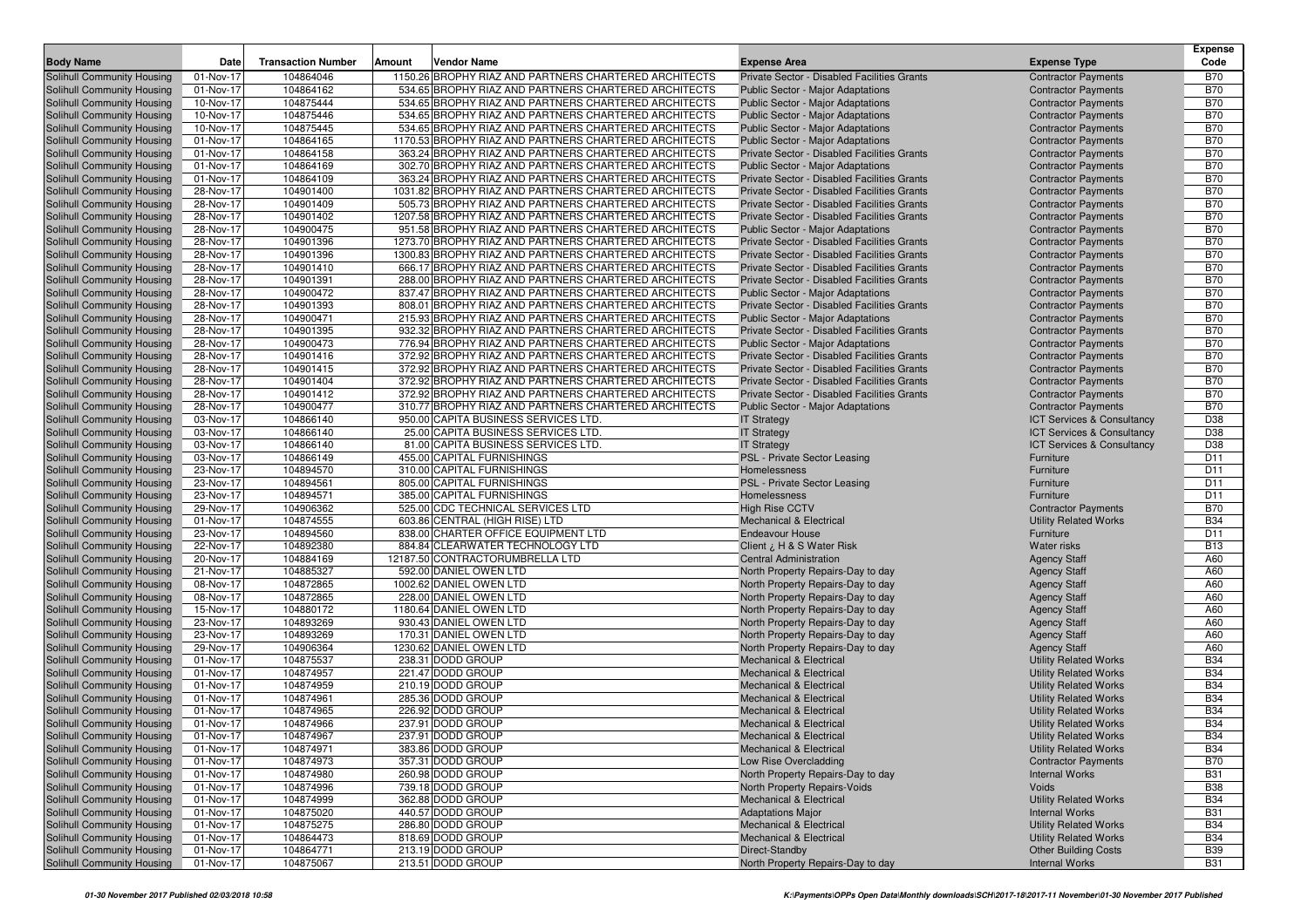|                                                          |                        |                           |        |                                                                                                               |                                                                                            |                                                            | <b>Expense</b>                     |
|----------------------------------------------------------|------------------------|---------------------------|--------|---------------------------------------------------------------------------------------------------------------|--------------------------------------------------------------------------------------------|------------------------------------------------------------|------------------------------------|
| <b>Body Name</b>                                         | Date                   | <b>Transaction Number</b> | Amount | Vendor Name                                                                                                   | <b>Expense Area</b>                                                                        | <b>Expense Type</b>                                        | Code                               |
| Solihull Community Housing                               | 01-Nov-17              | 104864046                 |        | 1150.26 BROPHY RIAZ AND PARTNERS CHARTERED ARCHITECTS                                                         | Private Sector - Disabled Facilities Grants                                                | <b>Contractor Payments</b>                                 | <b>B70</b>                         |
| Solihull Community Housing                               | 01-Nov-17              | 104864162                 |        | 534.65 BROPHY RIAZ AND PARTNERS CHARTERED ARCHITECTS                                                          | <b>Public Sector - Major Adaptations</b>                                                   | <b>Contractor Payments</b>                                 | <b>B70</b>                         |
| Solihull Community Housing                               | 10-Nov-17              | 104875444                 |        | 534.65 BROPHY RIAZ AND PARTNERS CHARTERED ARCHITECTS                                                          | <b>Public Sector - Major Adaptations</b>                                                   | <b>Contractor Payments</b>                                 | <b>B70</b>                         |
| Solihull Community Housing                               | 10-Nov-17              | 104875446                 |        | 534.65 BROPHY RIAZ AND PARTNERS CHARTERED ARCHITECTS                                                          | Public Sector - Major Adaptations                                                          | <b>Contractor Payments</b>                                 | <b>B70</b>                         |
| Solihull Community Housing                               | 10-Nov-17              | 104875445                 |        | 534.65 BROPHY RIAZ AND PARTNERS CHARTERED ARCHITECTS                                                          | Public Sector - Major Adaptations                                                          | <b>Contractor Payments</b>                                 | <b>B70</b>                         |
| Solihull Community Housing                               | 01-Nov-17              | 104864165                 |        | 1170.53 BROPHY RIAZ AND PARTNERS CHARTERED ARCHITECTS                                                         | Public Sector - Major Adaptations                                                          | <b>Contractor Payments</b>                                 | <b>B70</b>                         |
| Solihull Community Housing                               | 01-Nov-17              | 104864158                 |        | 363.24 BROPHY RIAZ AND PARTNERS CHARTERED ARCHITECTS                                                          | Private Sector - Disabled Facilities Grants                                                | <b>Contractor Payments</b>                                 | <b>B70</b>                         |
| Solihull Community Housing                               | 01-Nov-17              | 104864169                 |        | 302.70 BROPHY RIAZ AND PARTNERS CHARTERED ARCHITECTS                                                          | <b>Public Sector - Major Adaptations</b>                                                   | <b>Contractor Payments</b>                                 | <b>B70</b><br><b>B70</b>           |
| Solihull Community Housing<br>Solihull Community Housing | 01-Nov-17<br>28-Nov-17 | 104864109<br>104901400    |        | 363.24 BROPHY RIAZ AND PARTNERS CHARTERED ARCHITECTS<br>1031.82 BROPHY RIAZ AND PARTNERS CHARTERED ARCHITECTS | Private Sector - Disabled Facilities Grants<br>Private Sector - Disabled Facilities Grants | <b>Contractor Payments</b><br><b>Contractor Payments</b>   | <b>B70</b>                         |
| Solihull Community Housing                               | 28-Nov-17              | 104901409                 |        | 505.73 BROPHY RIAZ AND PARTNERS CHARTERED ARCHITECTS                                                          | Private Sector - Disabled Facilities Grants                                                | <b>Contractor Payments</b>                                 | <b>B70</b>                         |
| Solihull Community Housing                               | 28-Nov-17              | 104901402                 |        | 1207.58 BROPHY RIAZ AND PARTNERS CHARTERED ARCHITECTS                                                         | Private Sector - Disabled Facilities Grants                                                | <b>Contractor Payments</b>                                 | <b>B70</b>                         |
| Solihull Community Housing                               | 28-Nov-17              | 104900475                 |        | 951.58 BROPHY RIAZ AND PARTNERS CHARTERED ARCHITECTS                                                          | Public Sector - Major Adaptations                                                          | <b>Contractor Payments</b>                                 | <b>B70</b>                         |
| Solihull Community Housing                               | 28-Nov-17              | 104901396                 |        | 1273.70 BROPHY RIAZ AND PARTNERS CHARTERED ARCHITECTS                                                         | Private Sector - Disabled Facilities Grants                                                | <b>Contractor Payments</b>                                 | <b>B70</b>                         |
| Solihull Community Housing                               | 28-Nov-17              | 104901396                 |        | 1300.83 BROPHY RIAZ AND PARTNERS CHARTERED ARCHITECTS                                                         | Private Sector - Disabled Facilities Grants                                                | <b>Contractor Payments</b>                                 | <b>B70</b>                         |
| Solihull Community Housing                               | 28-Nov-17              | 104901410                 |        | 666.17 BROPHY RIAZ AND PARTNERS CHARTERED ARCHITECTS                                                          | Private Sector - Disabled Facilities Grants                                                | <b>Contractor Payments</b>                                 | <b>B70</b>                         |
| Solihull Community Housing                               | 28-Nov-17              | 104901391                 |        | 288.00 BROPHY RIAZ AND PARTNERS CHARTERED ARCHITECTS                                                          | Private Sector - Disabled Facilities Grants                                                | <b>Contractor Payments</b>                                 | <b>B70</b>                         |
| Solihull Community Housing                               | 28-Nov-17              | 104900472                 |        | 837.47 BROPHY RIAZ AND PARTNERS CHARTERED ARCHITECTS                                                          | <b>Public Sector - Major Adaptations</b>                                                   | <b>Contractor Payments</b>                                 | <b>B70</b>                         |
| Solihull Community Housing                               | 28-Nov-17              | 104901393                 |        | 808.01 BROPHY RIAZ AND PARTNERS CHARTERED ARCHITECTS                                                          | Private Sector - Disabled Facilities Grants                                                | <b>Contractor Payments</b>                                 | <b>B70</b>                         |
| Solihull Community Housing                               | 28-Nov-17              | 104900471                 |        | 215.93 BROPHY RIAZ AND PARTNERS CHARTERED ARCHITECTS                                                          | <b>Public Sector - Major Adaptations</b>                                                   | <b>Contractor Payments</b>                                 | <b>B70</b>                         |
| Solihull Community Housing                               | 28-Nov-17              | 104901395                 |        | 932.32 BROPHY RIAZ AND PARTNERS CHARTERED ARCHITECTS                                                          | Private Sector - Disabled Facilities Grants                                                | <b>Contractor Payments</b>                                 | <b>B70</b>                         |
| Solihull Community Housing                               | 28-Nov-17              | 104900473                 |        | 776.94 BROPHY RIAZ AND PARTNERS CHARTERED ARCHITECTS                                                          | Public Sector - Major Adaptations                                                          | <b>Contractor Payments</b>                                 | <b>B70</b>                         |
| Solihull Community Housing                               | 28-Nov-17              | 104901416                 |        | 372.92 BROPHY RIAZ AND PARTNERS CHARTERED ARCHITECTS                                                          | Private Sector - Disabled Facilities Grants                                                | <b>Contractor Payments</b>                                 | <b>B70</b>                         |
| Solihull Community Housing                               | 28-Nov-17              | 104901415                 |        | 372.92 BROPHY RIAZ AND PARTNERS CHARTERED ARCHITECTS                                                          | Private Sector - Disabled Facilities Grants                                                | <b>Contractor Payments</b>                                 | <b>B70</b>                         |
| Solihull Community Housing                               | 28-Nov-17              | 104901404                 |        | 372.92 BROPHY RIAZ AND PARTNERS CHARTERED ARCHITECTS                                                          | Private Sector - Disabled Facilities Grants                                                | <b>Contractor Payments</b>                                 | <b>B70</b>                         |
| Solihull Community Housing                               | 28-Nov-17              | 104901412                 |        | 372.92 BROPHY RIAZ AND PARTNERS CHARTERED ARCHITECTS                                                          | Private Sector - Disabled Facilities Grants                                                | <b>Contractor Payments</b>                                 | <b>B70</b>                         |
| Solihull Community Housing                               | 28-Nov-17              | 104900477                 |        | 310.77 BROPHY RIAZ AND PARTNERS CHARTERED ARCHITECTS                                                          | <b>Public Sector - Major Adaptations</b>                                                   | <b>Contractor Payments</b>                                 | <b>B70</b>                         |
| Solihull Community Housing                               | 03-Nov-17              | 104866140                 |        | 950.00 CAPITA BUSINESS SERVICES LTD.                                                                          | <b>IT Strategy</b>                                                                         | ICT Services & Consultancy                                 | D38                                |
| Solihull Community Housing                               | 03-Nov-17              | 104866140                 |        | 25.00 CAPITA BUSINESS SERVICES LTD.                                                                           | <b>IT Strategy</b>                                                                         | ICT Services & Consultancy                                 | D38                                |
| Solihull Community Housing                               | 03-Nov-17              | 104866140                 |        | 81.00 CAPITA BUSINESS SERVICES LTD.                                                                           | <b>IT Strategy</b>                                                                         | ICT Services & Consultancy                                 | D38                                |
| Solihull Community Housing                               | 03-Nov-17<br>23-Nov-17 | 104866149                 |        | 455.00 CAPITAL FURNISHINGS                                                                                    | PSL - Private Sector Leasing                                                               | Furniture                                                  | D <sub>11</sub>                    |
| Solihull Community Housing                               | 23-Nov-17              | 104894570<br>104894561    |        | 310.00 CAPITAL FURNISHINGS<br>805.00 CAPITAL FURNISHINGS                                                      | Homelessness<br>PSL - Private Sector Leasing                                               | Furniture                                                  | D <sub>11</sub><br>D <sub>11</sub> |
| Solihull Community Housing<br>Solihull Community Housing | 23-Nov-17              | 104894571                 |        | 385.00 CAPITAL FURNISHINGS                                                                                    | Homelessness                                                                               | Furniture<br>Furniture                                     | D <sub>11</sub>                    |
| Solihull Community Housing                               | 29-Nov-17              | 104906362                 |        | 525.00 CDC TECHNICAL SERVICES LTD                                                                             | <b>High Rise CCTV</b>                                                                      | <b>Contractor Payments</b>                                 | <b>B70</b>                         |
| Solihull Community Housing                               | 01-Nov-17              | 104874555                 |        | 603.86 CENTRAL (HIGH RISE) LTD                                                                                | <b>Mechanical &amp; Electrical</b>                                                         | <b>Utility Related Works</b>                               | <b>B34</b>                         |
| Solihull Community Housing                               | 23-Nov-17              | 104894560                 |        | 838.00 CHARTER OFFICE EQUIPMENT LTD                                                                           | <b>Endeavour House</b>                                                                     | Furniture                                                  | D <sub>11</sub>                    |
| Solihull Community Housing                               | 22-Nov-17              | 104892380                 |        | 884.84 CLEARWATER TECHNOLOGY LTD                                                                              | Client ¿ H & S Water Risk                                                                  | <b>Water risks</b>                                         | <b>B13</b>                         |
| Solihull Community Housing                               | 20-Nov-17              | 104884169                 |        | 12187.50 CONTRACTORUMBRELLA LTD                                                                               | <b>Central Administration</b>                                                              | <b>Agency Staff</b>                                        | A60                                |
| Solihull Community Housing                               | 21-Nov-17              | 104885327                 |        | 592.00 DANIEL OWEN LTD                                                                                        | North Property Repairs-Day to day                                                          | <b>Agency Staff</b>                                        | A60                                |
| Solihull Community Housing                               | 08-Nov-17              | 104872865                 |        | 1002.62 DANIEL OWEN LTD                                                                                       | North Property Repairs-Day to day                                                          | <b>Agency Staff</b>                                        | A60                                |
| Solihull Community Housing                               | 08-Nov-17              | 104872865                 |        | 228.00 DANIEL OWEN LTD                                                                                        | North Property Repairs-Day to day                                                          | <b>Agency Staff</b>                                        | A60                                |
| Solihull Community Housing                               | 15-Nov-17              | 104880172                 |        | 1180.64 DANIEL OWEN LTD                                                                                       | North Property Repairs-Day to day                                                          | <b>Agency Staff</b>                                        | A60                                |
| Solihull Community Housing                               | 23-Nov-17              | 104893269                 |        | 930.43 DANIEL OWEN LTD                                                                                        | North Property Repairs-Day to day                                                          | <b>Agency Staff</b>                                        | A60                                |
| Solihull Community Housing                               | 23-Nov-17              | 104893269                 |        | 170.31 DANIEL OWEN LTD                                                                                        | North Property Repairs-Day to day                                                          | <b>Agency Staff</b>                                        | A60                                |
| Solihull Community Housing                               | 29-Nov-17              | 104906364                 |        | 1230.62 DANIEL OWEN LTD                                                                                       | North Property Repairs-Day to day                                                          | <b>Agency Staff</b>                                        | A60                                |
| Solihull Community Housing                               | 01-Nov-17              | 104875537                 |        | 238.31 DODD GROUP                                                                                             | <b>Mechanical &amp; Electrical</b>                                                         | <b>Utility Related Works</b>                               | <b>B34</b>                         |
| Solihull Community Housing                               | 01-Nov-17              | 104874957                 |        | 221.47 DODD GROUP                                                                                             | <b>Mechanical &amp; Electrical</b>                                                         | <b>Utility Related Works</b>                               | <b>B34</b>                         |
| Solihull Community Housing                               | 01-Nov-17              | 104874959                 |        | 210.19 DODD GROUP                                                                                             | <b>Mechanical &amp; Electrical</b>                                                         | <b>Utility Related Works</b>                               | <b>B34</b>                         |
| Solihull Community Housing                               | 01-Nov-17              | 104874961                 |        | 285.36 DODD GROUP                                                                                             | <b>Mechanical &amp; Electrical</b>                                                         | <b>Utility Related Works</b>                               | <b>B34</b>                         |
| Solihull Community Housing                               | 01-Nov-17              | 104874965<br>104874966    |        | 226.92 DODD GROUP<br>237.91 DODD GROUP                                                                        | <b>Mechanical &amp; Electrical</b>                                                         | <b>Utility Related Works</b>                               | <b>B34</b>                         |
| Solihull Community Housing                               | 01-Nov-17<br>01-Nov-17 | 104874967                 |        | 237.91 DODD GROUP                                                                                             | <b>Mechanical &amp; Electrical</b><br>Mechanical & Electrical                              | <b>Utility Related Works</b>                               | <b>B34</b><br><b>B34</b>           |
| Solihull Community Housing                               |                        |                           |        |                                                                                                               |                                                                                            | <b>Utility Related Works</b>                               | <b>B34</b>                         |
| Solihull Community Housing<br>Solihull Community Housing | 01-Nov-17<br>01-Nov-17 | 104874971<br>104874973    |        | 383.86 DODD GROUP<br>357.31 DODD GROUP                                                                        | Mechanical & Electrical<br>Low Rise Overcladding                                           | <b>Utility Related Works</b><br><b>Contractor Payments</b> | <b>B70</b>                         |
| Solihull Community Housing                               | 01-Nov-17              | 104874980                 |        | 260.98 DODD GROUP                                                                                             | North Property Repairs-Day to day                                                          | <b>Internal Works</b>                                      | <b>B31</b>                         |
| Solihull Community Housing                               | 01-Nov-17              | 104874996                 |        | 739.18 DODD GROUP                                                                                             | North Property Repairs-Voids                                                               | Voids                                                      | <b>B38</b>                         |
| Solihull Community Housing                               | 01-Nov-17              | 104874999                 |        | 362.88 DODD GROUP                                                                                             | <b>Mechanical &amp; Electrical</b>                                                         | <b>Utility Related Works</b>                               | <b>B34</b>                         |
| Solihull Community Housing                               | 01-Nov-17              | 104875020                 |        | 440.57 DODD GROUP                                                                                             | <b>Adaptations Major</b>                                                                   | <b>Internal Works</b>                                      | <b>B31</b>                         |
| Solihull Community Housing                               | 01-Nov-17              | 104875275                 |        | 286.80 DODD GROUP                                                                                             | <b>Mechanical &amp; Electrical</b>                                                         | <b>Utility Related Works</b>                               | <b>B34</b>                         |
| Solihull Community Housing                               | 01-Nov-17              | 104864473                 |        | 818.69 DODD GROUP                                                                                             | Mechanical & Electrical                                                                    | <b>Utility Related Works</b>                               | <b>B34</b>                         |
| Solihull Community Housing                               | 01-Nov-17              | 104864771                 |        | 213.19 DODD GROUP                                                                                             | Direct-Standby                                                                             | <b>Other Building Costs</b>                                | <b>B39</b>                         |
| Solihull Community Housing                               | 01-Nov-17              | 104875067                 |        | 213.51 DODD GROUP                                                                                             | North Property Repairs-Day to day                                                          | <b>Internal Works</b>                                      | <b>B31</b>                         |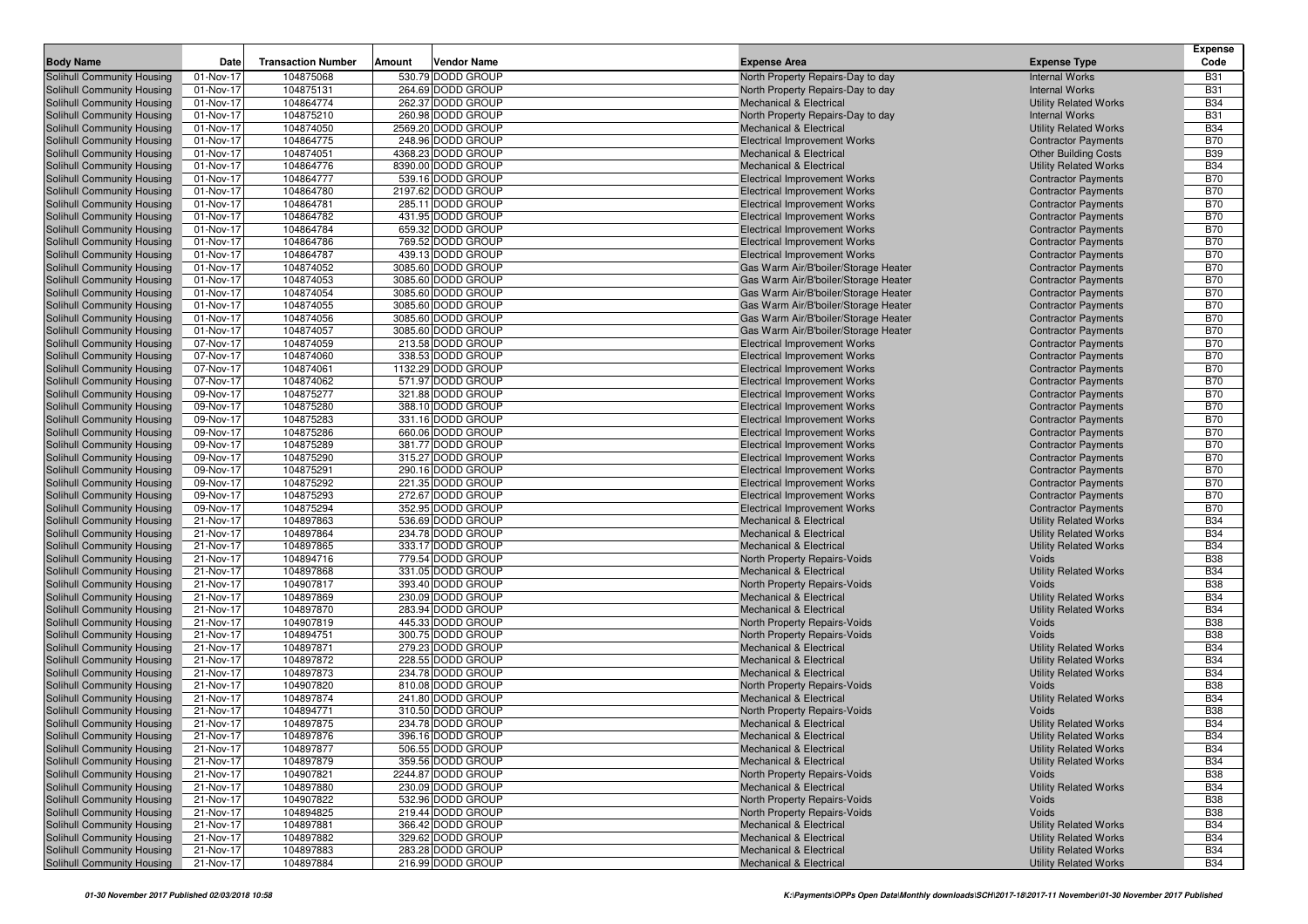|                                                          |                        |                           |        |                                         |                                                                              |                                                          | <b>Expense</b>           |
|----------------------------------------------------------|------------------------|---------------------------|--------|-----------------------------------------|------------------------------------------------------------------------------|----------------------------------------------------------|--------------------------|
| <b>Body Name</b>                                         | Date                   | <b>Transaction Number</b> | Amount | Vendor Name                             | <b>Expense Area</b>                                                          | <b>Expense Type</b>                                      | Code                     |
| Solihull Community Housing                               | 01-Nov-17              | 104875068                 |        | 530.79 DODD GROUP                       | North Property Repairs-Day to day                                            | <b>Internal Works</b>                                    | <b>B31</b>               |
| Solihull Community Housing                               | 01-Nov-17              | 104875131                 |        | 264.69 DODD GROUP                       | North Property Repairs-Day to day                                            | <b>Internal Works</b>                                    | <b>B31</b>               |
| Solihull Community Housing                               | 01-Nov-17              | 104864774                 |        | 262.37 DODD GROUP                       | <b>Mechanical &amp; Electrical</b>                                           | <b>Utility Related Works</b>                             | <b>B34</b>               |
| Solihull Community Housing                               | 01-Nov-17              | 104875210                 |        | 260.98 DODD GROUP                       | North Property Repairs-Day to day                                            | <b>Internal Works</b>                                    | <b>B31</b>               |
| Solihull Community Housing                               | 01-Nov-17              | 104874050                 |        | 2569.20 DODD GROUP                      | <b>Mechanical &amp; Electrical</b>                                           | <b>Utility Related Works</b>                             | <b>B34</b>               |
| Solihull Community Housing                               | 01-Nov-17              | 104864775                 |        | 248.96 DODD GROUP                       | <b>Electrical Improvement Works</b>                                          | <b>Contractor Payments</b>                               | <b>B70</b>               |
| Solihull Community Housing                               | 01-Nov-17              | 104874051                 |        | 4368.23 DODD GROUP                      | <b>Mechanical &amp; Electrical</b>                                           | <b>Other Building Costs</b>                              | <b>B39</b>               |
| Solihull Community Housing                               | 01-Nov-17              | 104864776                 |        | 8390.00 DODD GROUP                      | <b>Mechanical &amp; Electrical</b>                                           | <b>Utility Related Works</b>                             | <b>B34</b>               |
| Solihull Community Housing                               | 01-Nov-17              | 104864777                 |        | 539.16 DODD GROUP                       | <b>Electrical Improvement Works</b>                                          | <b>Contractor Payments</b>                               | <b>B70</b>               |
| Solihull Community Housing                               | 01-Nov-17              | 104864780                 |        | 2197.62 DODD GROUP                      | <b>Electrical Improvement Works</b>                                          | <b>Contractor Payments</b>                               | <b>B70</b>               |
| Solihull Community Housing                               | 01-Nov-17              | 104864781                 |        | 285.11 DODD GROUP                       | <b>Electrical Improvement Works</b>                                          | <b>Contractor Payments</b>                               | <b>B70</b>               |
| Solihull Community Housing                               | 01-Nov-17              | 104864782                 |        | 431.95 DODD GROUP                       | <b>Electrical Improvement Works</b>                                          | <b>Contractor Payments</b>                               | <b>B70</b>               |
| Solihull Community Housing                               | 01-Nov-17              | 104864784                 |        | 659.32 DODD GROUP                       | <b>Electrical Improvement Works</b>                                          | <b>Contractor Payments</b>                               | <b>B70</b>               |
| Solihull Community Housing                               | 01-Nov-17              | 104864786                 |        | 769.52 DODD GROUP                       | <b>Electrical Improvement Works</b>                                          | <b>Contractor Payments</b>                               | <b>B70</b><br><b>B70</b> |
| Solihull Community Housing<br>Solihull Community Housing | 01-Nov-17<br>01-Nov-17 | 104864787<br>104874052    |        | 439.13 DODD GROUP<br>3085.60 DODD GROUP | <b>Electrical Improvement Works</b>                                          | <b>Contractor Payments</b>                               | <b>B70</b>               |
| Solihull Community Housing                               | 01-Nov-17              | 104874053                 |        | 3085.60 DODD GROUP                      | Gas Warm Air/B'boiler/Storage Heater<br>Gas Warm Air/B'boiler/Storage Heater | <b>Contractor Payments</b><br><b>Contractor Payments</b> | <b>B70</b>               |
| Solihull Community Housing                               | 01-Nov-17              | 104874054                 |        | 3085.60 DODD GROUP                      | Gas Warm Air/B'boiler/Storage Heater                                         | <b>Contractor Payments</b>                               | <b>B70</b>               |
| Solihull Community Housing                               | 01-Nov-17              | 104874055                 |        | 3085.60 DODD GROUP                      | Gas Warm Air/B'boiler/Storage Heater                                         | <b>Contractor Payments</b>                               | <b>B70</b>               |
| Solihull Community Housing                               | 01-Nov-17              | 104874056                 |        | 3085.60 DODD GROUP                      | Gas Warm Air/B'boiler/Storage Heater                                         | <b>Contractor Payments</b>                               | <b>B70</b>               |
| Solihull Community Housing                               | 01-Nov-17              | 104874057                 |        | 3085.60 DODD GROUP                      | Gas Warm Air/B'boiler/Storage Heater                                         | <b>Contractor Payments</b>                               | <b>B70</b>               |
| Solihull Community Housing                               | 07-Nov-17              | 104874059                 |        | 213.58 DODD GROUP                       | <b>Electrical Improvement Works</b>                                          | <b>Contractor Payments</b>                               | <b>B70</b>               |
| Solihull Community Housing                               | 07-Nov-17              | 104874060                 |        | 338.53 DODD GROUP                       | <b>Electrical Improvement Works</b>                                          | <b>Contractor Payments</b>                               | <b>B70</b>               |
| Solihull Community Housing                               | 07-Nov-17              | 104874061                 |        | 1132.29 DODD GROUP                      | <b>Electrical Improvement Works</b>                                          | <b>Contractor Payments</b>                               | <b>B70</b>               |
| <b>Solihull Community Housing</b>                        | 07-Nov-17              | 104874062                 |        | 571.97 DODD GROUP                       | <b>Electrical Improvement Works</b>                                          | <b>Contractor Payments</b>                               | <b>B70</b>               |
| Solihull Community Housing                               | 09-Nov-17              | 104875277                 |        | 321.88 DODD GROUP                       | <b>Electrical Improvement Works</b>                                          | <b>Contractor Payments</b>                               | <b>B70</b>               |
| Solihull Community Housing                               | 09-Nov-17              | 104875280                 |        | 388.10 DODD GROUP                       | <b>Electrical Improvement Works</b>                                          | <b>Contractor Payments</b>                               | <b>B70</b>               |
| Solihull Community Housing                               | 09-Nov-17              | 104875283                 |        | 331.16 DODD GROUP                       | <b>Electrical Improvement Works</b>                                          | <b>Contractor Payments</b>                               | <b>B70</b>               |
| Solihull Community Housing                               | 09-Nov-17              | 104875286                 |        | 660.06 DODD GROUP                       | <b>Electrical Improvement Works</b>                                          | <b>Contractor Payments</b>                               | <b>B70</b>               |
| Solihull Community Housing                               | 09-Nov-17              | 104875289                 |        | 381.77 DODD GROUP                       | <b>Electrical Improvement Works</b>                                          | <b>Contractor Payments</b>                               | <b>B70</b>               |
| Solihull Community Housing                               | 09-Nov-17              | 104875290                 |        | 315.27 DODD GROUP                       | <b>Electrical Improvement Works</b>                                          | <b>Contractor Payments</b>                               | <b>B70</b>               |
| Solihull Community Housing                               | 09-Nov-17              | 104875291                 |        | 290.16 DODD GROUP                       | <b>Electrical Improvement Works</b>                                          | <b>Contractor Payments</b>                               | <b>B70</b>               |
| Solihull Community Housing                               | 09-Nov-17              | 104875292                 |        | 221.35 DODD GROUP                       | <b>Electrical Improvement Works</b>                                          | <b>Contractor Payments</b>                               | <b>B70</b>               |
| Solihull Community Housing                               | 09-Nov-17              | 104875293                 |        | 272.67 DODD GROUP                       | <b>Electrical Improvement Works</b>                                          | <b>Contractor Payments</b>                               | <b>B70</b>               |
| Solihull Community Housing                               | 09-Nov-17              | 104875294                 |        | 352.95 DODD GROUP                       | <b>Electrical Improvement Works</b>                                          | <b>Contractor Payments</b>                               | <b>B70</b>               |
| Solihull Community Housing                               | 21-Nov-17              | 104897863                 |        | 536.69 DODD GROUP                       | <b>Mechanical &amp; Electrical</b>                                           | <b>Utility Related Works</b>                             | <b>B34</b>               |
| Solihull Community Housing                               | 21-Nov-17              | 104897864                 |        | 234.78 DODD GROUP                       | <b>Mechanical &amp; Electrical</b>                                           | <b>Utility Related Works</b>                             | <b>B34</b>               |
| Solihull Community Housing                               | 21-Nov-17              | 104897865                 |        | 333.17 DODD GROUP                       | <b>Mechanical &amp; Electrical</b>                                           | <b>Utility Related Works</b>                             | <b>B34</b>               |
| Solihull Community Housing                               | 21-Nov-17              | 104894716                 |        | 779.54 DODD GROUP                       | North Property Repairs-Voids                                                 | Voids                                                    | <b>B38</b>               |
| Solihull Community Housing                               | 21-Nov-17              | 104897868                 |        | 331.05 DODD GROUP                       | Mechanical & Electrical                                                      | <b>Utility Related Works</b>                             | <b>B34</b>               |
| Solihull Community Housing                               | 21-Nov-17              | 104907817                 |        | 393.40 DODD GROUP                       | North Property Repairs-Voids                                                 | Voids                                                    | <b>B38</b>               |
| Solihull Community Housing                               | 21-Nov-17              | 104897869                 |        | 230.09 DODD GROUP                       | <b>Mechanical &amp; Electrical</b>                                           | <b>Utility Related Works</b>                             | <b>B34</b>               |
| Solihull Community Housing                               | 21-Nov-17              | 104897870                 |        | 283.94 DODD GROUP                       | Mechanical & Electrical                                                      | <b>Utility Related Works</b>                             | <b>B34</b>               |
| Solihull Community Housing                               | 21-Nov-17              | 104907819                 |        | 445.33 DODD GROUP                       | North Property Repairs-Voids                                                 | Voids                                                    | <b>B38</b><br><b>B38</b> |
| Solihull Community Housing<br>Solihull Community Housing | 21-Nov-17<br>21-Nov-17 | 104894751<br>104897871    |        | 300.75 DODD GROUP<br>279.23 DODD GROUP  | North Property Repairs-Voids<br><b>Mechanical &amp; Electrical</b>           | Voids<br><b>Utility Related Works</b>                    | <b>B34</b>               |
| Solihull Community Housing                               | 21-Nov-17              | 104897872                 |        | 228.55 DODD GROUP                       | Mechanical & Electrical                                                      | <b>Utility Related Works</b>                             | <b>B34</b>               |
| Solihull Community Housing                               | 21-Nov-17              | 104897873                 |        | 234.78 DODD GROUP                       | <b>Mechanical &amp; Electrical</b>                                           | <b>Utility Related Works</b>                             | <b>B34</b>               |
| Solihull Community Housing                               | 21-Nov-17              | 104907820                 |        | 810.08 DODD GROUP                       | North Property Repairs-Voids                                                 | Voids                                                    | <b>B38</b>               |
| Solihull Community Housing                               | 21-Nov-17              | 104897874                 |        | 241.80 DODD GROUP                       | <b>Mechanical &amp; Electrical</b>                                           | <b>Utility Related Works</b>                             | <b>B34</b>               |
| Solihull Community Housing                               | 21-Nov-17              | 104894771                 |        | 310.50 DODD GROUP                       | North Property Repairs-Voids                                                 | Voids                                                    | <b>B38</b>               |
| Solihull Community Housing                               | 21-Nov-17              | 104897875                 |        | 234.78 DODD GROUP                       | <b>Mechanical &amp; Electrical</b>                                           | <b>Utility Related Works</b>                             | <b>B34</b>               |
| Solihull Community Housing                               | 21-Nov-17              | 104897876                 |        | 396.16 DODD GROUP                       | Mechanical & Electrical                                                      | <b>Utility Related Works</b>                             | <b>B34</b>               |
| Solihull Community Housing                               | 21-Nov-17              | 104897877                 |        | 506.55 DODD GROUP                       | <b>Mechanical &amp; Electrical</b>                                           | <b>Utility Related Works</b>                             | <b>B34</b>               |
| Solihull Community Housing                               | 21-Nov-17              | 104897879                 |        | 359.56 DODD GROUP                       | Mechanical & Electrical                                                      | <b>Utility Related Works</b>                             | <b>B34</b>               |
| Solihull Community Housing                               | 21-Nov-17              | 104907821                 |        | 2244.87 DODD GROUP                      | North Property Repairs-Voids                                                 | Voids                                                    | <b>B38</b>               |
| Solihull Community Housing                               | 21-Nov-17              | 104897880                 |        | 230.09 DODD GROUP                       | Mechanical & Electrical                                                      | <b>Utility Related Works</b>                             | <b>B34</b>               |
| Solihull Community Housing                               | 21-Nov-17              | 104907822                 |        | 532.96 DODD GROUP                       | North Property Repairs-Voids                                                 | Voids                                                    | <b>B38</b>               |
| Solihull Community Housing                               | 21-Nov-17              | 104894825                 |        | 219.44 DODD GROUP                       | North Property Repairs-Voids                                                 | Voids                                                    | <b>B38</b>               |
| Solihull Community Housing                               | 21-Nov-17              | 104897881                 |        | 366.42 DODD GROUP                       | <b>Mechanical &amp; Electrical</b>                                           | <b>Utility Related Works</b>                             | <b>B34</b>               |
| Solihull Community Housing                               | 21-Nov-17              | 104897882                 |        | 329.62 DODD GROUP                       | <b>Mechanical &amp; Electrical</b>                                           | <b>Utility Related Works</b>                             | <b>B34</b>               |
| Solihull Community Housing                               | 21-Nov-17              | 104897883                 |        | 283.28 DODD GROUP                       | <b>Mechanical &amp; Electrical</b>                                           | <b>Utility Related Works</b>                             | <b>B34</b>               |
| Solihull Community Housing                               | 21-Nov-17              | 104897884                 |        | 216.99 DODD GROUP                       | <b>Mechanical &amp; Electrical</b>                                           | <b>Utility Related Works</b>                             | <b>B34</b>               |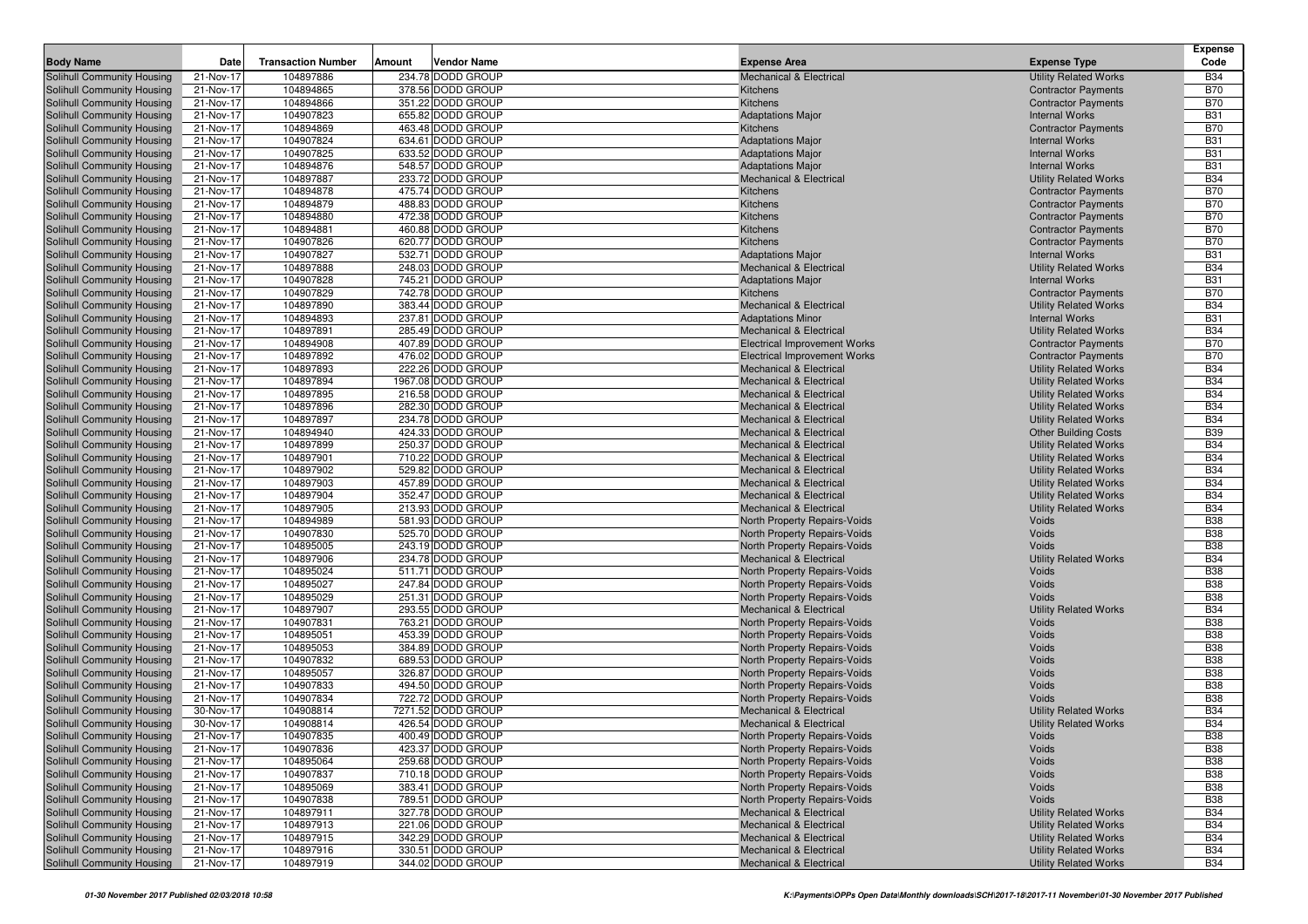|                                                          |                        |                           |        |                                        |                                                              |                                                              | <b>Expense</b>           |
|----------------------------------------------------------|------------------------|---------------------------|--------|----------------------------------------|--------------------------------------------------------------|--------------------------------------------------------------|--------------------------|
| <b>Body Name</b>                                         | Date                   | <b>Transaction Number</b> | Amount | Vendor Name                            | <b>Expense Area</b>                                          | <b>Expense Type</b>                                          | Code                     |
| Solihull Community Housing                               | 21-Nov-17              | 104897886                 |        | 234.78 DODD GROUP                      | <b>Mechanical &amp; Electrical</b>                           | <b>Utility Related Works</b>                                 | <b>B34</b>               |
| Solihull Community Housing                               | 21-Nov-17              | 104894865                 |        | 378.56 DODD GROUP                      | Kitchens                                                     | <b>Contractor Payments</b>                                   | <b>B70</b>               |
| Solihull Community Housing                               | 21-Nov-17              | 104894866                 |        | 351.22 DODD GROUP                      | Kitchens                                                     | <b>Contractor Payments</b>                                   | <b>B70</b>               |
| Solihull Community Housing                               | 21-Nov-17              | 104907823                 |        | 655.82 DODD GROUP                      | <b>Adaptations Major</b>                                     | <b>Internal Works</b>                                        | <b>B31</b>               |
| Solihull Community Housing                               | 21-Nov-17              | 104894869                 |        | 463.48 DODD GROUP                      | Kitchens                                                     | <b>Contractor Payments</b>                                   | <b>B70</b>               |
| Solihull Community Housing                               | 21-Nov-17              | 104907824                 |        | 634.61 DODD GROUP                      | <b>Adaptations Major</b>                                     | <b>Internal Works</b>                                        | <b>B31</b>               |
| Solihull Community Housing                               | 21-Nov-17              | 104907825                 |        | 633.52 DODD GROUP                      | <b>Adaptations Major</b>                                     | <b>Internal Works</b>                                        | <b>B31</b>               |
| Solihull Community Housing                               | 21-Nov-17              | 104894876                 |        | 548.57 DODD GROUP                      | <b>Adaptations Major</b>                                     | <b>Internal Works</b>                                        | <b>B31</b>               |
| Solihull Community Housing                               | 21-Nov-17              | 104897887                 |        | 233.72 DODD GROUP                      | Mechanical & Electrical                                      | <b>Utility Related Works</b>                                 | <b>B34</b>               |
| Solihull Community Housing                               | 21-Nov-17              | 104894878                 |        | 475.74 DODD GROUP                      | <b>Kitchens</b>                                              | <b>Contractor Payments</b>                                   | <b>B70</b>               |
| Solihull Community Housing                               | 21-Nov-17<br>21-Nov-17 | 104894879<br>104894880    |        | 488.83 DODD GROUP<br>472.38 DODD GROUP | Kitchens                                                     | <b>Contractor Payments</b>                                   | <b>B70</b><br><b>B70</b> |
| Solihull Community Housing<br>Solihull Community Housing | 21-Nov-17              | 104894881                 |        | 460.88 DODD GROUP                      | Kitchens<br>Kitchens                                         | <b>Contractor Payments</b><br><b>Contractor Payments</b>     | <b>B70</b>               |
| Solihull Community Housing                               | 21-Nov-17              | 104907826                 |        | 620.77 DODD GROUP                      | Kitchens                                                     | <b>Contractor Payments</b>                                   | <b>B70</b>               |
| Solihull Community Housing                               | 21-Nov-17              | 104907827                 |        | 532.71 DODD GROUP                      | <b>Adaptations Major</b>                                     | <b>Internal Works</b>                                        | <b>B31</b>               |
| Solihull Community Housing                               | 21-Nov-17              | 104897888                 |        | 248.03 DODD GROUP                      | <b>Mechanical &amp; Electrical</b>                           | <b>Utility Related Works</b>                                 | <b>B34</b>               |
| Solihull Community Housing                               | 21-Nov-17              | 104907828                 |        | 745.21 DODD GROUP                      | <b>Adaptations Major</b>                                     | <b>Internal Works</b>                                        | <b>B31</b>               |
| Solihull Community Housing                               | 21-Nov-17              | 104907829                 |        | 742.78 DODD GROUP                      | Kitchens                                                     | <b>Contractor Payments</b>                                   | <b>B70</b>               |
| Solihull Community Housing                               | 21-Nov-17              | 104897890                 |        | 383.44 DODD GROUP                      | <b>Mechanical &amp; Electrical</b>                           | <b>Utility Related Works</b>                                 | <b>B34</b>               |
| Solihull Community Housing                               | 21-Nov-17              | 104894893                 |        | 237.81 DODD GROUP                      | <b>Adaptations Minor</b>                                     | <b>Internal Works</b>                                        | <b>B31</b>               |
| <b>Solihull Community Housing</b>                        | 21-Nov-17              | 104897891                 |        | 285.49 DODD GROUP                      | <b>Mechanical &amp; Electrical</b>                           | <b>Utility Related Works</b>                                 | <b>B34</b>               |
| Solihull Community Housing                               | 21-Nov-17              | 104894908                 |        | 407.89 DODD GROUP                      | Electrical Improvement Works                                 | <b>Contractor Payments</b>                                   | <b>B70</b>               |
| Solihull Community Housing                               | 21-Nov-17              | 104897892                 |        | 476.02 DODD GROUP                      | <b>Electrical Improvement Works</b>                          | <b>Contractor Payments</b>                                   | <b>B70</b>               |
| Solihull Community Housing                               | 21-Nov-17              | 104897893                 |        | 222.26 DODD GROUP                      | <b>Mechanical &amp; Electrical</b>                           | <b>Utility Related Works</b>                                 | <b>B34</b>               |
| <b>Solihull Community Housing</b>                        | 21-Nov-17              | 104897894                 |        | 1967.08 DODD GROUP                     | <b>Mechanical &amp; Electrical</b>                           | <b>Utility Related Works</b>                                 | <b>B34</b>               |
| Solihull Community Housing                               | 21-Nov-17              | 104897895                 |        | 216.58 DODD GROUP                      | <b>Mechanical &amp; Electrical</b>                           | <b>Utility Related Works</b>                                 | <b>B34</b>               |
| Solihull Community Housing                               | 21-Nov-17              | 104897896                 |        | 282.30 DODD GROUP                      | <b>Mechanical &amp; Electrical</b>                           | <b>Utility Related Works</b>                                 | <b>B34</b>               |
| Solihull Community Housing                               | 21-Nov-17              | 104897897                 |        | 234.78 DODD GROUP                      | <b>Mechanical &amp; Electrical</b>                           | <b>Utility Related Works</b>                                 | <b>B34</b>               |
| Solihull Community Housing                               | 21-Nov-17              | 104894940                 |        | 424.33 DODD GROUP                      | <b>Mechanical &amp; Electrical</b>                           | <b>Other Building Costs</b>                                  | <b>B39</b>               |
| Solihull Community Housing                               | 21-Nov-17              | 104897899                 |        | 250.37 DODD GROUP                      | <b>Mechanical &amp; Electrical</b>                           | <b>Utility Related Works</b>                                 | <b>B34</b>               |
| Solihull Community Housing                               | 21-Nov-17              | 104897901                 |        | 710.22 DODD GROUP                      | <b>Mechanical &amp; Electrical</b>                           | <b>Utility Related Works</b>                                 | <b>B34</b>               |
| Solihull Community Housing                               | 21-Nov-17              | 104897902                 |        | 529.82 DODD GROUP                      | <b>Mechanical &amp; Electrical</b>                           | <b>Utility Related Works</b>                                 | <b>B34</b>               |
| Solihull Community Housing                               | 21-Nov-17              | 104897903                 |        | 457.89 DODD GROUP                      | <b>Mechanical &amp; Electrical</b>                           | <b>Utility Related Works</b>                                 | <b>B34</b>               |
| Solihull Community Housing                               | 21-Nov-17              | 104897904                 |        | 352.47 DODD GROUP                      | <b>Mechanical &amp; Electrical</b>                           | <b>Utility Related Works</b>                                 | <b>B34</b>               |
| Solihull Community Housing<br>Solihull Community Housing | 21-Nov-17              | 104897905<br>104894989    |        | 213.93 DODD GROUP<br>581.93 DODD GROUP | <b>Mechanical &amp; Electrical</b>                           | <b>Utility Related Works</b>                                 | <b>B34</b><br><b>B38</b> |
| Solihull Community Housing                               | 21-Nov-17<br>21-Nov-17 | 104907830                 |        | 525.70 DODD GROUP                      | North Property Repairs-Voids<br>North Property Repairs-Voids | Voids<br>Voids                                               | <b>B38</b>               |
| Solihull Community Housing                               | 21-Nov-17              | 104895005                 |        | 243.19 DODD GROUP                      | North Property Repairs-Voids                                 | Voids                                                        | <b>B38</b>               |
| Solihull Community Housing                               | 21-Nov-17              | 104897906                 |        | 234.78 DODD GROUP                      | <b>Mechanical &amp; Electrical</b>                           | <b>Utility Related Works</b>                                 | <b>B34</b>               |
| Solihull Community Housing                               | 21-Nov-17              | 104895024                 |        | 511.71 DODD GROUP                      | North Property Repairs-Voids                                 | Voids                                                        | <b>B38</b>               |
| Solihull Community Housing                               | 21-Nov-17              | 104895027                 |        | 247.84 DODD GROUP                      | North Property Repairs-Voids                                 | Voids                                                        | <b>B38</b>               |
| Solihull Community Housing                               | 21-Nov-17              | 104895029                 |        | 251.31 DODD GROUP                      | North Property Repairs-Voids                                 | <b>Voids</b>                                                 | <b>B38</b>               |
| Solihull Community Housing                               | 21-Nov-17              | 104897907                 |        | 293.55 DODD GROUP                      | Mechanical & Electrical                                      | <b>Utility Related Works</b>                                 | <b>B34</b>               |
| Solihull Community Housing                               | 21-Nov-17              | 104907831                 |        | 763.21 DODD GROUP                      | North Property Repairs-Voids                                 | Voids                                                        | <b>B38</b>               |
| Solihull Community Housing                               | 21-Nov-17              | 104895051                 |        | 453.39 DODD GROUP                      | North Property Repairs-Voids                                 | Voids                                                        | <b>B38</b>               |
| Solihull Community Housing                               | 21-Nov-17              | 104895053                 |        | 384.89 DODD GROUP                      | North Property Repairs-Voids                                 | Voids                                                        | <b>B38</b>               |
| Solihull Community Housing                               | 21-Nov-17              | 104907832                 |        | 689.53 DODD GROUP                      | North Property Repairs-Voids                                 | Voids                                                        | <b>B38</b>               |
| Solihull Community Housing                               | 21-Nov-17              | 104895057                 |        | 326.87 DODD GROUP                      | North Property Repairs-Voids                                 | Voids                                                        | <b>B38</b>               |
| Solihull Community Housing                               | 21-Nov-17              | 104907833                 |        | 494.50 DODD GROUP                      | North Property Repairs-Voids                                 | Voids                                                        | <b>B38</b>               |
| <b>Solihull Community Housing</b>                        | 21-Nov-17              | 104907834                 |        | 722.72 DODD GROUP                      | North Property Repairs-Voids                                 | Voids                                                        | <b>B38</b>               |
| Solihull Community Housing                               | 30-Nov-17              | 104908814                 |        | 7271.52 DODD GROUP                     | <b>Mechanical &amp; Electrical</b>                           | <b>Utility Related Works</b>                                 | <b>B34</b>               |
| Solihull Community Housing                               | 30-Nov-17              | 104908814                 |        | 426.54 DODD GROUP                      | Mechanical & Electrical                                      | <b>Utility Related Works</b>                                 | <b>B34</b>               |
| Solihull Community Housing                               | 21-Nov-17              | 104907835                 |        | 400.49 DODD GROUP                      | North Property Repairs-Voids                                 | Voids                                                        | <b>B38</b>               |
| Solihull Community Housing                               | 21-Nov-17              | 104907836                 |        | 423.37 DODD GROUP                      | North Property Repairs-Voids                                 | Voids                                                        | <b>B38</b>               |
| Solihull Community Housing                               | 21-Nov-17              | 104895064                 |        | 259.68 DODD GROUP                      | North Property Repairs-Voids                                 | Voids                                                        | <b>B38</b>               |
| Solihull Community Housing                               | 21-Nov-17              | 104907837                 |        | 710.18 DODD GROUP                      | North Property Repairs-Voids                                 | Voids                                                        | <b>B38</b>               |
| Solihull Community Housing                               | 21-Nov-17              | 104895069                 |        | 383.41 DODD GROUP                      | North Property Repairs-Voids                                 | Voids                                                        | <b>B38</b>               |
| Solihull Community Housing                               | 21-Nov-17              | 104907838                 |        | 789.51 DODD GROUP                      | North Property Repairs-Voids                                 | Voids                                                        | <b>B38</b>               |
| Solihull Community Housing                               | 21-Nov-17              | 104897911                 |        | 327.78 DODD GROUP                      | <b>Mechanical &amp; Electrical</b>                           | <b>Utility Related Works</b>                                 | <b>B34</b>               |
| Solihull Community Housing<br>Solihull Community Housing | 21-Nov-17              | 104897913<br>104897915    |        | 221.06 DODD GROUP<br>342.29 DODD GROUP | Mechanical & Electrical                                      | <b>Utility Related Works</b><br><b>Utility Related Works</b> | <b>B34</b><br><b>B34</b> |
| Solihull Community Housing                               | 21-Nov-17              | 104897916                 |        | 330.51 DODD GROUP                      | Mechanical & Electrical<br>Mechanical & Electrical           | <b>Utility Related Works</b>                                 | <b>B34</b>               |
| Solihull Community Housing                               | 21-Nov-17<br>21-Nov-17 | 104897919                 |        | 344.02 DODD GROUP                      | Mechanical & Electrical                                      | <b>Utility Related Works</b>                                 | <b>B34</b>               |
|                                                          |                        |                           |        |                                        |                                                              |                                                              |                          |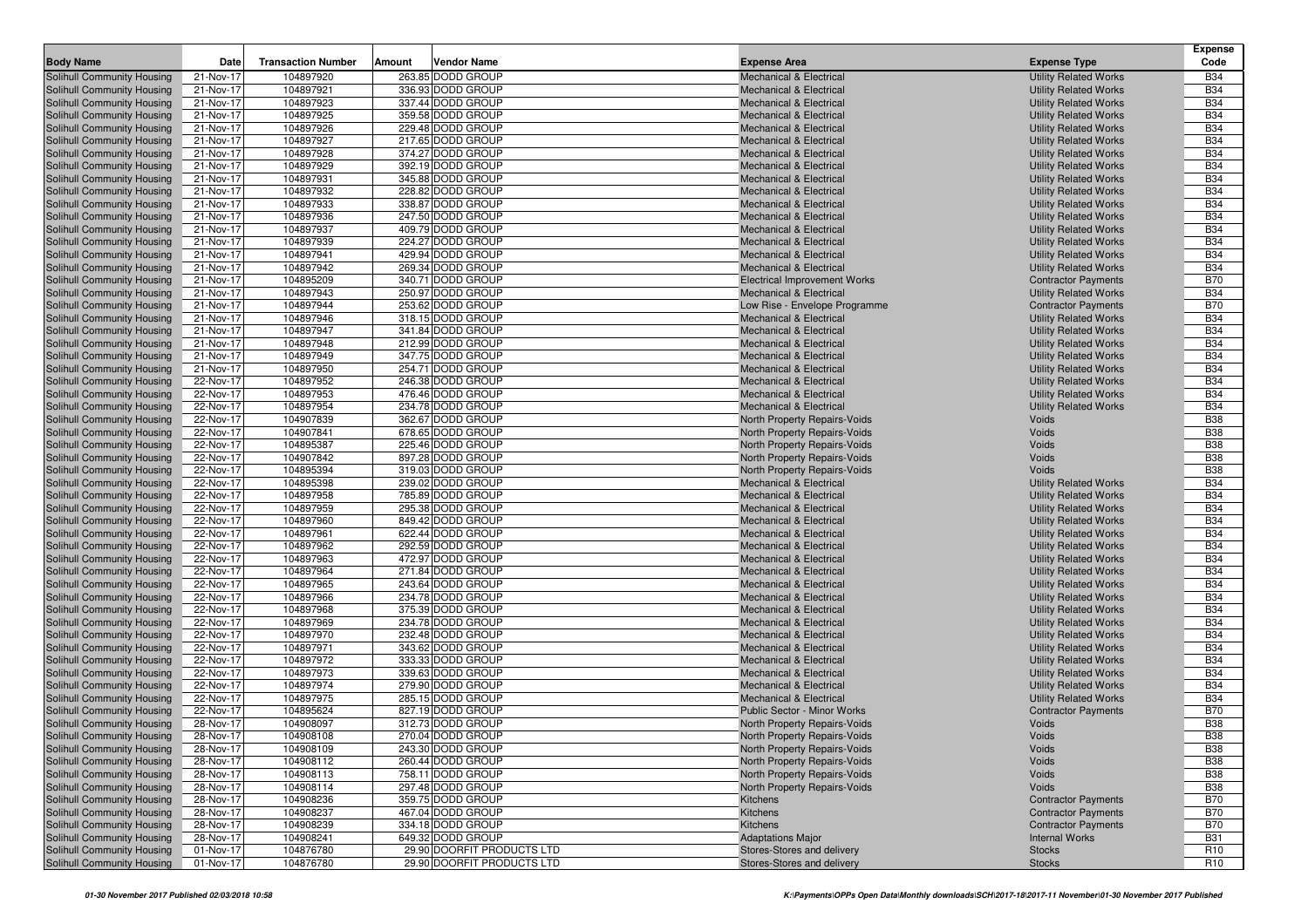|                                                          |                        |                           |        |                                                 |                                                                          |                                                              | <b>Expense</b>                |
|----------------------------------------------------------|------------------------|---------------------------|--------|-------------------------------------------------|--------------------------------------------------------------------------|--------------------------------------------------------------|-------------------------------|
| <b>Body Name</b>                                         | Date                   | <b>Transaction Number</b> | Amount | Vendor Name                                     | <b>Expense Area</b>                                                      | <b>Expense Type</b>                                          | Code                          |
| Solihull Community Housing                               | 21-Nov-17              | 104897920                 |        | 263.85 DODD GROUP                               | <b>Mechanical &amp; Electrical</b>                                       | <b>Utility Related Works</b>                                 | <b>B34</b>                    |
| Solihull Community Housing                               | 21-Nov-17              | 104897921                 |        | 336.93 DODD GROUP                               | <b>Mechanical &amp; Electrical</b>                                       | <b>Utility Related Works</b>                                 | <b>B34</b>                    |
| Solihull Community Housing                               | 21-Nov-17              | 104897923                 |        | 337.44 DODD GROUP                               | <b>Mechanical &amp; Electrical</b>                                       | <b>Utility Related Works</b>                                 | <b>B34</b>                    |
| Solihull Community Housing                               | 21-Nov-17              | 104897925                 |        | 359.58 DODD GROUP                               | <b>Mechanical &amp; Electrical</b>                                       | <b>Utility Related Works</b>                                 | <b>B34</b>                    |
| Solihull Community Housing                               | 21-Nov-17              | 104897926<br>104897927    |        | 229.48 DODD GROUP<br>217.65 DODD GROUP          | Mechanical & Electrical<br><b>Mechanical &amp; Electrical</b>            | <b>Utility Related Works</b>                                 | <b>B34</b><br><b>B34</b>      |
| Solihull Community Housing<br>Solihull Community Housing | 21-Nov-17<br>21-Nov-17 | 104897928                 |        | 374.27 DODD GROUP                               | Mechanical & Electrical                                                  | <b>Utility Related Works</b><br><b>Utility Related Works</b> | <b>B34</b>                    |
| Solihull Community Housing                               | 21-Nov-17              | 104897929                 |        | 392.19 DODD GROUP                               | <b>Mechanical &amp; Electrical</b>                                       | <b>Utility Related Works</b>                                 | <b>B34</b>                    |
| Solihull Community Housing                               | 21-Nov-17              | 104897931                 |        | 345.88 DODD GROUP                               | Mechanical & Electrical                                                  | <b>Utility Related Works</b>                                 | <b>B34</b>                    |
| Solihull Community Housing                               | 21-Nov-17              | 104897932                 |        | 228.82 DODD GROUP                               | <b>Mechanical &amp; Electrical</b>                                       | <b>Utility Related Works</b>                                 | <b>B34</b>                    |
| Solihull Community Housing                               | 21-Nov-17              | 104897933                 |        | 338.87 DODD GROUP                               | <b>Mechanical &amp; Electrical</b>                                       | <b>Utility Related Works</b>                                 | <b>B34</b>                    |
| Solihull Community Housing                               | 21-Nov-17              | 104897936                 |        | 247.50 DODD GROUP                               | <b>Mechanical &amp; Electrical</b>                                       | <b>Utility Related Works</b>                                 | <b>B34</b>                    |
| Solihull Community Housing                               | 21-Nov-17              | 104897937                 |        | 409.79 DODD GROUP                               | <b>Mechanical &amp; Electrical</b>                                       | <b>Utility Related Works</b>                                 | <b>B34</b>                    |
| Solihull Community Housing                               | 21-Nov-17              | 104897939                 |        | 224.27 DODD GROUP                               | Mechanical & Electrical                                                  | <b>Utility Related Works</b>                                 | <b>B34</b>                    |
| Solihull Community Housing                               | 21-Nov-17              | 104897941                 |        | 429.94 DODD GROUP                               | <b>Mechanical &amp; Electrical</b>                                       | <b>Utility Related Works</b>                                 | <b>B34</b>                    |
| Solihull Community Housing                               | 21-Nov-17              | 104897942                 |        | 269.34 DODD GROUP                               | <b>Mechanical &amp; Electrical</b>                                       | <b>Utility Related Works</b>                                 | <b>B34</b>                    |
| Solihull Community Housing                               | 21-Nov-17              | 104895209                 |        | 340.71 DODD GROUP                               | <b>Electrical Improvement Works</b>                                      | <b>Contractor Payments</b>                                   | <b>B70</b>                    |
| Solihull Community Housing                               | 21-Nov-17              | 104897943                 |        | 250.97 DODD GROUP                               | Mechanical & Electrical                                                  | <b>Utility Related Works</b>                                 | <b>B34</b>                    |
| Solihull Community Housing                               | 21-Nov-17              | 104897944                 |        | 253.62 DODD GROUP                               | Low Rise - Envelope Programme                                            | <b>Contractor Payments</b>                                   | <b>B70</b>                    |
| Solihull Community Housing                               | 21-Nov-17              | 104897946                 |        | 318.15 DODD GROUP                               | <b>Mechanical &amp; Electrical</b>                                       | <b>Utility Related Works</b>                                 | <b>B34</b>                    |
| Solihull Community Housing                               | 21-Nov-17              | 104897947                 |        | 341.84 DODD GROUP                               | <b>Mechanical &amp; Electrical</b>                                       | <b>Utility Related Works</b>                                 | <b>B34</b>                    |
| Solihull Community Housing                               | 21-Nov-17              | 104897948                 |        | 212.99 DODD GROUP                               | <b>Mechanical &amp; Electrical</b>                                       | <b>Utility Related Works</b>                                 | <b>B34</b>                    |
| Solihull Community Housing                               | 21-Nov-17              | 104897949                 |        | 347.75 DODD GROUP                               | Mechanical & Electrical                                                  | <b>Utility Related Works</b>                                 | <b>B34</b>                    |
| Solihull Community Housing                               | 21-Nov-17              | 104897950                 |        | 254.71 DODD GROUP                               | <b>Mechanical &amp; Electrical</b>                                       | <b>Utility Related Works</b>                                 | <b>B34</b>                    |
| Solihull Community Housing<br>Solihull Community Housing | 22-Nov-17<br>22-Nov-17 | 104897952<br>104897953    |        | 246.38 DODD GROUP<br>476.46 DODD GROUP          | <b>Mechanical &amp; Electrical</b><br><b>Mechanical &amp; Electrical</b> | <b>Utility Related Works</b><br><b>Utility Related Works</b> | <b>B34</b><br><b>B34</b>      |
| Solihull Community Housing                               | 22-Nov-17              | 104897954                 |        | 234.78 DODD GROUP                               | <b>Mechanical &amp; Electrical</b>                                       | <b>Utility Related Works</b>                                 | <b>B34</b>                    |
| Solihull Community Housing                               | 22-Nov-17              | 104907839                 |        | 362.67 DODD GROUP                               | North Property Repairs-Voids                                             | Voids                                                        | <b>B38</b>                    |
| Solihull Community Housing                               | 22-Nov-17              | 104907841                 |        | 678.65 DODD GROUP                               | North Property Repairs-Voids                                             | Voids                                                        | <b>B38</b>                    |
| Solihull Community Housing                               | 22-Nov-17              | 104895387                 |        | 225.46 DODD GROUP                               | North Property Repairs-Voids                                             | Voids                                                        | <b>B38</b>                    |
| Solihull Community Housing                               | 22-Nov-17              | 104907842                 |        | 897.28 DODD GROUP                               | North Property Repairs-Voids                                             | Voids                                                        | <b>B38</b>                    |
| Solihull Community Housing                               | 22-Nov-17              | 104895394                 |        | 319.03 DODD GROUP                               | North Property Repairs-Voids                                             | Voids                                                        | <b>B38</b>                    |
| Solihull Community Housing                               | 22-Nov-17              | 104895398                 |        | 239.02 DODD GROUP                               | <b>Mechanical &amp; Electrical</b>                                       | <b>Utility Related Works</b>                                 | <b>B34</b>                    |
| Solihull Community Housing                               | 22-Nov-17              | 104897958                 |        | 785.89 DODD GROUP                               | Mechanical & Electrical                                                  | <b>Utility Related Works</b>                                 | <b>B34</b>                    |
| Solihull Community Housing                               | 22-Nov-17              | 104897959                 |        | 295.38 DODD GROUP                               | <b>Mechanical &amp; Electrical</b>                                       | <b>Utility Related Works</b>                                 | <b>B34</b>                    |
| Solihull Community Housing                               | 22-Nov-17              | 104897960                 |        | 849.42 DODD GROUP                               | <b>Mechanical &amp; Electrical</b>                                       | <b>Utility Related Works</b>                                 | <b>B34</b>                    |
| Solihull Community Housing                               | 22-Nov-17              | 104897961                 |        | 622.44 DODD GROUP                               | <b>Mechanical &amp; Electrical</b>                                       | <b>Utility Related Works</b>                                 | <b>B34</b>                    |
| Solihull Community Housing                               | 22-Nov-17              | 104897962                 |        | 292.59 DODD GROUP                               | <b>Mechanical &amp; Electrical</b>                                       | <b>Utility Related Works</b>                                 | <b>B34</b>                    |
| Solihull Community Housing                               | 22-Nov-17              | 104897963                 |        | 472.97 DODD GROUP                               | Mechanical & Electrical                                                  | <b>Utility Related Works</b>                                 | <b>B34</b>                    |
| Solihull Community Housing                               | 22-Nov-17              | 104897964                 |        | 271.84 DODD GROUP                               | <b>Mechanical &amp; Electrical</b>                                       | <b>Utility Related Works</b>                                 | <b>B34</b>                    |
| Solihull Community Housing                               | 22-Nov-17              | 104897965                 |        | 243.64 DODD GROUP                               | Mechanical & Electrical                                                  | <b>Utility Related Works</b>                                 | <b>B34</b><br><b>B34</b>      |
| Solihull Community Housing<br>Solihull Community Housing | 22-Nov-17<br>22-Nov-17 | 104897966<br>104897968    |        | 234.78 DODD GROUP<br>375.39 DODD GROUP          | <b>Mechanical &amp; Electrical</b><br>Mechanical & Electrical            | <b>Utility Related Works</b><br><b>Utility Related Works</b> | <b>B34</b>                    |
| Solihull Community Housing                               | 22-Nov-17              | 104897969                 |        | 234.78 DODD GROUP                               | <b>Mechanical &amp; Electrical</b>                                       | <b>Utility Related Works</b>                                 | <b>B34</b>                    |
| Solihull Community Housing                               | 22-Nov-17              | 104897970                 |        | 232.48 DODD GROUP                               | <b>Mechanical &amp; Electrical</b>                                       | <b>Utility Related Works</b>                                 | <b>B34</b>                    |
| Solihull Community Housing                               | 22-Nov-17              | 104897971                 |        | 343.62 DODD GROUP                               | <b>Mechanical &amp; Electrical</b>                                       | <b>Utility Related Works</b>                                 | <b>B34</b>                    |
| Solihull Community Housing                               | 22-Nov-17              | 104897972                 |        | 333.33 DODD GROUP                               | <b>Mechanical &amp; Electrical</b>                                       | <b>Utility Related Works</b>                                 | <b>B34</b>                    |
| Solihull Community Housing                               | 22-Nov-17              | 104897973                 |        | 339.63 DODD GROUP                               | <b>Mechanical &amp; Electrical</b>                                       | <b>Utility Related Works</b>                                 | <b>B34</b>                    |
| Solihull Community Housing                               | 22-Nov-17              | 104897974                 |        | 279.90 DODD GROUP                               | <b>Mechanical &amp; Electrical</b>                                       | <b>Utility Related Works</b>                                 | <b>B34</b>                    |
| Solihull Community Housing                               | 22-Nov-17              | 104897975                 |        | 285.15 DODD GROUP                               | <b>Mechanical &amp; Electrical</b>                                       | <b>Utility Related Works</b>                                 | <b>B34</b>                    |
| Solihull Community Housing                               | 22-Nov-17              | 104895624                 |        | 827.19 DODD GROUP                               | Public Sector - Minor Works                                              | <b>Contractor Payments</b>                                   | <b>B70</b>                    |
| Solihull Community Housing                               | 28-Nov-17              | 104908097                 |        | 312.73 DODD GROUP                               | North Property Repairs-Voids                                             | Voids                                                        | <b>B38</b>                    |
| Solihull Community Housing                               | 28-Nov-17              | 104908108                 |        | 270.04 DODD GROUP                               | North Property Repairs-Voids                                             | Voids                                                        | <b>B38</b>                    |
| Solihull Community Housing                               | 28-Nov-17              | 104908109                 |        | 243.30 DODD GROUP                               | North Property Repairs-Voids                                             | Voids                                                        | <b>B38</b>                    |
| Solihull Community Housing                               | 28-Nov-17              | 104908112                 |        | 260.44 DODD GROUP                               | North Property Repairs-Voids                                             | Voids                                                        | <b>B38</b>                    |
| Solihull Community Housing                               | 28-Nov-17              | 104908113                 |        | 758.11 DODD GROUP                               | North Property Repairs-Voids                                             | Voids                                                        | <b>B38</b>                    |
| Solihull Community Housing                               | 28-Nov-17              | 104908114                 |        | 297.48 DODD GROUP                               | North Property Repairs-Voids                                             | Voids                                                        | <b>B38</b>                    |
| Solihull Community Housing                               | 28-Nov-17              | 104908236                 |        | 359.75 DODD GROUP                               | Kitchens                                                                 | <b>Contractor Payments</b>                                   | <b>B70</b>                    |
| Solihull Community Housing                               | 28-Nov-17              | 104908237                 |        | 467.04 DODD GROUP                               | Kitchens                                                                 | <b>Contractor Payments</b>                                   | <b>B70</b>                    |
| Solihull Community Housing                               | 28-Nov-17              | 104908239                 |        | 334.18 DODD GROUP                               | Kitchens                                                                 | <b>Contractor Payments</b>                                   | <b>B70</b>                    |
| Solihull Community Housing<br>Solihull Community Housing | 28-Nov-17<br>01-Nov-17 | 104908241<br>104876780    |        | 649.32 DODD GROUP<br>29.90 DOORFIT PRODUCTS LTD | <b>Adaptations Major</b><br>Stores-Stores and delivery                   | <b>Internal Works</b><br><b>Stocks</b>                       | <b>B31</b><br>R <sub>10</sub> |
| Solihull Community Housing                               | 01-Nov-17              | 104876780                 |        | 29.90 DOORFIT PRODUCTS LTD                      | Stores-Stores and delivery                                               | <b>Stocks</b>                                                | R <sub>10</sub>               |
|                                                          |                        |                           |        |                                                 |                                                                          |                                                              |                               |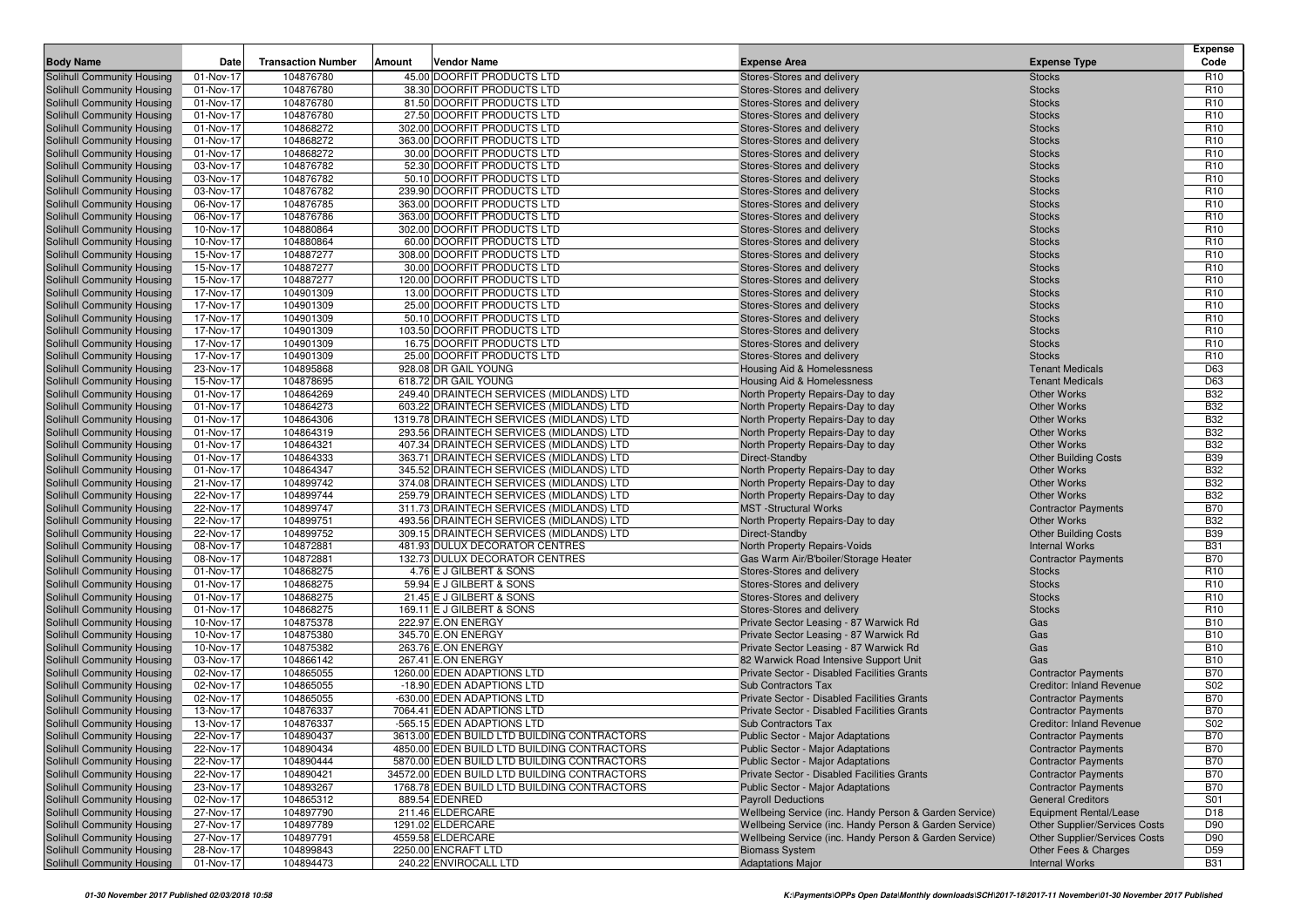| <b>Body Name</b>                                         | Date                   | <b>Transaction Number</b> | Amount | Vendor Name                                                                          | <b>Expense Area</b>                                               | <b>Expense Type</b>             | <b>Expense</b><br>Code   |
|----------------------------------------------------------|------------------------|---------------------------|--------|--------------------------------------------------------------------------------------|-------------------------------------------------------------------|---------------------------------|--------------------------|
| Solihull Community Housing                               | 01-Nov-17              | 104876780                 |        | 45.00 DOORFIT PRODUCTS LTD                                                           | Stores-Stores and delivery                                        | <b>Stocks</b>                   | R <sub>10</sub>          |
| Solihull Community Housing                               | 01-Nov-17              | 104876780                 |        | 38.30 DOORFIT PRODUCTS LTD                                                           | Stores-Stores and delivery                                        | <b>Stocks</b>                   | R <sub>10</sub>          |
| Solihull Community Housing                               | 01-Nov-17              | 104876780                 |        | 81.50 DOORFIT PRODUCTS LTD                                                           | Stores-Stores and delivery                                        | <b>Stocks</b>                   | R <sub>10</sub>          |
| Solihull Community Housing                               | 01-Nov-17              | 104876780                 |        | 27.50 DOORFIT PRODUCTS LTD                                                           | Stores-Stores and delivery                                        | <b>Stocks</b>                   | R <sub>10</sub>          |
| Solihull Community Housing                               | 01-Nov-17              | 104868272                 |        | 302.00 DOORFIT PRODUCTS LTD                                                          | Stores-Stores and delivery                                        | <b>Stocks</b>                   | R <sub>10</sub>          |
| Solihull Community Housing                               | 01-Nov-17              | 104868272                 |        | 363.00 DOORFIT PRODUCTS LTD                                                          | Stores-Stores and delivery                                        | <b>Stocks</b>                   | R <sub>10</sub>          |
| Solihull Community Housing                               | 01-Nov-17              | 104868272                 |        | 30.00 DOORFIT PRODUCTS LTD                                                           | Stores-Stores and delivery                                        | <b>Stocks</b>                   | R <sub>10</sub>          |
| Solihull Community Housing                               | 03-Nov-17              | 104876782                 |        | 52.30 DOORFIT PRODUCTS LTD                                                           | Stores-Stores and delivery                                        | <b>Stocks</b>                   | R <sub>10</sub>          |
| Solihull Community Housing                               | 03-Nov-17              | 104876782                 |        | 50.10 DOORFIT PRODUCTS LTD                                                           | Stores-Stores and delivery                                        | <b>Stocks</b>                   | R <sub>10</sub>          |
| Solihull Community Housing                               | 03-Nov-17              | 104876782                 |        | 239.90 DOORFIT PRODUCTS LTD                                                          | Stores-Stores and delivery                                        | <b>Stocks</b>                   | R <sub>10</sub>          |
| Solihull Community Housing                               | 06-Nov-17              | 104876785                 |        | 363.00 DOORFIT PRODUCTS LTD                                                          | Stores-Stores and delivery                                        | <b>Stocks</b>                   | R <sub>10</sub>          |
| Solihull Community Housing                               | 06-Nov-17              | 104876786                 |        | 363.00 DOORFIT PRODUCTS LTD                                                          | Stores-Stores and delivery                                        | <b>Stocks</b>                   | R <sub>10</sub>          |
| Solihull Community Housing                               | 10-Nov-17              | 104880864                 |        | 302.00 DOORFIT PRODUCTS LTD                                                          | Stores-Stores and delivery                                        | <b>Stocks</b>                   | R <sub>10</sub>          |
| Solihull Community Housing                               | 10-Nov-17              | 104880864                 |        | 60.00 DOORFIT PRODUCTS LTD                                                           | Stores-Stores and delivery                                        | <b>Stocks</b>                   | R <sub>10</sub>          |
| Solihull Community Housing                               | 15-Nov-17              | 104887277                 |        | 308.00 DOORFIT PRODUCTS LTD                                                          | Stores-Stores and delivery                                        | <b>Stocks</b>                   | R <sub>10</sub>          |
| Solihull Community Housing                               | 15-Nov-17              | 104887277                 |        | 30.00 DOORFIT PRODUCTS LTD                                                           | Stores-Stores and delivery                                        | <b>Stocks</b>                   | R <sub>10</sub>          |
| Solihull Community Housing                               | 15-Nov-17              | 104887277                 |        | 120.00 DOORFIT PRODUCTS LTD                                                          | Stores-Stores and delivery                                        | <b>Stocks</b>                   | R <sub>10</sub>          |
| Solihull Community Housing                               | 17-Nov-17              | 104901309                 |        | 13.00 DOORFIT PRODUCTS LTD                                                           | Stores-Stores and delivery                                        | <b>Stocks</b>                   | R <sub>10</sub>          |
| Solihull Community Housing                               | 17-Nov-17              | 104901309                 |        | 25.00 DOORFIT PRODUCTS LTD                                                           | Stores-Stores and delivery                                        | <b>Stocks</b>                   | R <sub>10</sub>          |
| Solihull Community Housing                               | 17-Nov-17              | 104901309                 |        | 50.10 DOORFIT PRODUCTS LTD                                                           | Stores-Stores and delivery                                        | <b>Stocks</b>                   | R <sub>10</sub>          |
| Solihull Community Housing                               | 17-Nov-17              | 104901309                 |        | 103.50 DOORFIT PRODUCTS LTD                                                          | Stores-Stores and delivery                                        | <b>Stocks</b>                   | R <sub>10</sub>          |
| Solihull Community Housing                               | 17-Nov-17              | 104901309                 |        | 16.75 DOORFIT PRODUCTS LTD                                                           | Stores-Stores and delivery                                        | <b>Stocks</b>                   | R <sub>10</sub>          |
| Solihull Community Housing                               | 17-Nov-17              | 104901309                 |        | 25.00 DOORFIT PRODUCTS LTD                                                           | Stores-Stores and delivery                                        | <b>Stocks</b>                   | R <sub>10</sub>          |
| Solihull Community Housing                               | $23-Nov-17$            | 104895868                 |        | 928.08 DR GAIL YOUNG                                                                 | <b>Housing Aid &amp; Homelessness</b>                             | <b>Tenant Medicals</b>          | D63                      |
| Solihull Community Housing                               | 15-Nov-17              | 104878695                 |        | 618.72 DR GAIL YOUNG                                                                 | Housing Aid & Homelessness                                        | <b>Tenant Medicals</b>          | D63                      |
| Solihull Community Housing                               | 01-Nov-17              | 104864269                 |        | 249.40 DRAINTECH SERVICES (MIDLANDS) LTD                                             | North Property Repairs-Day to day                                 | <b>Other Works</b>              | <b>B32</b>               |
| Solihull Community Housing                               | 01-Nov-17              | 104864273                 |        | 603.22 DRAINTECH SERVICES (MIDLANDS) LTD                                             | North Property Repairs-Day to day                                 | <b>Other Works</b>              | <b>B32</b>               |
| Solihull Community Housing                               | 01-Nov-17              | 104864306                 |        | 1319.78 DRAINTECH SERVICES (MIDLANDS) LTD                                            | North Property Repairs-Day to day                                 | <b>Other Works</b>              | <b>B32</b>               |
| Solihull Community Housing                               | 01-Nov-17              | 104864319                 |        | 293.56 DRAINTECH SERVICES (MIDLANDS) LTD                                             | North Property Repairs-Day to day                                 | <b>Other Works</b>              | <b>B32</b>               |
| Solihull Community Housing                               | 01-Nov-17              | 104864321                 |        | 407.34 DRAINTECH SERVICES (MIDLANDS) LTD                                             | North Property Repairs-Day to day                                 | <b>Other Works</b>              | <b>B32</b>               |
| Solihull Community Housing                               | 01-Nov-17              | 104864333                 |        | 363.71 DRAINTECH SERVICES (MIDLANDS) LTD                                             | Direct-Standby                                                    | <b>Other Building Costs</b>     | <b>B39</b>               |
| Solihull Community Housing                               | 01-Nov-17              | 104864347                 |        | 345.52 DRAINTECH SERVICES (MIDLANDS) LTD                                             | North Property Repairs-Day to day                                 | <b>Other Works</b>              | <b>B32</b>               |
| Solihull Community Housing                               | 21-Nov-17<br>22-Nov-17 | 104899742<br>104899744    |        | 374.08 DRAINTECH SERVICES (MIDLANDS) LTD                                             | North Property Repairs-Day to day                                 | Other Works<br>Other Works      | <b>B32</b><br><b>B32</b> |
| Solihull Community Housing<br>Solihull Community Housing | 22-Nov-17              | 104899747                 |        | 259.79 DRAINTECH SERVICES (MIDLANDS) LTD<br>311.73 DRAINTECH SERVICES (MIDLANDS) LTD | North Property Repairs-Day to day<br><b>MST</b> -Structural Works | <b>Contractor Payments</b>      | <b>B70</b>               |
| Solihull Community Housing                               | $22-Nov-17$            | 104899751                 |        | 493.56 DRAINTECH SERVICES (MIDLANDS) LTD                                             | North Property Repairs-Day to day                                 | Other Works                     | <b>B32</b>               |
| Solihull Community Housing                               | 22-Nov-17              | 104899752                 |        | 309.15 DRAINTECH SERVICES (MIDLANDS) LTD                                             | Direct-Standby                                                    | <b>Other Building Costs</b>     | <b>B39</b>               |
| Solihull Community Housing                               | 08-Nov-17              | 104872881                 |        | 481.93 DULUX DECORATOR CENTRES                                                       | North Property Repairs-Voids                                      | <b>Internal Works</b>           | <b>B31</b>               |
| <b>Solihull Community Housing</b>                        | 08-Nov-17              | 104872881                 |        | 132.73 DULUX DECORATOR CENTRES                                                       | Gas Warm Air/B'boiler/Storage Heater                              | <b>Contractor Payments</b>      | <b>B70</b>               |
| Solihull Community Housing                               | 01-Nov-17              | 104868275                 |        | 4.76 E J GILBERT & SONS                                                              | Stores-Stores and delivery                                        | <b>Stocks</b>                   | R <sub>10</sub>          |
| Solihull Community Housing                               | 01-Nov-17              | 104868275                 |        | 59.94 E J GILBERT & SONS                                                             | Stores-Stores and delivery                                        | <b>Stocks</b>                   | R <sub>10</sub>          |
| Solihull Community Housing                               | 01-Nov-17              | 104868275                 |        | 21.45 E J GILBERT & SONS                                                             | Stores-Stores and delivery                                        | <b>Stocks</b>                   | R <sub>10</sub>          |
| Solihull Community Housing                               | 01-Nov-17              | 104868275                 |        | 169.11 E J GILBERT & SONS                                                            | Stores-Stores and delivery                                        | <b>Stocks</b>                   | R <sub>10</sub>          |
| Solihull Community Housing                               | 10-Nov-17              | 104875378                 |        | 222.97 E.ON ENERGY                                                                   | Private Sector Leasing - 87 Warwick Rd                            | Gas                             | <b>B10</b>               |
| Solihull Community Housing                               | 10-Nov-17              | 104875380                 |        | 345.70 E.ON ENERGY                                                                   | Private Sector Leasing - 87 Warwick Rd                            | Gas                             | <b>B10</b>               |
| Solihull Community Housing                               | 10-Nov-17              | 104875382                 |        | 263.76 E.ON ENERGY                                                                   | Private Sector Leasing - 87 Warwick Rd                            | Gas                             | <b>B10</b>               |
| Solihull Community Housing                               | 03-Nov-17              | 104866142                 |        | 267.41 E.ON ENERGY                                                                   | 82 Warwick Road Intensive Support Unit                            | Gas                             | <b>B10</b>               |
| Solihull Community Housing                               | 02-Nov-17              | 104865055                 |        | 1260.00 EDEN ADAPTIONS LTD                                                           | Private Sector - Disabled Facilities Grants                       | <b>Contractor Payments</b>      | <b>B70</b>               |
| Solihull Community Housing                               | 02-Nov-17              | 104865055                 |        | -18.90 EDEN ADAPTIONS LTD                                                            | <b>Sub Contractors Tax</b>                                        | <b>Creditor: Inland Revenue</b> | S <sub>02</sub>          |
| Solihull Community Housing                               | 02-Nov-17              | 104865055                 |        | -630.00 EDEN ADAPTIONS LTD                                                           | Private Sector - Disabled Facilities Grants                       | <b>Contractor Payments</b>      | <b>B70</b>               |
| Solihull Community Housing                               | 13-Nov-17              | 104876337                 |        | 7064.41 EDEN ADAPTIONS LTD                                                           | Private Sector - Disabled Facilities Grants                       | <b>Contractor Payments</b>      | <b>B70</b>               |
| Solihull Community Housing                               | 13-Nov-17              | 104876337                 |        | -565.15 EDEN ADAPTIONS LTD                                                           | <b>Sub Contractors Tax</b>                                        | <b>Creditor: Inland Revenue</b> | S02                      |
| Solihull Community Housing                               | 22-Nov-17              | 104890437                 |        | 3613.00 EDEN BUILD LTD BUILDING CONTRACTORS                                          | Public Sector - Major Adaptations                                 | <b>Contractor Payments</b>      | <b>B70</b>               |
| Solihull Community Housing                               | 22-Nov-17              | 104890434                 |        | 4850.00 EDEN BUILD LTD BUILDING CONTRACTORS                                          | <b>Public Sector - Major Adaptations</b>                          | <b>Contractor Payments</b>      | <b>B70</b>               |
| Solihull Community Housing                               | 22-Nov-17              | 104890444                 |        | 5870.00 EDEN BUILD LTD BUILDING CONTRACTORS                                          | <b>Public Sector - Major Adaptations</b>                          | <b>Contractor Payments</b>      | <b>B70</b>               |
| Solihull Community Housing                               | 22-Nov-17              | 104890421                 |        | 34572.00 EDEN BUILD LTD BUILDING CONTRACTORS                                         | Private Sector - Disabled Facilities Grants                       | <b>Contractor Payments</b>      | <b>B70</b>               |
| Solihull Community Housing                               | 23-Nov-17              | 104893267                 |        | 1768.78 EDEN BUILD LTD BUILDING CONTRACTORS                                          | Public Sector - Major Adaptations                                 | <b>Contractor Payments</b>      | <b>B70</b>               |
| Solihull Community Housing                               | 02-Nov-17              | 104865312                 |        | 889.54 EDENRED                                                                       | <b>Payroll Deductions</b>                                         | <b>General Creditors</b>        | S01                      |
| Solihull Community Housing                               | 27-Nov-17              | 104897790                 |        | 211.46 ELDERCARE                                                                     | Wellbeing Service (inc. Handy Person & Garden Service)            | <b>Equipment Rental/Lease</b>   | D <sub>18</sub>          |
| Solihull Community Housing                               | 27-Nov-17              | 104897789                 |        | 1291.02 ELDERCARE                                                                    | Wellbeing Service (inc. Handy Person & Garden Service)            | Other Supplier/Services Costs   | D90                      |
| Solihull Community Housing                               | 27-Nov-17              | 104897791                 |        | 4559.58 ELDERCARE                                                                    | Wellbeing Service (inc. Handy Person & Garden Service)            | Other Supplier/Services Costs   | D90                      |
| Solihull Community Housing                               | 28-Nov-17              | 104899843                 |        | 2250.00 ENCRAFT LTD                                                                  | <b>Biomass System</b>                                             | Other Fees & Charges            | D <sub>59</sub>          |
| Solihull Community Housing                               | 01-Nov-17              | 104894473                 |        | 240.22 ENVIROCALL LTD                                                                | <b>Adaptations Major</b>                                          | <b>Internal Works</b>           | <b>B31</b>               |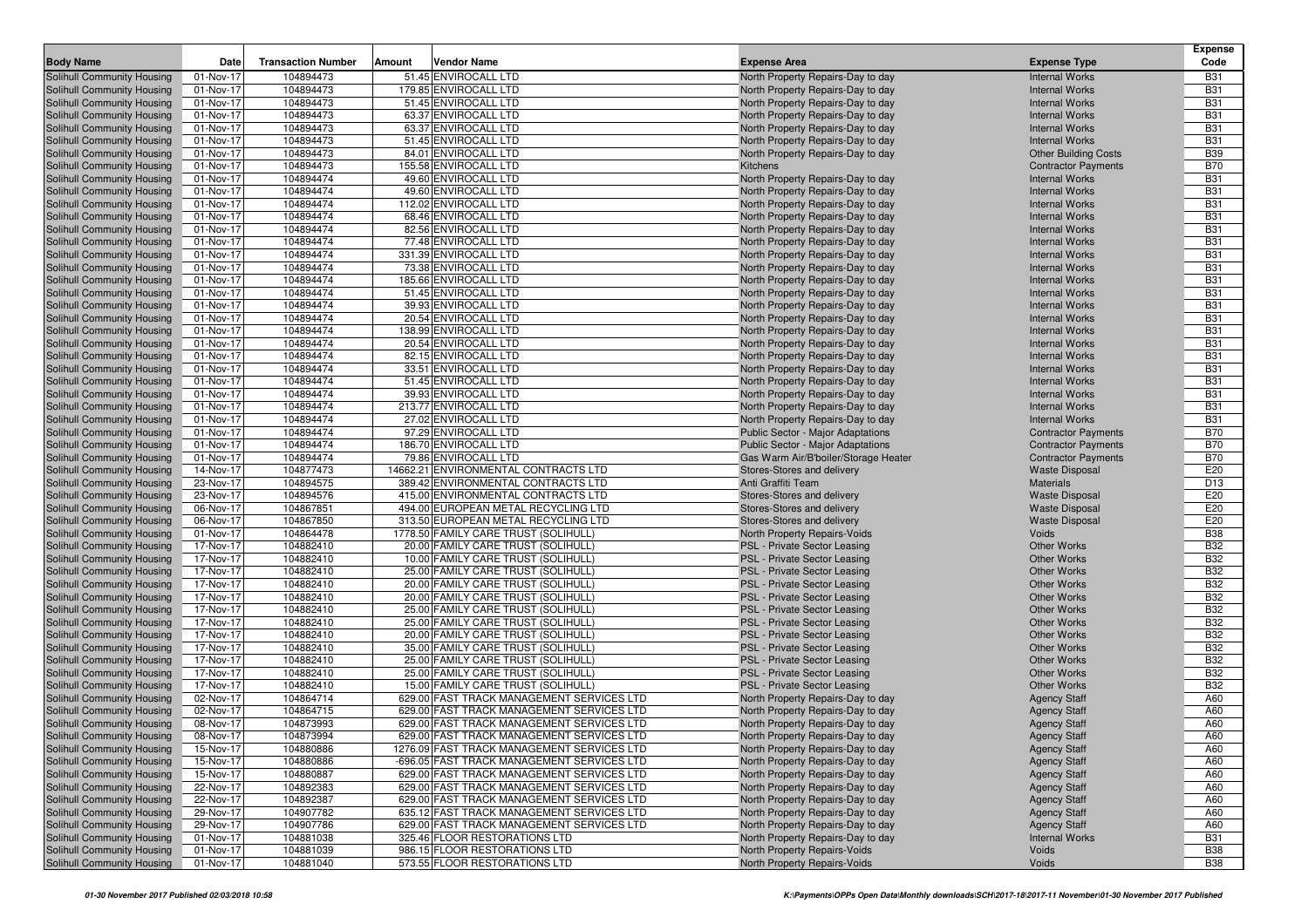| <b>Body Name</b>                                                | Date                                 | <b>Transaction Number</b> | Amount | Vendor Name                                                                            |                                                                        | <b>Expense Type</b>                            | <b>Expense</b><br>Code   |
|-----------------------------------------------------------------|--------------------------------------|---------------------------|--------|----------------------------------------------------------------------------------------|------------------------------------------------------------------------|------------------------------------------------|--------------------------|
|                                                                 |                                      | 104894473                 |        | 51.45 ENVIROCALL LTD                                                                   | <b>Expense Area</b>                                                    |                                                |                          |
| Solihull Community Housing                                      | 01-Nov-17                            |                           |        |                                                                                        | North Property Repairs-Day to day                                      | <b>Internal Works</b>                          | <b>B31</b><br><b>B31</b> |
| Solihull Community Housing<br>Solihull Community Housing        | 01-Nov-17<br>01-Nov-17               | 104894473<br>104894473    |        | 179.85 ENVIROCALL LTD<br>51.45 ENVIROCALL LTD                                          | North Property Repairs-Day to day<br>North Property Repairs-Day to day | <b>Internal Works</b><br><b>Internal Works</b> | <b>B31</b>               |
| Solihull Community Housing                                      | 01-Nov-17                            | 104894473                 |        | 63.37 ENVIROCALL LTD                                                                   | North Property Repairs-Day to day                                      | <b>Internal Works</b>                          | <b>B31</b>               |
| Solihull Community Housing                                      | 01-Nov-17                            | 104894473                 |        | 63.37 ENVIROCALL LTD                                                                   | North Property Repairs-Day to day                                      | <b>Internal Works</b>                          | <b>B31</b>               |
| Solihull Community Housing                                      | 01-Nov-17                            | 104894473                 |        | 51.45 ENVIROCALL LTD                                                                   | North Property Repairs-Day to day                                      | <b>Internal Works</b>                          | <b>B31</b>               |
| Solihull Community Housing                                      | 01-Nov-17                            | 104894473                 |        | 84.01 ENVIROCALL LTD                                                                   | North Property Repairs-Day to day                                      | <b>Other Building Costs</b>                    | <b>B39</b>               |
| Solihull Community Housing                                      | 01-Nov-17                            | 104894473                 |        | 155.58 ENVIROCALL LTD                                                                  | Kitchens                                                               | <b>Contractor Payments</b>                     | <b>B70</b>               |
| Solihull Community Housing                                      | 01-Nov-17                            | 104894474                 |        | 49.60 ENVIROCALL LTD                                                                   | North Property Repairs-Day to day                                      | <b>Internal Works</b>                          | <b>B31</b>               |
| Solihull Community Housing                                      | 01-Nov-17                            | 104894474                 |        | 49.60 ENVIROCALL LTD                                                                   | North Property Repairs-Day to day                                      | <b>Internal Works</b>                          | <b>B31</b>               |
| Solihull Community Housing                                      | 01-Nov-17                            | 104894474                 |        | 112.02 ENVIROCALL LTD                                                                  | North Property Repairs-Day to day                                      | <b>Internal Works</b>                          | <b>B31</b>               |
| Solihull Community Housing                                      | 01-Nov-17                            | 104894474                 |        | 68.46 ENVIROCALL LTD                                                                   | North Property Repairs-Day to day                                      | <b>Internal Works</b>                          | <b>B31</b>               |
| Solihull Community Housing                                      | 01-Nov-17                            | 104894474                 |        | 82.56 ENVIROCALL LTD                                                                   | North Property Repairs-Day to day                                      | <b>Internal Works</b>                          | <b>B31</b>               |
| Solihull Community Housing                                      | 01-Nov-17                            | 104894474                 |        | 77.48 ENVIROCALL LTD                                                                   | North Property Repairs-Day to day                                      | <b>Internal Works</b>                          | <b>B31</b>               |
| Solihull Community Housing                                      | 01-Nov-17                            | 104894474                 |        | 331.39 ENVIROCALL LTD                                                                  | North Property Repairs-Day to day                                      | <b>Internal Works</b>                          | <b>B31</b>               |
| Solihull Community Housing                                      | 01-Nov-17                            | 104894474                 |        | 73.38 ENVIROCALL LTD                                                                   | North Property Repairs-Day to day                                      | <b>Internal Works</b>                          | <b>B31</b>               |
| Solihull Community Housing                                      | 01-Nov-17                            | 104894474                 |        | 185.66 ENVIROCALL LTD                                                                  | North Property Repairs-Day to day                                      | <b>Internal Works</b>                          | <b>B31</b>               |
| Solihull Community Housing                                      | 01-Nov-17                            | 104894474                 |        | 51.45 ENVIROCALL LTD                                                                   | North Property Repairs-Day to day                                      | <b>Internal Works</b>                          | <b>B31</b>               |
| Solihull Community Housing                                      | 01-Nov-17                            | 104894474                 |        | 39.93 ENVIROCALL LTD                                                                   | North Property Repairs-Day to day                                      | <b>Internal Works</b>                          | <b>B31</b>               |
| Solihull Community Housing                                      | 01-Nov-17                            | 104894474                 |        | 20.54 ENVIROCALL LTD                                                                   | North Property Repairs-Day to day                                      | <b>Internal Works</b>                          | <b>B31</b>               |
| <b>Solihull Community Housing</b>                               | 01-Nov-17                            | 104894474                 |        | 138.99 ENVIROCALL LTD                                                                  | North Property Repairs-Day to day                                      | <b>Internal Works</b>                          | <b>B31</b>               |
| Solihull Community Housing                                      | 01-Nov-17                            | 104894474                 |        | 20.54 ENVIROCALL LTD                                                                   | North Property Repairs-Day to day                                      | <b>Internal Works</b>                          | <b>B31</b>               |
| Solihull Community Housing                                      | 01-Nov-17                            | 104894474                 |        | 82.15 ENVIROCALL LTD                                                                   | North Property Repairs-Day to day                                      | <b>Internal Works</b>                          | <b>B31</b>               |
| Solihull Community Housing                                      | 01-Nov-17                            | 104894474                 |        | 33.51 ENVIROCALL LTD                                                                   | North Property Repairs-Day to day                                      | <b>Internal Works</b>                          | <b>B31</b>               |
| <b>Solihull Community Housing</b>                               | 01-Nov-17                            | 104894474                 |        | 51.45 ENVIROCALL LTD                                                                   | North Property Repairs-Day to day                                      | <b>Internal Works</b>                          | <b>B31</b>               |
| Solihull Community Housing                                      | 01-Nov-17                            | 104894474                 |        | 39.93 ENVIROCALL LTD                                                                   | North Property Repairs-Day to day                                      | <b>Internal Works</b>                          | <b>B31</b>               |
| Solihull Community Housing                                      | 01-Nov-17                            | 104894474                 |        | 213.77 ENVIROCALL LTD                                                                  | North Property Repairs-Day to day                                      | <b>Internal Works</b>                          | <b>B31</b>               |
| Solihull Community Housing                                      | 01-Nov-17                            | 104894474                 |        | 27.02 ENVIROCALL LTD                                                                   | North Property Repairs-Day to day                                      | <b>Internal Works</b>                          | <b>B31</b>               |
| Solihull Community Housing                                      | 01-Nov-17                            | 104894474                 |        | 97.29 ENVIROCALL LTD                                                                   | Public Sector - Major Adaptations                                      | <b>Contractor Payments</b>                     | <b>B70</b>               |
| Solihull Community Housing                                      | 01-Nov-17                            | 104894474                 |        | 186.70 ENVIROCALL LTD                                                                  | <b>Public Sector - Major Adaptations</b>                               | <b>Contractor Payments</b>                     | <b>B70</b>               |
| Solihull Community Housing                                      | 01-Nov-17                            | 104894474                 |        | 79.86 ENVIROCALL LTD                                                                   | Gas Warm Air/B'boiler/Storage Heater                                   | <b>Contractor Payments</b>                     | <b>B70</b>               |
| Solihull Community Housing                                      | 14-Nov-17                            | 104877473                 |        | 14662.21 ENVIRONMENTAL CONTRACTS LTD                                                   | Stores-Stores and delivery                                             | <b>Waste Disposal</b>                          | E20                      |
| Solihull Community Housing                                      | 23-Nov-17                            | 104894575                 |        | 389.42 ENVIRONMENTAL CONTRACTS LTD                                                     | Anti Graffiti Team                                                     | Materials                                      | D <sub>13</sub>          |
| Solihull Community Housing                                      | 23-Nov-17                            | 104894576                 |        | 415.00 ENVIRONMENTAL CONTRACTS LTD                                                     | Stores-Stores and delivery                                             | <b>Waste Disposal</b>                          | E20                      |
| Solihull Community Housing                                      | 06-Nov-17                            | 104867851                 |        | 494.00 EUROPEAN METAL RECYCLING LTD                                                    | Stores-Stores and delivery                                             | <b>Waste Disposal</b>                          | E20                      |
| Solihull Community Housing                                      | 06-Nov-17                            | 104867850                 |        | 313.50 EUROPEAN METAL RECYCLING LTD                                                    | Stores-Stores and delivery                                             | <b>Waste Disposal</b>                          | E20                      |
| Solihull Community Housing                                      | 01-Nov-17                            | 104864478                 |        | 1778.50 FAMILY CARE TRUST (SOLIHULL)                                                   | North Property Repairs-Voids                                           | Voids                                          | <b>B38</b>               |
| Solihull Community Housing                                      | 17-Nov-17                            | 104882410                 |        | 20.00 FAMILY CARE TRUST (SOLIHULL)                                                     | PSL - Private Sector Leasing                                           | <b>Other Works</b>                             | <b>B32</b>               |
| Solihull Community Housing                                      | 17-Nov-17                            | 104882410                 |        | 10.00 FAMILY CARE TRUST (SOLIHULL)                                                     | PSL - Private Sector Leasing                                           | <b>Other Works</b>                             | <b>B32</b>               |
| Solihull Community Housing                                      | 17-Nov-17                            | 104882410                 |        | 25.00 FAMILY CARE TRUST (SOLIHULL)                                                     | PSL - Private Sector Leasing                                           | <b>Other Works</b>                             | <b>B32</b>               |
| Solihull Community Housing                                      | 17-Nov-17                            | 104882410                 |        | 20.00 FAMILY CARE TRUST (SOLIHULL)                                                     | <b>PSL - Private Sector Leasing</b>                                    | <b>Other Works</b>                             | <b>B32</b>               |
| Solihull Community Housing                                      | 17-Nov-17                            | 104882410                 |        | 20.00 FAMILY CARE TRUST (SOLIHULL)                                                     | PSL - Private Sector Leasing                                           | <b>Other Works</b>                             | <b>B32</b>               |
| Solihull Community Housing                                      | 17-Nov-17                            | 104882410                 |        | 25.00 FAMILY CARE TRUST (SOLIHULL)                                                     | PSL - Private Sector Leasing                                           | <b>Other Works</b>                             | <b>B32</b>               |
| Solihull Community Housing                                      | 17-Nov-17                            | 104882410                 |        | 25.00 FAMILY CARE TRUST (SOLIHULL)                                                     | PSL - Private Sector Leasing                                           | <b>Other Works</b>                             | <b>B32</b>               |
| Solihull Community Housing                                      | 17-Nov-17                            | 104882410                 |        | 20.00 FAMILY CARE TRUST (SOLIHULL)                                                     | PSL - Private Sector Leasing                                           | <b>Other Works</b>                             | <b>B32</b>               |
| <b>Solihull Community Housing</b>                               | 17-Nov-17                            | 104882410                 |        | 35.00 FAMILY CARE TRUST (SOLIHULL                                                      | <b>PSL - Private Sector Leasing</b>                                    | <b>Other Works</b>                             | <b>B32</b>               |
| Solihull Community Housing                                      | 17-Nov-17                            | 104882410                 |        | 25.00 FAMILY CARE TRUST (SOLIHULL)                                                     | PSL - Private Sector Leasing                                           | <b>Other Works</b>                             | <b>B32</b>               |
| Solihull Community Housing                                      | 17-Nov-17<br>$\overline{17}$ -Nov-17 | 104882410                 |        | 25.00 FAMILY CARE TRUST (SOLIHULL)                                                     | PSL - Private Sector Leasing                                           | <b>Other Works</b>                             | <b>B32</b>               |
| Solihull Community Housing                                      |                                      | 104882410<br>104864714    |        | 15.00 FAMILY CARE TRUST (SOLIHULL                                                      | PSL - Private Sector Leasing                                           | <b>Other Works</b>                             | <b>B32</b>               |
| <b>Solihull Community Housing</b><br>Solihull Community Housing | 02-Nov-17<br>02-Nov-17               | 104864715                 |        | 629.00 FAST TRACK MANAGEMENT SERVICES LTD<br>629.00 FAST TRACK MANAGEMENT SERVICES LTD | North Property Repairs-Day to day<br>North Property Repairs-Day to day | <b>Agency Staff</b>                            | A60<br>A60               |
| Solihull Community Housing                                      | 08-Nov-17                            | 104873993                 |        | 629.00 FAST TRACK MANAGEMENT SERVICES LTD                                              | North Property Repairs-Day to day                                      | <b>Agency Staff</b><br><b>Agency Staff</b>     | A60                      |
| Solihull Community Housing                                      | 08-Nov-17                            | 104873994                 |        | 629.00 FAST TRACK MANAGEMENT SERVICES LTD                                              | North Property Repairs-Day to day                                      |                                                | A60                      |
| <b>Solihull Community Housing</b>                               | 15-Nov-17                            | 104880886                 |        | 1276.09 FAST TRACK MANAGEMENT SERVICES LTD                                             | North Property Repairs-Day to day                                      | <b>Agency Staff</b><br><b>Agency Staff</b>     | A60                      |
| Solihull Community Housing                                      | 15-Nov-17                            | 104880886                 |        | -696.05 FAST TRACK MANAGEMENT SERVICES LTD                                             | North Property Repairs-Day to day                                      | <b>Agency Staff</b>                            | A60                      |
| Solihull Community Housing                                      | 15-Nov-17                            | 104880887                 |        | 629.00 FAST TRACK MANAGEMENT SERVICES LTD                                              | North Property Repairs-Day to day                                      | <b>Agency Staff</b>                            | A60                      |
| Solihull Community Housing                                      | 22-Nov-17                            | 104892383                 |        | 629.00 FAST TRACK MANAGEMENT SERVICES LTD                                              | North Property Repairs-Day to day                                      | <b>Agency Staff</b>                            | A60                      |
| Solihull Community Housing                                      | 22-Nov-17                            | 104892387                 |        | 629.00 FAST TRACK MANAGEMENT SERVICES LTD                                              | North Property Repairs-Day to day                                      | <b>Agency Staff</b>                            | A60                      |
| Solihull Community Housing                                      | 29-Nov-17                            | 104907782                 |        | 635.12 FAST TRACK MANAGEMENT SERVICES LTD                                              | North Property Repairs-Day to day                                      | <b>Agency Staff</b>                            | A60                      |
| Solihull Community Housing                                      | 29-Nov-17                            | 104907786                 |        | 629.00 FAST TRACK MANAGEMENT SERVICES LTD                                              | North Property Repairs-Day to day                                      | <b>Agency Staff</b>                            | A60                      |
| Solihull Community Housing                                      | 01-Nov-17                            | 104881038                 |        | 325.46 FLOOR RESTORATIONS LTD                                                          | North Property Repairs-Day to day                                      | <b>Internal Works</b>                          | <b>B31</b>               |
| Solihull Community Housing                                      | 01-Nov-17                            | 104881039                 |        | 986.15 FLOOR RESTORATIONS LTD                                                          | North Property Repairs-Voids                                           | Voids                                          | <b>B38</b>               |
| Solihull Community Housing                                      | 01-Nov-17                            | 104881040                 |        | 573.55 FLOOR RESTORATIONS LTD                                                          | North Property Repairs-Voids                                           | Voids                                          | <b>B38</b>               |
|                                                                 |                                      |                           |        |                                                                                        |                                                                        |                                                |                          |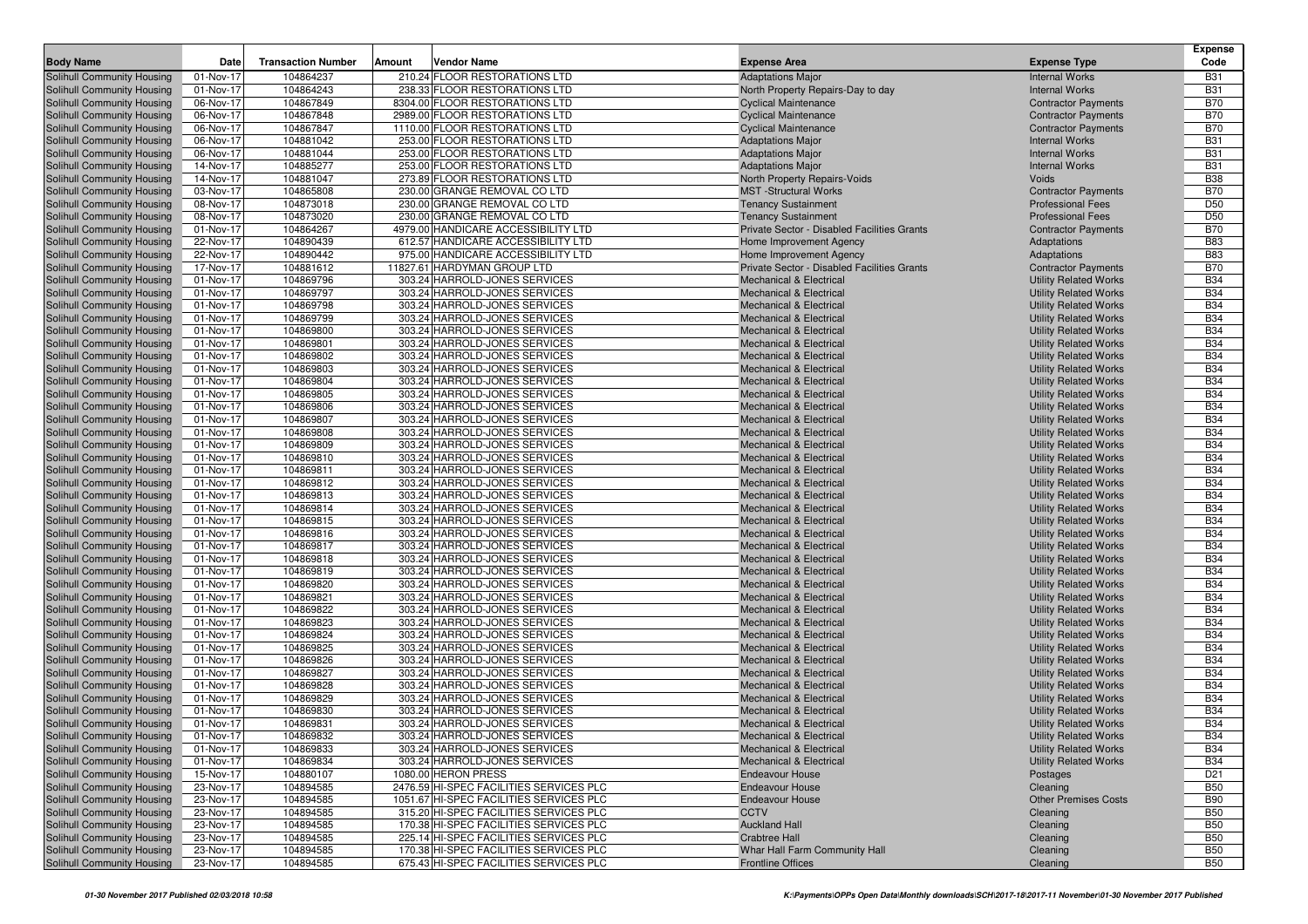|                                                          |                        |                           |                                                                     |                                                                           |                                                              | Expense                       |
|----------------------------------------------------------|------------------------|---------------------------|---------------------------------------------------------------------|---------------------------------------------------------------------------|--------------------------------------------------------------|-------------------------------|
| <b>Body Name</b>                                         | Date                   | <b>Transaction Number</b> | Vendor Name<br>Amount                                               | <b>Expense Area</b>                                                       | <b>Expense Type</b>                                          | Code                          |
| Solihull Community Housing                               | 01-Nov-17              | 104864237                 | 210.24 FLOOR RESTORATIONS LTD                                       | <b>Adaptations Major</b>                                                  | <b>Internal Works</b>                                        | <b>B31</b>                    |
| Solihull Community Housing                               | 01-Nov-17              | 104864243                 | 238.33 FLOOR RESTORATIONS LTD                                       | North Property Repairs-Day to day                                         | <b>Internal Works</b>                                        | <b>B31</b>                    |
| Solihull Community Housing                               | 06-Nov-17              | 104867849                 | 8304.00 FLOOR RESTORATIONS LTD                                      | <b>Cyclical Maintenance</b>                                               | <b>Contractor Payments</b>                                   | <b>B70</b>                    |
| Solihull Community Housing                               | 06-Nov-17              | 104867848                 | 2989.00 FLOOR RESTORATIONS LTD                                      | <b>Cyclical Maintenance</b>                                               | <b>Contractor Payments</b>                                   | <b>B70</b>                    |
| Solihull Community Housing                               | 06-Nov-17              | 104867847                 | 1110.00 FLOOR RESTORATIONS LTD                                      | <b>Cyclical Maintenance</b>                                               | <b>Contractor Payments</b>                                   | <b>B70</b>                    |
| Solihull Community Housing                               | 06-Nov-17              | 104881042                 | 253.00 FLOOR RESTORATIONS LTD                                       | <b>Adaptations Major</b>                                                  | <b>Internal Works</b>                                        | <b>B31</b>                    |
| Solihull Community Housing                               | 06-Nov-17              | 104881044                 | 253.00 FLOOR RESTORATIONS LTD                                       | <b>Adaptations Major</b>                                                  | <b>Internal Works</b>                                        | <b>B31</b>                    |
| Solihull Community Housing                               | 14-Nov-17              | 104885277                 | 253.00 FLOOR RESTORATIONS LTD                                       | <b>Adaptations Major</b>                                                  | <b>Internal Works</b>                                        | <b>B31</b>                    |
| Solihull Community Housing                               | 14-Nov-17              | 104881047                 | 273.89 FLOOR RESTORATIONS LTD                                       | North Property Repairs-Voids                                              | Voids                                                        | <b>B38</b>                    |
| Solihull Community Housing                               | 03-Nov-17              | 104865808                 | 230.00 GRANGE REMOVAL CO LTD                                        | <b>MST</b> -Structural Works                                              | <b>Contractor Payments</b>                                   | <b>B70</b>                    |
| Solihull Community Housing                               | 08-Nov-17              | 104873018                 | 230.00 GRANGE REMOVAL CO LTD                                        | <b>Tenancy Sustainment</b>                                                | <b>Professional Fees</b>                                     | D <sub>50</sub>               |
| Solihull Community Housing                               | 08-Nov-17              | 104873020<br>104864267    | 230.00 GRANGE REMOVAL CO LTD<br>4979.00 HANDICARE ACCESSIBILITY LTD | <b>Tenancy Sustainment</b><br>Private Sector - Disabled Facilities Grants | <b>Professional Fees</b>                                     | D <sub>50</sub><br><b>B70</b> |
| Solihull Community Housing<br>Solihull Community Housing | 01-Nov-17<br>22-Nov-17 | 104890439                 | 612.57 HANDICARE ACCESSIBILITY LTD                                  | Home Improvement Agency                                                   | <b>Contractor Payments</b><br>Adaptations                    | <b>B83</b>                    |
| Solihull Community Housing                               | 22-Nov-17              | 104890442                 | 975.00 HANDICARE ACCESSIBILITY LTD                                  | Home Improvement Agency                                                   | Adaptations                                                  | <b>B83</b>                    |
| Solihull Community Housing                               | 17-Nov-17              | 104881612                 | 11827.61 HARDYMAN GROUP LTD                                         | Private Sector - Disabled Facilities Grants                               | <b>Contractor Payments</b>                                   | <b>B70</b>                    |
| Solihull Community Housing                               | 01-Nov-17              | 104869796                 | 303.24 HARROLD-JONES SERVICES                                       | <b>Mechanical &amp; Electrical</b>                                        | <b>Utility Related Works</b>                                 | <b>B34</b>                    |
| Solihull Community Housing                               | 01-Nov-17              | 104869797                 | 303.24 HARROLD-JONES SERVICES                                       | <b>Mechanical &amp; Electrical</b>                                        | <b>Utility Related Works</b>                                 | <b>B34</b>                    |
| Solihull Community Housing                               | 01-Nov-17              | 104869798                 | 303.24 HARROLD-JONES SERVICES                                       | <b>Mechanical &amp; Electrical</b>                                        | <b>Utility Related Works</b>                                 | <b>B34</b>                    |
| Solihull Community Housing                               | 01-Nov-17              | 104869799                 | 303.24 HARROLD-JONES SERVICES                                       | <b>Mechanical &amp; Electrical</b>                                        | <b>Utility Related Works</b>                                 | <b>B34</b>                    |
| Solihull Community Housing                               | 01-Nov-17              | 104869800                 | 303.24 HARROLD-JONES SERVICES                                       | <b>Mechanical &amp; Electrical</b>                                        | <b>Utility Related Works</b>                                 | <b>B34</b>                    |
| Solihull Community Housing                               | 01-Nov-17              | 104869801                 | 303.24 HARROLD-JONES SERVICES                                       | <b>Mechanical &amp; Electrical</b>                                        | <b>Utility Related Works</b>                                 | <b>B34</b>                    |
| Solihull Community Housing                               | 01-Nov-17              | 104869802                 | 303.24 HARROLD-JONES SERVICES                                       | <b>Mechanical &amp; Electrical</b>                                        | <b>Utility Related Works</b>                                 | <b>B34</b>                    |
| Solihull Community Housing                               | 01-Nov-17              | 104869803                 | 303.24 HARROLD-JONES SERVICES                                       | <b>Mechanical &amp; Electrical</b>                                        | <b>Utility Related Works</b>                                 | <b>B34</b>                    |
| Solihull Community Housing                               | 01-Nov-17              | 104869804                 | 303.24 HARROLD-JONES SERVICES                                       | <b>Mechanical &amp; Electrical</b>                                        | <b>Utility Related Works</b>                                 | <b>B34</b>                    |
| Solihull Community Housing                               | 01-Nov-17              | 104869805                 | 303.24 HARROLD-JONES SERVICES                                       | Mechanical & Electrical                                                   | <b>Utility Related Works</b>                                 | <b>B34</b>                    |
| Solihull Community Housing                               | 01-Nov-17              | 104869806                 | 303.24 HARROLD-JONES SERVICES                                       | Mechanical & Electrical                                                   | <b>Utility Related Works</b>                                 | <b>B34</b>                    |
| Solihull Community Housing                               | 01-Nov-17              | 104869807                 | 303.24 HARROLD-JONES SERVICES                                       | <b>Mechanical &amp; Electrical</b>                                        | <b>Utility Related Works</b>                                 | <b>B34</b>                    |
| Solihull Community Housing                               | 01-Nov-17              | 104869808                 | 303.24 HARROLD-JONES SERVICES                                       | <b>Mechanical &amp; Electrical</b>                                        | <b>Utility Related Works</b>                                 | <b>B34</b>                    |
| Solihull Community Housing                               | 01-Nov-17              | 104869809                 | 303.24 HARROLD-JONES SERVICES                                       | <b>Mechanical &amp; Electrical</b>                                        | <b>Utility Related Works</b>                                 | <b>B34</b>                    |
| Solihull Community Housing                               | 01-Nov-17              | 104869810                 | 303.24 HARROLD-JONES SERVICES                                       | <b>Mechanical &amp; Electrical</b>                                        | <b>Utility Related Works</b>                                 | <b>B34</b>                    |
| Solihull Community Housing                               | 01-Nov-17              | 104869811                 | 303.24 HARROLD-JONES SERVICES                                       | <b>Mechanical &amp; Electrical</b>                                        | <b>Utility Related Works</b>                                 | <b>B34</b>                    |
| Solihull Community Housing                               | 01-Nov-17              | 104869812                 | 303.24 HARROLD-JONES SERVICES                                       | <b>Mechanical &amp; Electrical</b>                                        | <b>Utility Related Works</b>                                 | <b>B34</b><br><b>B34</b>      |
| Solihull Community Housing<br>Solihull Community Housing | 01-Nov-17<br>01-Nov-17 | 104869813<br>104869814    | 303.24 HARROLD-JONES SERVICES<br>303.24 HARROLD-JONES SERVICES      | Mechanical & Electrical<br><b>Mechanical &amp; Electrical</b>             | <b>Utility Related Works</b><br><b>Utility Related Works</b> | <b>B34</b>                    |
| Solihull Community Housing                               | 01-Nov-17              | 104869815                 | 303.24 HARROLD-JONES SERVICES                                       | <b>Mechanical &amp; Electrical</b>                                        | <b>Utility Related Works</b>                                 | <b>B34</b>                    |
| Solihull Community Housing                               | 01-Nov-17              | 104869816                 | 303.24 HARROLD-JONES SERVICES                                       | <b>Mechanical &amp; Electrical</b>                                        | <b>Utility Related Works</b>                                 | <b>B34</b>                    |
| Solihull Community Housing                               | 01-Nov-17              | 104869817                 | 303.24 HARROLD-JONES SERVICES                                       | <b>Mechanical &amp; Electrical</b>                                        | <b>Utility Related Works</b>                                 | <b>B34</b>                    |
| Solihull Community Housing                               | 01-Nov-17              | 104869818                 | 303.24 HARROLD-JONES SERVICES                                       | <b>Mechanical &amp; Electrical</b>                                        | <b>Utility Related Works</b>                                 | <b>B34</b>                    |
| Solihull Community Housing                               | 01-Nov-17              | 104869819                 | 303.24 HARROLD-JONES SERVICES                                       | <b>Mechanical &amp; Electrical</b>                                        | <b>Utility Related Works</b>                                 | <b>B34</b>                    |
| Solihull Community Housing                               | 01-Nov-17              | 104869820                 | 303.24 HARROLD-JONES SERVICES                                       | <b>Mechanical &amp; Electrical</b>                                        | <b>Utility Related Works</b>                                 | <b>B34</b>                    |
| Solihull Community Housing                               | 01-Nov-17              | 104869821                 | 303.24 HARROLD-JONES SERVICES                                       | <b>Mechanical &amp; Electrical</b>                                        | <b>Utility Related Works</b>                                 | <b>B34</b>                    |
| Solihull Community Housing                               | 01-Nov-17              | 104869822                 | 303.24 HARROLD-JONES SERVICES                                       | Mechanical & Electrical                                                   | <b>Utility Related Works</b>                                 | <b>B34</b>                    |
| Solihull Community Housing                               | 01-Nov-17              | 104869823                 | 303.24 HARROLD-JONES SERVICES                                       | <b>Mechanical &amp; Electrical</b>                                        | <b>Utility Related Works</b>                                 | <b>B34</b>                    |
| Solihull Community Housing                               | 01-Nov-17              | 104869824                 | 303.24 HARROLD-JONES SERVICES                                       | Mechanical & Electrical                                                   | <b>Utility Related Works</b>                                 | <b>B34</b>                    |
| Solihull Community Housing                               | 01-Nov-17              | 104869825                 | 303.24 HARROLD-JONES SERVICES                                       | <b>Mechanical &amp; Electrical</b>                                        | <b>Utility Related Works</b>                                 | <b>B34</b>                    |
| Solihull Community Housing                               | 01-Nov-17              | 104869826                 | 303.24 HARROLD-JONES SERVICES                                       | Mechanical & Electrical                                                   | <b>Utility Related Works</b>                                 | <b>B34</b>                    |
| Solihull Community Housing                               | 01-Nov-17              | 104869827                 | 303.24 HARROLD-JONES SERVICES                                       | <b>Mechanical &amp; Electrical</b>                                        | <b>Utility Related Works</b>                                 | <b>B34</b>                    |
| Solihull Community Housing                               | 01-Nov-17              | 104869828                 | 303.24 HARROLD-JONES SERVICES                                       | <b>Mechanical &amp; Electrical</b>                                        | <b>Utility Related Works</b>                                 | <b>B34</b>                    |
| Solihull Community Housing                               | 01-Nov-17              | 104869829                 | 303.24 HARROLD-JONES SERVICES                                       | <b>Mechanical &amp; Electrical</b>                                        | <b>Utility Related Works</b>                                 | <b>B34</b>                    |
| Solihull Community Housing                               | 01-Nov-17              | 104869830                 | 303.24 HARROLD-JONES SERVICES                                       | <b>Mechanical &amp; Electrical</b>                                        | <b>Utility Related Works</b>                                 | <b>B34</b>                    |
| Solihull Community Housing                               | 01-Nov-17              | 104869831                 | 303.24 HARROLD-JONES SERVICES                                       | Mechanical & Electrical                                                   | <b>Utility Related Works</b>                                 | <b>B34</b>                    |
| Solihull Community Housing                               | 01-Nov-17              | 104869832                 | 303.24 HARROLD-JONES SERVICES                                       | Mechanical & Electrical                                                   | <b>Utility Related Works</b>                                 | <b>B34</b><br><b>B34</b>      |
| Solihull Community Housing<br>Solihull Community Housing | 01-Nov-17<br>01-Nov-17 | 104869833<br>104869834    | 303.24 HARROLD-JONES SERVICES<br>303.24 HARROLD-JONES SERVICES      | <b>Mechanical &amp; Electrical</b><br><b>Mechanical &amp; Electrical</b>  | <b>Utility Related Works</b><br><b>Utility Related Works</b> | <b>B34</b>                    |
| Solihull Community Housing                               | 15-Nov-17              | 104880107                 | 1080.00 HERON PRESS                                                 | <b>Endeavour House</b>                                                    | Postages                                                     | D <sub>21</sub>               |
| Solihull Community Housing                               | 23-Nov-17              | 104894585                 | 2476.59 HI-SPEC FACILITIES SERVICES PLC                             | <b>Endeavour House</b>                                                    | Cleaning                                                     | <b>B50</b>                    |
| Solihull Community Housing                               | 23-Nov-17              | 104894585                 | 1051.67 HI-SPEC FACILITIES SERVICES PLC                             | <b>Endeavour House</b>                                                    | <b>Other Premises Costs</b>                                  | <b>B90</b>                    |
| Solihull Community Housing                               | 23-Nov-17              | 104894585                 | 315.20 HI-SPEC FACILITIES SERVICES PLC                              | <b>CCTV</b>                                                               | Cleaning                                                     | <b>B50</b>                    |
| Solihull Community Housing                               | 23-Nov-17              | 104894585                 | 170.38 HI-SPEC FACILITIES SERVICES PLC                              | <b>Auckland Hall</b>                                                      | Cleaning                                                     | <b>B50</b>                    |
| Solihull Community Housing                               | 23-Nov-17              | 104894585                 | 225.14 HI-SPEC FACILITIES SERVICES PLC                              | <b>Crabtree Hall</b>                                                      | Cleaning                                                     | <b>B50</b>                    |
| Solihull Community Housing                               | 23-Nov-17              | 104894585                 | 170.38 HI-SPEC FACILITIES SERVICES PLC                              | Whar Hall Farm Community Hall                                             | Cleaning                                                     | <b>B50</b>                    |
| Solihull Community Housing                               | 23-Nov-17              | 104894585                 | 675.43 HI-SPEC FACILITIES SERVICES PLC                              | <b>Frontline Offices</b>                                                  | Cleaning                                                     | <b>B50</b>                    |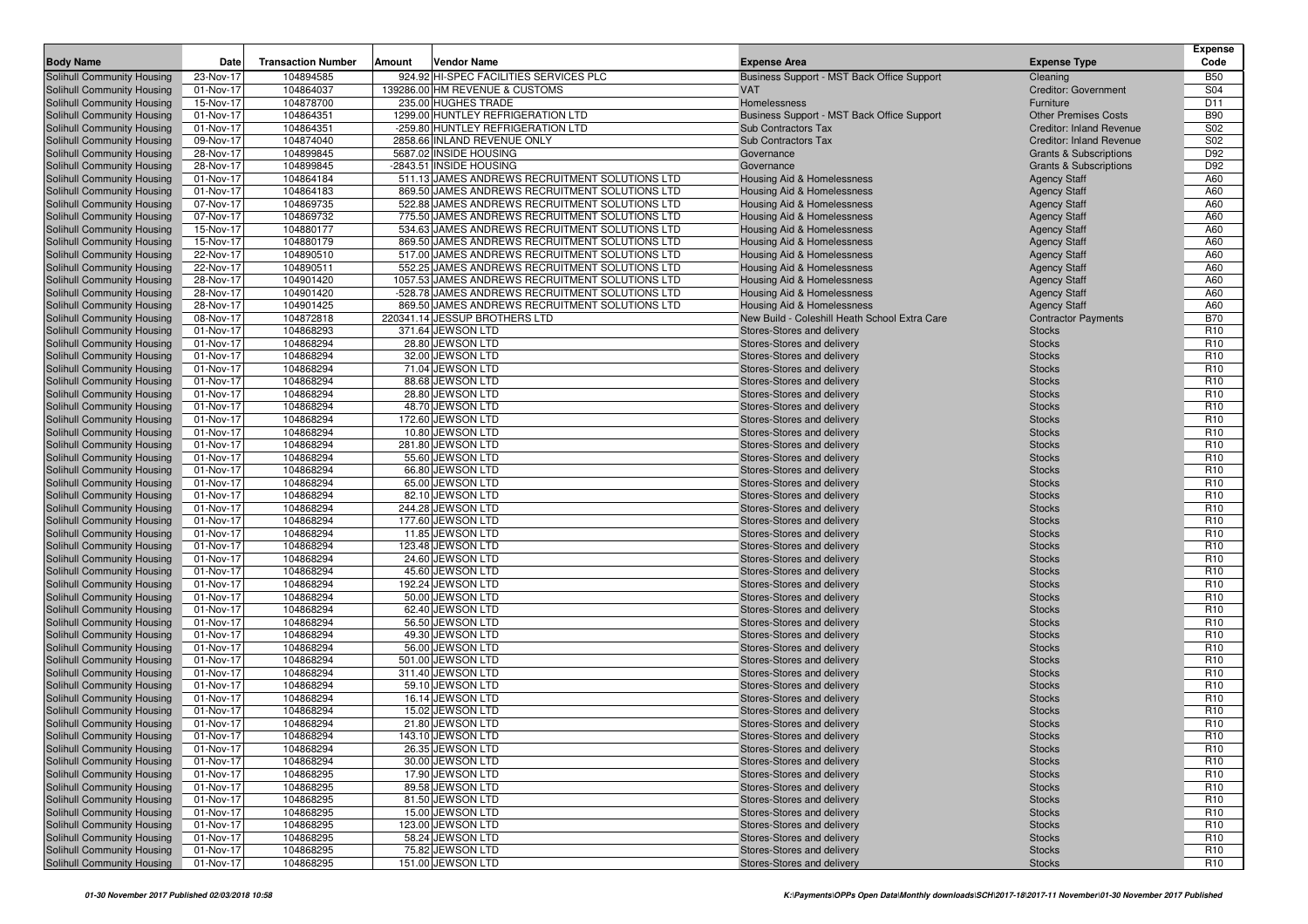| <b>Body Name</b>                                         | Date                   | <b>Transaction Number</b> | Vendor Name<br>Amount                           | <b>Expense Area</b>                                      | <b>Expense Type</b>               | Expense<br>Code                    |
|----------------------------------------------------------|------------------------|---------------------------|-------------------------------------------------|----------------------------------------------------------|-----------------------------------|------------------------------------|
| Solihull Community Housing                               | 23-Nov-17              | 104894585                 | 924.92 HI-SPEC FACILITIES SERVICES PLC          | Business Support - MST Back Office Support               | Cleaning                          | <b>B50</b>                         |
| Solihull Community Housing                               | 01-Nov-17              | 104864037                 | 139286.00 HM REVENUE & CUSTOMS                  | <b>VAT</b>                                               | <b>Creditor: Government</b>       | S04                                |
| Solihull Community Housing                               | 15-Nov-17              | 104878700                 | 235.00 HUGHES TRADE                             | Homelessness                                             | Furniture                         | D11                                |
| Solihull Community Housing                               | 01-Nov-17              | 104864351                 | 1299.00 HUNTLEY REFRIGERATION LTD               | Business Support - MST Back Office Support               | <b>Other Premises Costs</b>       | <b>B90</b>                         |
| Solihull Community Housing                               | 01-Nov-17              | 104864351                 | -259.80 HUNTLEY REFRIGERATION LTD               | Sub Contractors Tax                                      | <b>Creditor: Inland Revenue</b>   | S02                                |
| Solihull Community Housing                               | 09-Nov-17              | 104874040                 | 2858.66 INLAND REVENUE ONLY                     | Sub Contractors Tax                                      | <b>Creditor: Inland Revenue</b>   | S02                                |
| Solihull Community Housing                               | 28-Nov-17              | 104899845                 | 5687.02 INSIDE HOUSING                          | Governance                                               | <b>Grants &amp; Subscriptions</b> | D92                                |
| Solihull Community Housing                               | 28-Nov-17              | 104899845                 | -2843.51 INSIDE HOUSING                         | Governance                                               | <b>Grants &amp; Subscriptions</b> | D92                                |
| Solihull Community Housing                               | 01-Nov-17              | 104864184                 | 511.13 JAMES ANDREWS RECRUITMENT SOLUTIONS LTD  | Housing Aid & Homelessness                               | <b>Agency Staff</b>               | A60                                |
| Solihull Community Housing                               | 01-Nov-17              | 104864183                 | 869.50 JAMES ANDREWS RECRUITMENT SOLUTIONS LTD  | Housing Aid & Homelessness                               | <b>Agency Staff</b>               | A60                                |
| Solihull Community Housing                               | 07-Nov-17              | 104869735                 | 522.88 JAMES ANDREWS RECRUITMENT SOLUTIONS LTD  | Housing Aid & Homelessness                               | <b>Agency Staff</b>               | A60                                |
| Solihull Community Housing                               | 07-Nov-17              | 104869732                 | 775.50 JAMES ANDREWS RECRUITMENT SOLUTIONS LTD  | Housing Aid & Homelessness                               | <b>Agency Staff</b>               | A60                                |
| Solihull Community Housing                               | 15-Nov-17              | 104880177                 | 534.63 JAMES ANDREWS RECRUITMENT SOLUTIONS LTD  | Housing Aid & Homelessness                               | <b>Agency Staff</b>               | A60                                |
| Solihull Community Housing                               | 15-Nov-17              | 104880179                 | 869.50 JAMES ANDREWS RECRUITMENT SOLUTIONS LTD  | <b>Housing Aid &amp; Homelessness</b>                    | <b>Agency Staff</b>               | A60                                |
| Solihull Community Housing                               | 22-Nov-17              | 104890510                 | 517.00 JAMES ANDREWS RECRUITMENT SOLUTIONS LTD  | Housing Aid & Homelessness                               | <b>Agency Staff</b>               | A60                                |
| Solihull Community Housing                               | 22-Nov-17              | 104890511                 | 552.25 JAMES ANDREWS RECRUITMENT SOLUTIONS LTD  | Housing Aid & Homelessness                               | <b>Agency Staff</b>               | A60                                |
| Solihull Community Housing                               | 28-Nov-17              | 104901420                 | 1057.53 JAMES ANDREWS RECRUITMENT SOLUTIONS LTD | Housing Aid & Homelessness                               | <b>Agency Staff</b>               | A60                                |
| Solihull Community Housing                               | 28-Nov-17              | 104901420                 | -528.78 JAMES ANDREWS RECRUITMENT SOLUTIONS LTD | Housing Aid & Homelessness                               | <b>Agency Staff</b>               | A60                                |
| Solihull Community Housing                               | 28-Nov-17              | 104901425                 | 869.50 JAMES ANDREWS RECRUITMENT SOLUTIONS LTD  | Housing Aid & Homelessness                               | <b>Agency Staff</b>               | A60                                |
| Solihull Community Housing                               | 08-Nov-17              | 104872818                 | 220341.14 JESSUP BROTHERS LTD                   | New Build - Coleshill Heath School Extra Care            | <b>Contractor Payments</b>        | <b>B70</b>                         |
| Solihull Community Housing                               | 01-Nov-17              | 104868293                 | 371.64 JEWSON LTD                               | Stores-Stores and delivery                               | <b>Stocks</b>                     | R <sub>10</sub>                    |
| Solihull Community Housing                               | 01-Nov-17              | 104868294                 | 28.80 JEWSON LTD                                | Stores-Stores and delivery                               | <b>Stocks</b>                     | R <sub>10</sub>                    |
| Solihull Community Housing                               | 01-Nov-17              | 104868294                 | 32.00 JEWSON LTD                                | Stores-Stores and delivery                               | <b>Stocks</b>                     | R <sub>10</sub>                    |
| Solihull Community Housing                               | 01-Nov-17              | 104868294                 | 71.04 JEWSON LTD                                | Stores-Stores and delivery                               | <b>Stocks</b>                     | R <sub>10</sub>                    |
| Solihull Community Housing                               | 01-Nov-17              | 104868294                 | 88.68 JEWSON LTD                                | Stores-Stores and delivery                               | <b>Stocks</b>                     | R <sub>10</sub>                    |
| Solihull Community Housing                               | 01-Nov-17              | 104868294                 | 28.80 JEWSON LTD                                | Stores-Stores and delivery                               | <b>Stocks</b>                     | R <sub>10</sub>                    |
| Solihull Community Housing                               | 01-Nov-17              | 104868294                 | 48.70 JEWSON LTD                                | Stores-Stores and delivery                               | <b>Stocks</b>                     | R <sub>10</sub>                    |
| Solihull Community Housing                               | 01-Nov-17              | 104868294                 | 172.60 JEWSON LTD<br>10.80 JEWSON LTD           | Stores-Stores and delivery                               | <b>Stocks</b>                     | R <sub>10</sub>                    |
| Solihull Community Housing                               | 01-Nov-17              | 104868294<br>104868294    | 281.80 JEWSON LTD                               | Stores-Stores and delivery                               | <b>Stocks</b>                     | R <sub>10</sub><br>R <sub>10</sub> |
| Solihull Community Housing<br>Solihull Community Housing | 01-Nov-17<br>01-Nov-17 | 104868294                 | 55.60 JEWSON LTD                                | Stores-Stores and delivery<br>Stores-Stores and delivery | <b>Stocks</b><br><b>Stocks</b>    | R <sub>10</sub>                    |
| Solihull Community Housing                               | 01-Nov-17              | 104868294                 | 66.80 JEWSON LTD                                | Stores-Stores and delivery                               | <b>Stocks</b>                     | R <sub>10</sub>                    |
| Solihull Community Housing                               | 01-Nov-17              | 104868294                 | 65.00 JEWSON LTD                                | Stores-Stores and delivery                               | <b>Stocks</b>                     | R <sub>10</sub>                    |
| Solihull Community Housing                               | 01-Nov-17              | 104868294                 | 82.10 JEWSON LTD                                | Stores-Stores and delivery                               | <b>Stocks</b>                     | R <sub>10</sub>                    |
| Solihull Community Housing                               | 01-Nov-17              | 104868294                 | 244.28 JEWSON LTD                               | Stores-Stores and delivery                               | <b>Stocks</b>                     | R <sub>10</sub>                    |
| Solihull Community Housing                               | 01-Nov-17              | 104868294                 | 177.60 JEWSON LTD                               | Stores-Stores and delivery                               | <b>Stocks</b>                     | R <sub>10</sub>                    |
| Solihull Community Housing                               | 01-Nov-17              | 104868294                 | 11.85 JEWSON LTD                                | Stores-Stores and delivery                               | <b>Stocks</b>                     | R <sub>10</sub>                    |
| <b>Solihull Community Housing</b>                        | 01-Nov-17              | 104868294                 | 123.48 JEWSON LTD                               | Stores-Stores and delivery                               | <b>Stocks</b>                     | R <sub>10</sub>                    |
| Solihull Community Housing                               | 01-Nov-17              | 104868294                 | 24.60 JEWSON LTD                                | Stores-Stores and delivery                               | <b>Stocks</b>                     | R <sub>10</sub>                    |
| Solihull Community Housing                               | 01-Nov-17              | 104868294                 | 45.60 JEWSON LTD                                | Stores-Stores and delivery                               | <b>Stocks</b>                     | R <sub>10</sub>                    |
| Solihull Community Housing                               | 01-Nov-17              | 104868294                 | 192.24 JEWSON LTD                               | Stores-Stores and delivery                               | <b>Stocks</b>                     | R <sub>10</sub>                    |
| Solihull Community Housing                               | 01-Nov-17              | 104868294                 | 50.00 JEWSON LTD                                | Stores-Stores and delivery                               | <b>Stocks</b>                     | R <sub>10</sub>                    |
| Solihull Community Housing                               | 01-Nov-17              | 104868294                 | 62.40 JEWSON LTD                                | Stores-Stores and delivery                               | <b>Stocks</b>                     | R <sub>10</sub>                    |
| Solihull Community Housing                               | 01-Nov-17              | 104868294                 | 56.50 JEWSON LTD                                | Stores-Stores and delivery                               | <b>Stocks</b>                     | R <sub>10</sub>                    |
| Solihull Community Housing                               | 01-Nov-17              | 104868294                 | 49.30 JEWSON LTD                                | Stores-Stores and delivery                               | <b>Stocks</b>                     | R <sub>10</sub>                    |
| Solihull Community Housing                               | 01-Nov-17              | 104868294                 | 56.00 JEWSON LTD                                | Stores-Stores and delivery                               | <b>Stocks</b>                     | R <sub>10</sub>                    |
| Solihull Community Housing                               | 01-Nov-17              | 104868294                 | 501.00 JEWSON LTD                               | Stores-Stores and delivery                               | <b>Stocks</b>                     | R <sub>10</sub>                    |
| Solihull Community Housing                               | 01-Nov-17              | 104868294                 | 311.40 JEWSON LTD                               | Stores-Stores and delivery                               | <b>Stocks</b>                     | R <sub>10</sub>                    |
| Solihull Community Housing                               | 01-Nov-17              | 104868294                 | 59.10 JEWSON LTD                                | Stores-Stores and delivery                               | <b>Stocks</b>                     | R <sub>10</sub>                    |
| Solihull Community Housing                               | 01-Nov-17              | 104868294                 | 16.14 JEWSON LTD                                | Stores-Stores and delivery                               | <b>Stocks</b>                     | R <sub>10</sub>                    |
| Solihull Community Housing                               | 01-Nov-17              | 104868294                 | 15.02 JEWSON LTD                                | Stores-Stores and delivery                               | <b>Stocks</b>                     | R <sub>10</sub>                    |
| Solihull Community Housing                               | 01-Nov-17              | 104868294                 | 21.80 JEWSON LTD                                | Stores-Stores and delivery                               | <b>Stocks</b>                     | R <sub>10</sub>                    |
| Solihull Community Housing                               | 01-Nov-17              | 104868294                 | 143.10 JEWSON LTD                               | Stores-Stores and delivery                               | <b>Stocks</b>                     | R <sub>10</sub>                    |
| Solihull Community Housing                               | 01-Nov-17              | 104868294                 | 26.35 JEWSON LTD                                | Stores-Stores and delivery                               | <b>Stocks</b>                     | R <sub>10</sub>                    |
| Solihull Community Housing                               | 01-Nov-17              | 104868294                 | 30.00 JEWSON LTD                                | Stores-Stores and delivery                               | <b>Stocks</b>                     | R <sub>10</sub>                    |
| Solihull Community Housing                               | 01-Nov-17              | 104868295                 | 17.90 JEWSON LTD                                | Stores-Stores and delivery                               | <b>Stocks</b>                     | R <sub>10</sub>                    |
| Solihull Community Housing                               | 01-Nov-17              | 104868295                 | 89.58 JEWSON LTD                                | Stores-Stores and delivery                               | <b>Stocks</b>                     | R <sub>10</sub>                    |
| Solihull Community Housing                               | 01-Nov-17              | 104868295                 | 81.50 JEWSON LTD                                | Stores-Stores and delivery                               | <b>Stocks</b>                     | R <sub>10</sub>                    |
| Solihull Community Housing<br>Solihull Community Housing | 01-Nov-17<br>01-Nov-17 | 104868295<br>104868295    | 15.00 JEWSON LTD<br>123.00 JEWSON LTD           | Stores-Stores and delivery<br>Stores-Stores and delivery | <b>Stocks</b><br><b>Stocks</b>    | R <sub>10</sub><br>R <sub>10</sub> |
| Solihull Community Housing                               | 01-Nov-17              | 104868295                 | 58.24 JEWSON LTD                                | Stores-Stores and delivery                               | <b>Stocks</b>                     | R <sub>10</sub>                    |
| Solihull Community Housing                               | 01-Nov-17              | 104868295                 | 75.82 JEWSON LTD                                | Stores-Stores and delivery                               | <b>Stocks</b>                     | R <sub>10</sub>                    |
| Solihull Community Housing                               | 01-Nov-17              | 104868295                 | 151.00 JEWSON LTD                               | Stores-Stores and delivery                               | <b>Stocks</b>                     | R <sub>10</sub>                    |
|                                                          |                        |                           |                                                 |                                                          |                                   |                                    |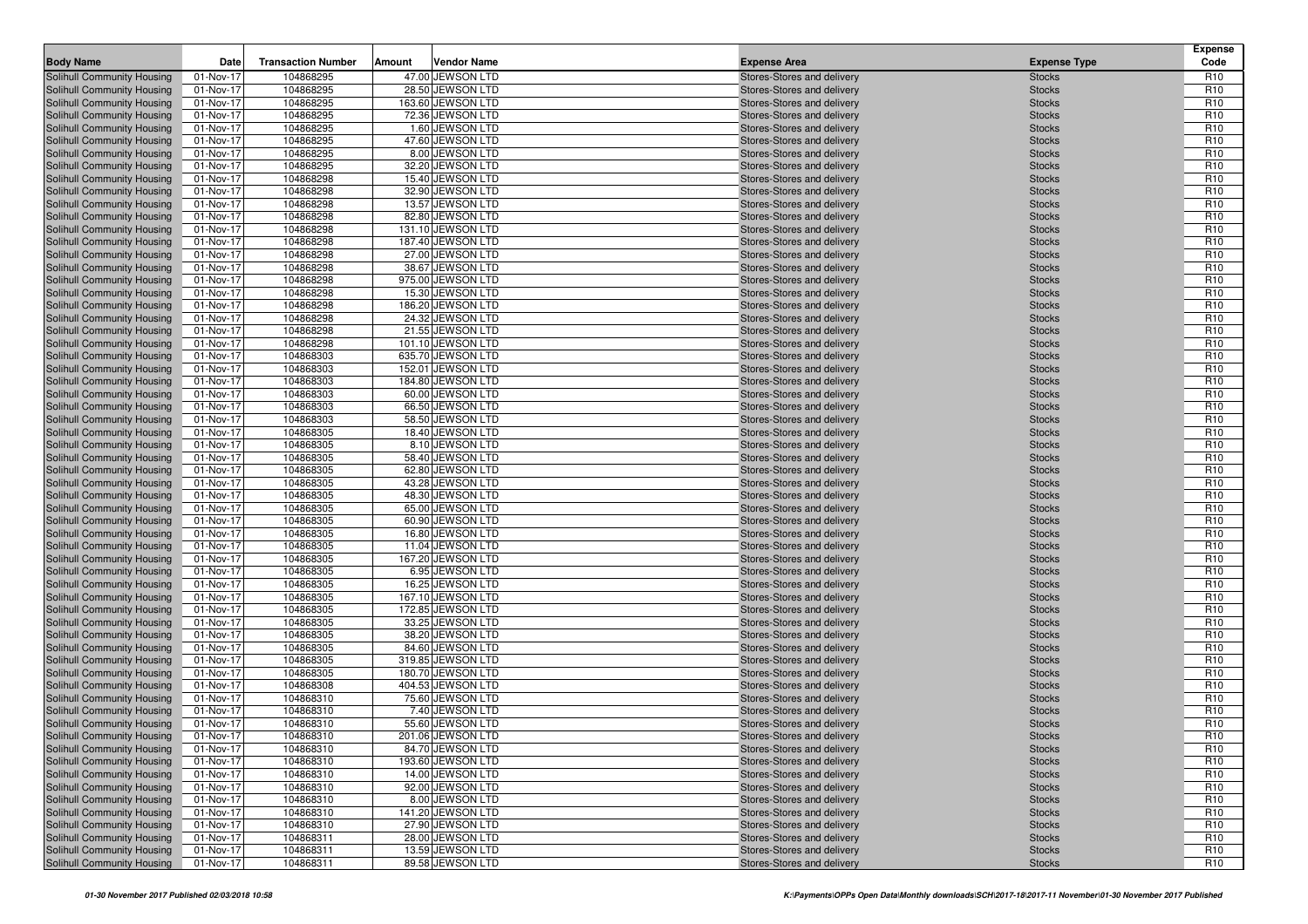| <b>Body Name</b>                                         | Date                   | <b>Transaction Number</b> | Amount | <b>Vendor Name</b>                    | <b>Expense Area</b>                                      | <b>Expense Type</b>            | <b>Expense</b><br>Code             |
|----------------------------------------------------------|------------------------|---------------------------|--------|---------------------------------------|----------------------------------------------------------|--------------------------------|------------------------------------|
| Solihull Community Housing                               | 01-Nov-17              | 104868295                 |        | 47.00 JEWSON LTD                      | Stores-Stores and delivery                               | <b>Stocks</b>                  | R <sub>10</sub>                    |
| Solihull Community Housing                               | 01-Nov-17              | 104868295                 |        | 28.50 JEWSON LTD                      | Stores-Stores and delivery                               | <b>Stocks</b>                  | R <sub>10</sub>                    |
| Solihull Community Housing                               | 01-Nov-17              | 104868295                 |        | 163.60 JEWSON LTD                     | Stores-Stores and delivery                               | <b>Stocks</b>                  | R <sub>10</sub>                    |
| Solihull Community Housing                               | 01-Nov-17              | 104868295                 |        | 72.36 JEWSON LTD                      | Stores-Stores and delivery                               | <b>Stocks</b>                  | R <sub>10</sub>                    |
| Solihull Community Housing                               | 01-Nov-17              | 104868295                 |        | 1.60 JEWSON LTD                       | Stores-Stores and delivery                               | <b>Stocks</b>                  | R <sub>10</sub>                    |
| Solihull Community Housing                               | 01-Nov-17              | 104868295                 |        | 47.60 JEWSON LTD                      | Stores-Stores and delivery                               | <b>Stocks</b>                  | R <sub>10</sub>                    |
| Solihull Community Housing                               | 01-Nov-17              | 104868295                 |        | 8.00 JEWSON LTD                       | Stores-Stores and delivery                               | <b>Stocks</b>                  | R <sub>10</sub>                    |
| Solihull Community Housing                               | 01-Nov-17              | 104868295                 |        | 32.20 JEWSON LTD                      | Stores-Stores and delivery                               | <b>Stocks</b>                  | R <sub>10</sub>                    |
| Solihull Community Housing                               | 01-Nov-17              | 104868298                 |        | 15.40 JEWSON LTD                      | Stores-Stores and delivery                               | <b>Stocks</b>                  | R <sub>10</sub>                    |
| Solihull Community Housing                               | 01-Nov-17              | 104868298                 |        | 32.90 JEWSON LTD                      | Stores-Stores and delivery                               | <b>Stocks</b>                  | R <sub>10</sub>                    |
| Solihull Community Housing                               | 01-Nov-17              | 104868298                 |        | 13.57 JEWSON LTD                      | Stores-Stores and delivery                               | <b>Stocks</b>                  | R <sub>10</sub>                    |
| Solihull Community Housing                               | 01-Nov-17              | 104868298                 |        | 82.80 JEWSON LTD                      | Stores-Stores and delivery                               | <b>Stocks</b>                  | R <sub>10</sub>                    |
| Solihull Community Housing                               | 01-Nov-17              | 104868298                 |        | 131.10 JEWSON LTD                     | Stores-Stores and delivery                               | <b>Stocks</b>                  | R <sub>10</sub>                    |
| Solihull Community Housing                               | 01-Nov-17              | 104868298                 |        | 187.40 JEWSON LTD                     | Stores-Stores and delivery                               | <b>Stocks</b>                  | R <sub>10</sub>                    |
| Solihull Community Housing                               | 01-Nov-17              | 104868298                 |        | 27.00 JEWSON LTD                      | Stores-Stores and delivery                               | <b>Stocks</b>                  | R <sub>10</sub>                    |
| Solihull Community Housing                               | 01-Nov-17              | 104868298                 |        | 38.67 JEWSON LTD                      | Stores-Stores and delivery                               | <b>Stocks</b>                  | R <sub>10</sub>                    |
| Solihull Community Housing                               | 01-Nov-17              | 104868298                 |        | 975.00 JEWSON LTD                     | Stores-Stores and delivery                               | <b>Stocks</b>                  | R <sub>10</sub>                    |
| Solihull Community Housing                               | 01-Nov-17              | 104868298                 |        | 15.30 JEWSON LTD                      | Stores-Stores and delivery                               | <b>Stocks</b>                  | R <sub>10</sub>                    |
| Solihull Community Housing                               | 01-Nov-17              | 104868298                 |        | 186.20 JEWSON LTD                     | Stores-Stores and delivery                               | <b>Stocks</b>                  | R <sub>10</sub>                    |
| Solihull Community Housing                               | 01-Nov-17              | 104868298                 |        | 24.32 JEWSON LTD                      | Stores-Stores and delivery                               | <b>Stocks</b>                  | R <sub>10</sub>                    |
| Solihull Community Housing                               | 01-Nov-17              | 104868298                 |        | 21.55 JEWSON LTD                      | Stores-Stores and delivery                               | <b>Stocks</b>                  | R <sub>10</sub>                    |
| Solihull Community Housing                               | 01-Nov-17              | 104868298                 |        | 101.10 JEWSON LTD                     | Stores-Stores and delivery                               | <b>Stocks</b>                  | R <sub>10</sub>                    |
| Solihull Community Housing                               | 01-Nov-17              | 104868303                 |        | 635.70 JEWSON LTD                     | Stores-Stores and delivery                               | <b>Stocks</b>                  | R <sub>10</sub>                    |
| Solihull Community Housing                               | 01-Nov-17              | 104868303                 |        | 152.01 JEWSON LTD                     | Stores-Stores and delivery                               | <b>Stocks</b>                  | R <sub>10</sub>                    |
| Solihull Community Housing                               | 01-Nov-17              | 104868303                 |        | 184.80 JEWSON LTD                     | Stores-Stores and delivery                               | <b>Stocks</b>                  | R <sub>10</sub>                    |
| Solihull Community Housing                               | 01-Nov-17              | 104868303                 |        | 60.00 JEWSON LTD                      | Stores-Stores and delivery                               | <b>Stocks</b>                  | R <sub>10</sub><br>R <sub>10</sub> |
| Solihull Community Housing                               | 01-Nov-17<br>01-Nov-17 | 104868303<br>104868303    |        | 66.50 JEWSON LTD<br>58.50 JEWSON LTD  | Stores-Stores and delivery                               | <b>Stocks</b>                  | R <sub>10</sub>                    |
| Solihull Community Housing                               | 01-Nov-17              | 104868305                 |        | 18.40 JEWSON LTD                      | Stores-Stores and delivery<br>Stores-Stores and delivery | <b>Stocks</b>                  | R <sub>10</sub>                    |
| Solihull Community Housing<br>Solihull Community Housing | 01-Nov-17              | 104868305                 |        | 8.10 JEWSON LTD                       | Stores-Stores and delivery                               | <b>Stocks</b><br><b>Stocks</b> | R <sub>10</sub>                    |
| Solihull Community Housing                               | 01-Nov-17              | 104868305                 |        | 58.40 JEWSON LTD                      | Stores-Stores and delivery                               | <b>Stocks</b>                  | R <sub>10</sub>                    |
| Solihull Community Housing                               | 01-Nov-17              | 104868305                 |        | 62.80 JEWSON LTD                      | Stores-Stores and delivery                               | <b>Stocks</b>                  | R <sub>10</sub>                    |
| Solihull Community Housing                               | 01-Nov-17              | 104868305                 |        | 43.28 JEWSON LTD                      | Stores-Stores and delivery                               | <b>Stocks</b>                  | R <sub>10</sub>                    |
| Solihull Community Housing                               | 01-Nov-17              | 104868305                 |        | 48.30 JEWSON LTD                      | Stores-Stores and delivery                               | <b>Stocks</b>                  | R <sub>10</sub>                    |
| Solihull Community Housing                               | 01-Nov-17              | 104868305                 |        | 65.00 JEWSON LTD                      | Stores-Stores and delivery                               | <b>Stocks</b>                  | R <sub>10</sub>                    |
| Solihull Community Housing                               | 01-Nov-17              | 104868305                 |        | 60.90 JEWSON LTD                      | Stores-Stores and delivery                               | <b>Stocks</b>                  | R <sub>10</sub>                    |
| Solihull Community Housing                               | 01-Nov-17              | 104868305                 |        | 16.80 JEWSON LTD                      | Stores-Stores and delivery                               | <b>Stocks</b>                  | R <sub>10</sub>                    |
| Solihull Community Housing                               | 01-Nov-17              | 104868305                 |        | 11.04 JEWSON LTD                      | Stores-Stores and delivery                               | <b>Stocks</b>                  | R <sub>10</sub>                    |
| Solihull Community Housing                               | 01-Nov-17              | 104868305                 |        | 167.20 JEWSON LTD                     | Stores-Stores and delivery                               | <b>Stocks</b>                  | R <sub>10</sub>                    |
| Solihull Community Housing                               | 01-Nov-17              | 104868305                 |        | 6.95 JEWSON LTD                       | Stores-Stores and delivery                               | <b>Stocks</b>                  | R <sub>10</sub>                    |
| Solihull Community Housing                               | 01-Nov-17              | 104868305                 |        | 16.25 JEWSON LTD                      | Stores-Stores and delivery                               | <b>Stocks</b>                  | R <sub>10</sub>                    |
| Solihull Community Housing                               | 01-Nov-17              | 104868305                 |        | 167.10 JEWSON LTD                     | Stores-Stores and delivery                               | <b>Stocks</b>                  | R <sub>10</sub>                    |
| Solihull Community Housing                               | 01-Nov-17              | 104868305                 |        | 172.85 JEWSON LTD                     | Stores-Stores and delivery                               | <b>Stocks</b>                  | R <sub>10</sub>                    |
| Solihull Community Housing                               | 01-Nov-17              | 104868305                 |        | 33.25 JEWSON LTD                      | Stores-Stores and delivery                               | <b>Stocks</b>                  | R <sub>10</sub>                    |
| Solihull Community Housing                               | 01-Nov-17              | 104868305                 |        | 38.20 JEWSON LTD                      | Stores-Stores and delivery                               | <b>Stocks</b>                  | R <sub>10</sub>                    |
| Solihull Community Housing                               | 01-Nov-17              | 104868305                 |        | 84.60 JEWSON LTD                      | Stores-Stores and delivery                               | <b>Stocks</b>                  | R <sub>10</sub>                    |
| Solihull Community Housing                               | 01-Nov-17              | 104868305                 |        | 319.85 JEWSON LTD                     | Stores-Stores and delivery                               | <b>Stocks</b>                  | R <sub>10</sub>                    |
| Solihull Community Housing                               | 01-Nov-17              | 104868305                 |        | 180.70 JEWSON LTD                     | Stores-Stores and delivery                               | <b>Stocks</b>                  | R <sub>10</sub>                    |
| Solihull Community Housing                               | 01-Nov-17              | 104868308                 |        | 404.53 JEWSON LTD                     | Stores-Stores and delivery                               | <b>Stocks</b>                  | R <sub>10</sub>                    |
| Solihull Community Housing                               | 01-Nov-17              | 104868310                 |        | 75.60 JEWSON LTD                      | Stores-Stores and delivery                               | <b>Stocks</b>                  | R <sub>10</sub>                    |
| Solihull Community Housing                               | 01-Nov-17              | 104868310                 |        | 7.40 JEWSON LTD                       | Stores-Stores and delivery                               | <b>Stocks</b>                  | R <sub>10</sub>                    |
| <b>Solihull Community Housing</b>                        | 01-Nov-17              | 104868310                 |        | 55.60 JEWSON LTD                      | Stores-Stores and delivery                               | <b>Stocks</b>                  | R <sub>10</sub>                    |
| Solihull Community Housing                               | 01-Nov-17              | 104868310                 |        | 201.06 JEWSON LTD                     | Stores-Stores and delivery                               | <b>Stocks</b>                  | R <sub>10</sub>                    |
| Solihull Community Housing                               | 01-Nov-17              | 104868310                 |        | 84.70 JEWSON LTD                      | Stores-Stores and delivery                               | <b>Stocks</b>                  | R <sub>10</sub>                    |
| Solihull Community Housing                               | 01-Nov-17              | 104868310                 |        | 193.60 JEWSON LTD                     | Stores-Stores and delivery                               | <b>Stocks</b>                  | R <sub>10</sub>                    |
| Solihull Community Housing                               | 01-Nov-17              | 104868310                 |        | 14.00 JEWSON LTD                      | Stores-Stores and delivery                               | <b>Stocks</b>                  | R <sub>10</sub>                    |
| Solihull Community Housing                               | 01-Nov-17              | 104868310                 |        | 92.00 JEWSON LTD                      | Stores-Stores and delivery                               | <b>Stocks</b>                  | R <sub>10</sub>                    |
| Solihull Community Housing                               | 01-Nov-17              | 104868310                 |        | 8.00 JEWSON LTD                       | Stores-Stores and delivery                               | <b>Stocks</b>                  | R <sub>10</sub>                    |
| Solihull Community Housing<br>Solihull Community Housing | 01-Nov-17<br>01-Nov-17 | 104868310<br>104868310    |        | 141.20 JEWSON LTD<br>27.90 JEWSON LTD | Stores-Stores and delivery<br>Stores-Stores and delivery | <b>Stocks</b><br><b>Stocks</b> | R <sub>10</sub><br>R <sub>10</sub> |
| Solihull Community Housing                               |                        | 104868311                 |        | 28.00 JEWSON LTD                      | Stores-Stores and delivery                               | <b>Stocks</b>                  | R <sub>10</sub>                    |
| Solihull Community Housing                               | 01-Nov-17<br>01-Nov-17 | 104868311                 |        | 13.59 JEWSON LTD                      | Stores-Stores and delivery                               | <b>Stocks</b>                  | R <sub>10</sub>                    |
| Solihull Community Housing                               | 01-Nov-17              | 104868311                 |        | 89.58 JEWSON LTD                      | Stores-Stores and delivery                               | <b>Stocks</b>                  | R <sub>10</sub>                    |
|                                                          |                        |                           |        |                                       |                                                          |                                |                                    |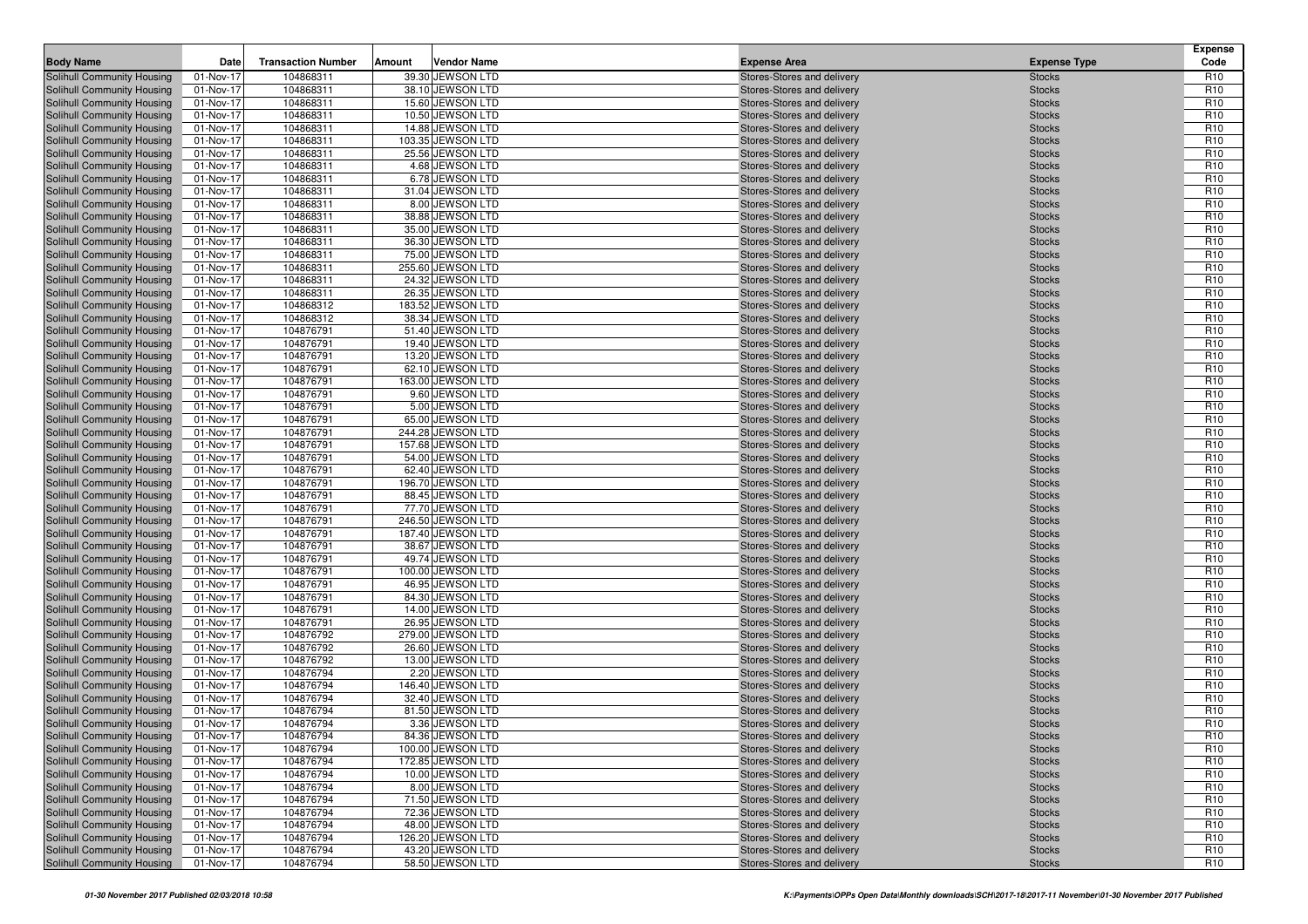| <b>Body Name</b>                                         | Date                   | <b>Transaction Number</b> | Amount | <b>Vendor Name</b>                    | <b>Expense Area</b>                                      | <b>Expense Type</b>            | <b>Expense</b><br>Code             |
|----------------------------------------------------------|------------------------|---------------------------|--------|---------------------------------------|----------------------------------------------------------|--------------------------------|------------------------------------|
| Solihull Community Housing                               | 01-Nov-17              | 104868311                 |        | 39.30 JEWSON LTD                      | Stores-Stores and delivery                               | <b>Stocks</b>                  | R <sub>10</sub>                    |
| Solihull Community Housing                               | 01-Nov-17              | 104868311                 |        | 38.10 JEWSON LTD                      | Stores-Stores and delivery                               | <b>Stocks</b>                  | R <sub>10</sub>                    |
| Solihull Community Housing                               | 01-Nov-17              | 104868311                 |        | 15.60 JEWSON LTD                      | Stores-Stores and delivery                               | <b>Stocks</b>                  | R <sub>10</sub>                    |
| Solihull Community Housing                               | 01-Nov-17              | 104868311                 |        | 10.50 JEWSON LTD                      | Stores-Stores and delivery                               | <b>Stocks</b>                  | R <sub>10</sub>                    |
| Solihull Community Housing                               | 01-Nov-17              | 104868311                 |        | 14.88 JEWSON LTD                      | Stores-Stores and delivery                               | <b>Stocks</b>                  | R <sub>10</sub>                    |
| Solihull Community Housing                               | 01-Nov-17              | 104868311                 |        | 103.35 JEWSON LTD                     | Stores-Stores and delivery                               | <b>Stocks</b>                  | R <sub>10</sub>                    |
| Solihull Community Housing                               | 01-Nov-17              | 104868311                 |        | 25.56 JEWSON LTD                      | Stores-Stores and delivery                               | <b>Stocks</b>                  | R <sub>10</sub>                    |
| Solihull Community Housing                               | 01-Nov-17              | 104868311                 |        | 4.68 JEWSON LTD                       | Stores-Stores and delivery                               | <b>Stocks</b>                  | R <sub>10</sub>                    |
| Solihull Community Housing                               | 01-Nov-17              | 104868311                 |        | 6.78 JEWSON LTD                       | Stores-Stores and delivery                               | <b>Stocks</b>                  | R <sub>10</sub>                    |
| Solihull Community Housing                               | 01-Nov-17              | 104868311                 |        | 31.04 JEWSON LTD                      | Stores-Stores and delivery                               | <b>Stocks</b>                  | R <sub>10</sub>                    |
| Solihull Community Housing                               | 01-Nov-17              | 104868311                 |        | 8.00 JEWSON LTD                       | Stores-Stores and delivery                               | <b>Stocks</b>                  | R <sub>10</sub>                    |
| Solihull Community Housing<br>Solihull Community Housing | 01-Nov-17              | 104868311<br>104868311    |        | 38.88 JEWSON LTD<br>35.00 JEWSON LTD  | Stores-Stores and delivery                               | <b>Stocks</b>                  | R <sub>10</sub><br>R <sub>10</sub> |
| Solihull Community Housing                               | 01-Nov-17<br>01-Nov-17 | 104868311                 |        | 36.30 JEWSON LTD                      | Stores-Stores and delivery<br>Stores-Stores and delivery | <b>Stocks</b><br><b>Stocks</b> | R <sub>10</sub>                    |
| Solihull Community Housing                               | 01-Nov-17              | 104868311                 |        | 75.00 JEWSON LTD                      | Stores-Stores and delivery                               | <b>Stocks</b>                  | R <sub>10</sub>                    |
| Solihull Community Housing                               | 01-Nov-17              | 104868311                 |        | 255.60 JEWSON LTD                     | Stores-Stores and delivery                               | <b>Stocks</b>                  | R <sub>10</sub>                    |
| Solihull Community Housing                               | 01-Nov-17              | 104868311                 |        | 24.32 JEWSON LTD                      | Stores-Stores and delivery                               | <b>Stocks</b>                  | R <sub>10</sub>                    |
| Solihull Community Housing                               | 01-Nov-17              | 104868311                 |        | 26.35 JEWSON LTD                      | Stores-Stores and delivery                               | <b>Stocks</b>                  | R <sub>10</sub>                    |
| Solihull Community Housing                               | 01-Nov-17              | 104868312                 |        | 183.52 JEWSON LTD                     | Stores-Stores and delivery                               | <b>Stocks</b>                  | R <sub>10</sub>                    |
| Solihull Community Housing                               | 01-Nov-17              | 104868312                 |        | 38.34 JEWSON LTD                      | Stores-Stores and delivery                               | <b>Stocks</b>                  | R <sub>10</sub>                    |
| Solihull Community Housing                               | 01-Nov-17              | 104876791                 |        | 51.40 JEWSON LTD                      | Stores-Stores and delivery                               | <b>Stocks</b>                  | R <sub>10</sub>                    |
| Solihull Community Housing                               | 01-Nov-17              | 104876791                 |        | 19.40 JEWSON LTD                      | Stores-Stores and delivery                               | <b>Stocks</b>                  | R <sub>10</sub>                    |
| Solihull Community Housing                               | 01-Nov-17              | 104876791                 |        | 13.20 JEWSON LTD                      | Stores-Stores and delivery                               | <b>Stocks</b>                  | R <sub>10</sub>                    |
| Solihull Community Housing                               | 01-Nov-17              | 104876791                 |        | 62.10 JEWSON LTD                      | Stores-Stores and delivery                               | <b>Stocks</b>                  | R <sub>10</sub>                    |
| Solihull Community Housing                               | 01-Nov-17              | 104876791                 |        | 163.00 JEWSON LTD                     | Stores-Stores and delivery                               | <b>Stocks</b>                  | R <sub>10</sub>                    |
| Solihull Community Housing                               | 01-Nov-17              | 104876791                 |        | 9.60 JEWSON LTD                       | Stores-Stores and delivery                               | <b>Stocks</b>                  | R <sub>10</sub>                    |
| Solihull Community Housing                               | 01-Nov-17              | 104876791                 |        | 5.00 JEWSON LTD                       | Stores-Stores and delivery                               | <b>Stocks</b>                  | R <sub>10</sub>                    |
| Solihull Community Housing                               | 01-Nov-17              | 104876791                 |        | 65.00 JEWSON LTD                      | Stores-Stores and delivery                               | <b>Stocks</b>                  | R <sub>10</sub>                    |
| Solihull Community Housing                               | 01-Nov-17              | 104876791                 |        | 244.28 JEWSON LTD                     | Stores-Stores and delivery                               | <b>Stocks</b>                  | R <sub>10</sub>                    |
| Solihull Community Housing                               | 01-Nov-17              | 104876791                 |        | 157.68 JEWSON LTD                     | Stores-Stores and delivery                               | <b>Stocks</b>                  | R <sub>10</sub>                    |
| Solihull Community Housing                               | 01-Nov-17              | 104876791                 |        | 54.00 JEWSON LTD                      | Stores-Stores and delivery                               | <b>Stocks</b>                  | R <sub>10</sub>                    |
| Solihull Community Housing                               | 01-Nov-17              | 104876791<br>104876791    |        | 62.40 JEWSON LTD<br>196.70 JEWSON LTD | Stores-Stores and delivery                               | <b>Stocks</b>                  | R <sub>10</sub><br>R <sub>10</sub> |
| Solihull Community Housing<br>Solihull Community Housing | 01-Nov-17<br>01-Nov-17 | 104876791                 |        | 88.45 JEWSON LTD                      | Stores-Stores and delivery<br>Stores-Stores and delivery | <b>Stocks</b><br><b>Stocks</b> | R <sub>10</sub>                    |
| Solihull Community Housing                               | 01-Nov-17              | 104876791                 |        | 77.70 JEWSON LTD                      | Stores-Stores and delivery                               | <b>Stocks</b>                  | R <sub>10</sub>                    |
| Solihull Community Housing                               | 01-Nov-17              | 104876791                 |        | 246.50 JEWSON LTD                     | Stores-Stores and delivery                               | <b>Stocks</b>                  | R <sub>10</sub>                    |
| Solihull Community Housing                               | 01-Nov-17              | 104876791                 |        | 187.40 JEWSON LTD                     | Stores-Stores and delivery                               | <b>Stocks</b>                  | R <sub>10</sub>                    |
| Solihull Community Housing                               | 01-Nov-17              | 104876791                 |        | 38.67 JEWSON LTD                      | Stores-Stores and delivery                               | <b>Stocks</b>                  | R <sub>10</sub>                    |
| Solihull Community Housing                               | 01-Nov-17              | 104876791                 |        | 49.74 JEWSON LTD                      | Stores-Stores and delivery                               | <b>Stocks</b>                  | R <sub>10</sub>                    |
| Solihull Community Housing                               | 01-Nov-17              | 104876791                 |        | 100.00 JEWSON LTD                     | Stores-Stores and delivery                               | <b>Stocks</b>                  | R <sub>10</sub>                    |
| Solihull Community Housing                               | 01-Nov-17              | 104876791                 |        | 46.95 JEWSON LTD                      | Stores-Stores and delivery                               | <b>Stocks</b>                  | R <sub>10</sub>                    |
| Solihull Community Housing                               | 01-Nov-17              | 104876791                 |        | 84.30 JEWSON LTD                      | Stores-Stores and delivery                               | <b>Stocks</b>                  | R <sub>10</sub>                    |
| Solihull Community Housing                               | 01-Nov-17              | 104876791                 |        | 14.00 JEWSON LTD                      | Stores-Stores and delivery                               | <b>Stocks</b>                  | R <sub>10</sub>                    |
| Solihull Community Housing                               | 01-Nov-17              | 104876791                 |        | 26.95 JEWSON LTD                      | Stores-Stores and delivery                               | <b>Stocks</b>                  | R <sub>10</sub>                    |
| Solihull Community Housing                               | 01-Nov-17              | 104876792                 |        | 279.00 JEWSON LTD                     | Stores-Stores and delivery                               | <b>Stocks</b>                  | R <sub>10</sub>                    |
| Solihull Community Housing                               | 01-Nov-17              | 104876792                 |        | 26.60 JEWSON LTD                      | Stores-Stores and delivery                               | <b>Stocks</b>                  | R <sub>10</sub>                    |
| Solihull Community Housing                               | 01-Nov-17              | 104876792                 |        | 13.00 JEWSON LTD                      | Stores-Stores and delivery                               | <b>Stocks</b>                  | R <sub>10</sub>                    |
| Solihull Community Housing                               | 01-Nov-17              | 104876794                 |        | 2.20 JEWSON LTD                       | Stores-Stores and delivery                               | <b>Stocks</b>                  | R <sub>10</sub>                    |
| Solihull Community Housing                               | 01-Nov-17              | 104876794                 |        | 146.40 JEWSON LTD                     | Stores-Stores and delivery                               | <b>Stocks</b>                  | R <sub>10</sub>                    |
| Solihull Community Housing<br>Solihull Community Housing | 01-Nov-17<br>01-Nov-17 | 104876794<br>104876794    |        | 32.40 JEWSON LTD<br>81.50 JEWSON LTD  | Stores-Stores and delivery<br>Stores-Stores and delivery | <b>Stocks</b><br><b>Stocks</b> | R <sub>10</sub><br>R <sub>10</sub> |
| <b>Solihull Community Housing</b>                        | 01-Nov-17              | 104876794                 |        | 3.36 JEWSON LTD                       | Stores-Stores and delivery                               | <b>Stocks</b>                  | R <sub>10</sub>                    |
| Solihull Community Housing                               | 01-Nov-17              | 104876794                 |        | 84.36 JEWSON LTD                      | Stores-Stores and delivery                               | <b>Stocks</b>                  | R <sub>10</sub>                    |
| Solihull Community Housing                               | 01-Nov-17              | 104876794                 |        | 100.00 JEWSON LTD                     | Stores-Stores and delivery                               | <b>Stocks</b>                  | R <sub>10</sub>                    |
| Solihull Community Housing                               | 01-Nov-17              | 104876794                 |        | 172.85 JEWSON LTD                     | Stores-Stores and delivery                               | <b>Stocks</b>                  | R <sub>10</sub>                    |
| Solihull Community Housing                               | 01-Nov-17              | 104876794                 |        | 10.00 JEWSON LTD                      | Stores-Stores and delivery                               | <b>Stocks</b>                  | R <sub>10</sub>                    |
| Solihull Community Housing                               | 01-Nov-17              | 104876794                 |        | 8.00 JEWSON LTD                       | Stores-Stores and delivery                               | <b>Stocks</b>                  | R <sub>10</sub>                    |
| Solihull Community Housing                               | 01-Nov-17              | 104876794                 |        | 71.50 JEWSON LTD                      | Stores-Stores and delivery                               | <b>Stocks</b>                  | R <sub>10</sub>                    |
| Solihull Community Housing                               | 01-Nov-17              | 104876794                 |        | 72.36 JEWSON LTD                      | Stores-Stores and delivery                               | <b>Stocks</b>                  | R <sub>10</sub>                    |
| Solihull Community Housing                               | 01-Nov-17              | 104876794                 |        | 48.00 JEWSON LTD                      | Stores-Stores and delivery                               | <b>Stocks</b>                  | R <sub>10</sub>                    |
| Solihull Community Housing                               | 01-Nov-17              | 104876794                 |        | 126.20 JEWSON LTD                     | Stores-Stores and delivery                               | <b>Stocks</b>                  | R <sub>10</sub>                    |
| Solihull Community Housing                               | 01-Nov-17              | 104876794                 |        | 43.20 JEWSON LTD                      | Stores-Stores and delivery                               | <b>Stocks</b>                  | R <sub>10</sub>                    |
| Solihull Community Housing                               | 01-Nov-17              | 104876794                 |        | 58.50 JEWSON LTD                      | Stores-Stores and delivery                               | <b>Stocks</b>                  | R <sub>10</sub>                    |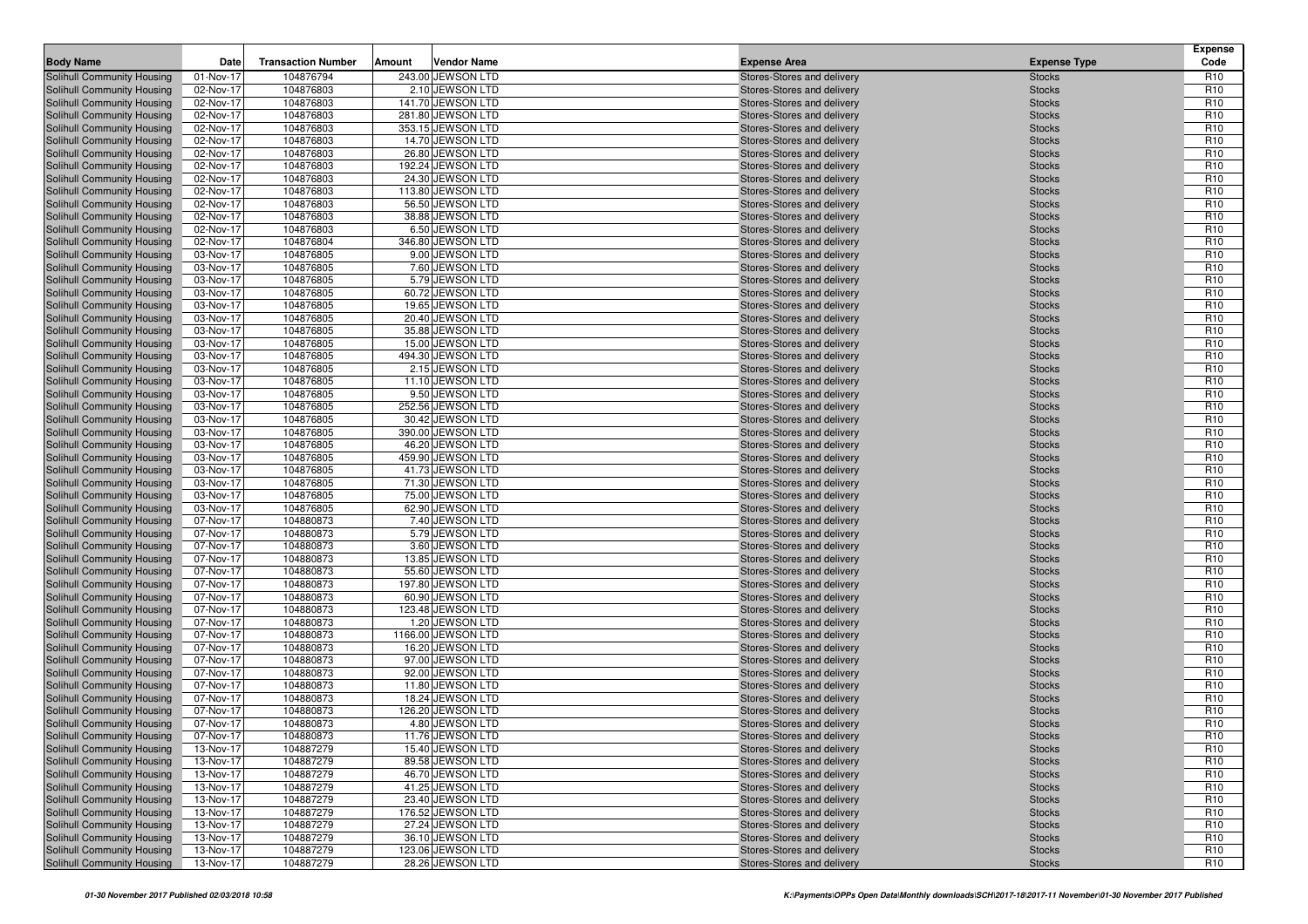| <b>Body Name</b>                                         | Date                   | <b>Transaction Number</b> | Amount | <b>Vendor Name</b>                    | <b>Expense Area</b>                                      | <b>Expense Type</b>            | <b>Expense</b><br>Code             |
|----------------------------------------------------------|------------------------|---------------------------|--------|---------------------------------------|----------------------------------------------------------|--------------------------------|------------------------------------|
| Solihull Community Housing                               | 01-Nov-17              | 104876794                 |        | 243.00 JEWSON LTD                     | Stores-Stores and delivery                               | <b>Stocks</b>                  | R <sub>10</sub>                    |
| Solihull Community Housing                               | 02-Nov-17              | 104876803                 |        | 2.10 JEWSON LTD                       | Stores-Stores and delivery                               | <b>Stocks</b>                  | R <sub>10</sub>                    |
| Solihull Community Housing                               | 02-Nov-17              | 104876803                 |        | 141.70 JEWSON LTD                     | Stores-Stores and delivery                               | <b>Stocks</b>                  | R <sub>10</sub>                    |
| Solihull Community Housing                               | 02-Nov-17              | 104876803                 |        | 281.80 JEWSON LTD                     | Stores-Stores and delivery                               | <b>Stocks</b>                  | R <sub>10</sub>                    |
| Solihull Community Housing                               | 02-Nov-17              | 104876803                 |        | 353.15 JEWSON LTD                     | Stores-Stores and delivery                               | <b>Stocks</b>                  | R <sub>10</sub>                    |
| Solihull Community Housing                               | 02-Nov-17              | 104876803                 |        | 14.70 JEWSON LTD                      | Stores-Stores and delivery                               | <b>Stocks</b>                  | R <sub>10</sub>                    |
| Solihull Community Housing                               | 02-Nov-17              | 104876803                 |        | 26.80 JEWSON LTD                      | Stores-Stores and delivery                               | <b>Stocks</b>                  | R <sub>10</sub>                    |
| Solihull Community Housing                               | 02-Nov-17              | 104876803                 |        | 192.24 JEWSON LTD                     | Stores-Stores and delivery                               | <b>Stocks</b>                  | R <sub>10</sub>                    |
| Solihull Community Housing                               | 02-Nov-17              | 104876803                 |        | 24.30 JEWSON LTD                      | Stores-Stores and delivery                               | <b>Stocks</b>                  | R <sub>10</sub>                    |
| Solihull Community Housing                               | 02-Nov-17              | 104876803                 |        | 113.80 JEWSON LTD                     | Stores-Stores and delivery                               | <b>Stocks</b>                  | R <sub>10</sub>                    |
| Solihull Community Housing                               | 02-Nov-17              | 104876803                 |        | 56.50 JEWSON LTD                      | Stores-Stores and delivery                               | <b>Stocks</b>                  | R <sub>10</sub>                    |
| Solihull Community Housing                               | 02-Nov-17              | 104876803                 |        | 38.88 JEWSON LTD                      | Stores-Stores and delivery                               | <b>Stocks</b>                  | R <sub>10</sub>                    |
| Solihull Community Housing                               | 02-Nov-17              | 104876803                 |        | 6.50 JEWSON LTD                       | Stores-Stores and delivery                               | <b>Stocks</b>                  | R <sub>10</sub>                    |
| Solihull Community Housing                               | 02-Nov-17              | 104876804                 |        | 346.80 JEWSON LTD                     | Stores-Stores and delivery                               | <b>Stocks</b>                  | R <sub>10</sub>                    |
| Solihull Community Housing                               | 03-Nov-17              | 104876805                 |        | 9.00 JEWSON LTD                       | Stores-Stores and delivery                               | <b>Stocks</b>                  | R <sub>10</sub>                    |
| Solihull Community Housing                               | 03-Nov-17              | 104876805                 |        | 7.60 JEWSON LTD                       | Stores-Stores and delivery                               | <b>Stocks</b>                  | R <sub>10</sub>                    |
| Solihull Community Housing                               | 03-Nov-17              | 104876805                 |        | 5.79 JEWSON LTD                       | Stores-Stores and delivery                               | <b>Stocks</b>                  | R <sub>10</sub>                    |
| Solihull Community Housing                               | 03-Nov-17              | 104876805                 |        | 60.72 JEWSON LTD                      | Stores-Stores and delivery                               | <b>Stocks</b>                  | R <sub>10</sub>                    |
| Solihull Community Housing                               | 03-Nov-17              | 104876805                 |        | 19.65 JEWSON LTD                      | Stores-Stores and delivery                               | <b>Stocks</b>                  | R <sub>10</sub>                    |
| Solihull Community Housing                               | 03-Nov-17              | 104876805                 |        | 20.40 JEWSON LTD                      | Stores-Stores and delivery                               | <b>Stocks</b>                  | R <sub>10</sub>                    |
| Solihull Community Housing                               | 03-Nov-17              | 104876805                 |        | 35.88 JEWSON LTD                      | Stores-Stores and delivery                               | <b>Stocks</b>                  | R <sub>10</sub>                    |
| Solihull Community Housing                               | 03-Nov-17              | 104876805                 |        | 15.00 JEWSON LTD                      | Stores-Stores and delivery                               | <b>Stocks</b>                  | R <sub>10</sub>                    |
| Solihull Community Housing                               | 03-Nov-17              | 104876805                 |        | 494.30 JEWSON LTD                     | Stores-Stores and delivery                               | <b>Stocks</b>                  | R <sub>10</sub>                    |
| Solihull Community Housing                               | 03-Nov-17              | 104876805                 |        | 2.15 JEWSON LTD                       | Stores-Stores and delivery                               | <b>Stocks</b>                  | R <sub>10</sub>                    |
| Solihull Community Housing                               | 03-Nov-17              | 104876805                 |        | 11.10 JEWSON LTD                      | Stores-Stores and delivery                               | <b>Stocks</b>                  | R <sub>10</sub>                    |
| Solihull Community Housing                               | 03-Nov-17              | 104876805                 |        | 9.50 JEWSON LTD                       | Stores-Stores and delivery                               | <b>Stocks</b>                  | R <sub>10</sub>                    |
| Solihull Community Housing                               | 03-Nov-17<br>03-Nov-17 | 104876805                 |        | 252.56 JEWSON LTD                     | Stores-Stores and delivery                               | <b>Stocks</b>                  | R <sub>10</sub><br>R <sub>10</sub> |
| Solihull Community Housing                               | 03-Nov-17              | 104876805<br>104876805    |        | 30.42 JEWSON LTD<br>390.00 JEWSON LTD | Stores-Stores and delivery<br>Stores-Stores and delivery | <b>Stocks</b>                  | R <sub>10</sub>                    |
| Solihull Community Housing<br>Solihull Community Housing | 03-Nov-17              | 104876805                 |        | 46.20 JEWSON LTD                      | Stores-Stores and delivery                               | <b>Stocks</b><br><b>Stocks</b> | R <sub>10</sub>                    |
| Solihull Community Housing                               | 03-Nov-17              | 104876805                 |        | 459.90 JEWSON LTD                     | Stores-Stores and delivery                               | <b>Stocks</b>                  | R <sub>10</sub>                    |
| Solihull Community Housing                               | 03-Nov-17              | 104876805                 |        | 41.73 JEWSON LTD                      | Stores-Stores and delivery                               | <b>Stocks</b>                  | R <sub>10</sub>                    |
| Solihull Community Housing                               | 03-Nov-17              | 104876805                 |        | 71.30 JEWSON LTD                      | Stores-Stores and delivery                               | <b>Stocks</b>                  | R <sub>10</sub>                    |
| Solihull Community Housing                               | 03-Nov-17              | 104876805                 |        | 75.00 JEWSON LTD                      | Stores-Stores and delivery                               | <b>Stocks</b>                  | R <sub>10</sub>                    |
| Solihull Community Housing                               | 03-Nov-17              | 104876805                 |        | 62.90 JEWSON LTD                      | Stores-Stores and delivery                               | <b>Stocks</b>                  | R <sub>10</sub>                    |
| Solihull Community Housing                               | 07-Nov-17              | 104880873                 |        | 7.40 JEWSON LTD                       | Stores-Stores and delivery                               | <b>Stocks</b>                  | R <sub>10</sub>                    |
| Solihull Community Housing                               | 07-Nov-17              | 104880873                 |        | 5.79 JEWSON LTD                       | Stores-Stores and delivery                               | <b>Stocks</b>                  | R <sub>10</sub>                    |
| Solihull Community Housing                               | 07-Nov-17              | 104880873                 |        | 3.60 JEWSON LTD                       | Stores-Stores and delivery                               | <b>Stocks</b>                  | R <sub>10</sub>                    |
| Solihull Community Housing                               | 07-Nov-17              | 104880873                 |        | 13.85 JEWSON LTD                      | Stores-Stores and delivery                               | <b>Stocks</b>                  | R <sub>10</sub>                    |
| Solihull Community Housing                               | 07-Nov-17              | 104880873                 |        | 55.60 JEWSON LTD                      | Stores-Stores and delivery                               | <b>Stocks</b>                  | R <sub>10</sub>                    |
| Solihull Community Housing                               | 07-Nov-17              | 104880873                 |        | 197.80 JEWSON LTD                     | Stores-Stores and delivery                               | <b>Stocks</b>                  | R <sub>10</sub>                    |
| Solihull Community Housing                               | 07-Nov-17              | 104880873                 |        | 60.90 JEWSON LTD                      | Stores-Stores and delivery                               | <b>Stocks</b>                  | R <sub>10</sub>                    |
| Solihull Community Housing                               | 07-Nov-17              | 104880873                 |        | 123.48 JEWSON LTD                     | Stores-Stores and delivery                               | <b>Stocks</b>                  | R <sub>10</sub>                    |
| Solihull Community Housing                               | 07-Nov-17              | 104880873                 |        | 1.20 JEWSON LTD                       | Stores-Stores and delivery                               | <b>Stocks</b>                  | R <sub>10</sub>                    |
| Solihull Community Housing                               | 07-Nov-17              | 104880873                 |        | 1166.00 JEWSON LTD                    | Stores-Stores and delivery                               | <b>Stocks</b>                  | R <sub>10</sub>                    |
| Solihull Community Housing                               | 07-Nov-17              | 104880873                 |        | 16.20 JEWSON LTD                      | Stores-Stores and delivery                               | <b>Stocks</b>                  | R <sub>10</sub>                    |
| Solihull Community Housing                               | 07-Nov-17              | 104880873                 |        | 97.00 JEWSON LTD                      | Stores-Stores and delivery                               | <b>Stocks</b>                  | R <sub>10</sub>                    |
| Solihull Community Housing                               | 07-Nov-17              | 104880873                 |        | 92.00 JEWSON LTD                      | Stores-Stores and delivery                               | <b>Stocks</b>                  | R <sub>10</sub>                    |
| Solihull Community Housing                               | 07-Nov-17              | 104880873                 |        | 11.80 JEWSON LTD                      | Stores-Stores and delivery                               | <b>Stocks</b>                  | R <sub>10</sub>                    |
| Solihull Community Housing                               | 07-Nov-17              | 104880873                 |        | 18.24 JEWSON LTD                      | Stores-Stores and delivery                               | <b>Stocks</b>                  | R <sub>10</sub>                    |
| Solihull Community Housing                               | 07-Nov-17              | 104880873                 |        | 126.20 JEWSON LTD                     | Stores-Stores and delivery                               | <b>Stocks</b>                  | R <sub>10</sub>                    |
| <b>Solihull Community Housing</b>                        | 07-Nov-17              | 104880873                 |        | 4.80 JEWSON LTD                       | Stores-Stores and delivery                               | <b>Stocks</b>                  | R <sub>10</sub>                    |
| Solihull Community Housing                               | 07-Nov-17              | 104880873                 |        | 11.76 JEWSON LTD                      | Stores-Stores and delivery                               | <b>Stocks</b>                  | R <sub>10</sub>                    |
| Solihull Community Housing                               | 13-Nov-17              | 104887279                 |        | 15.40 JEWSON LTD                      | Stores-Stores and delivery                               | <b>Stocks</b>                  | R <sub>10</sub>                    |
| Solihull Community Housing                               | 13-Nov-17              | 104887279                 |        | 89.58 JEWSON LTD                      | Stores-Stores and delivery                               | <b>Stocks</b>                  | R <sub>10</sub>                    |
| Solihull Community Housing                               | 13-Nov-17              | 104887279                 |        | 46.70 JEWSON LTD                      | Stores-Stores and delivery                               | <b>Stocks</b>                  | R <sub>10</sub>                    |
| Solihull Community Housing                               | 13-Nov-17              | 104887279                 |        | 41.25 JEWSON LTD                      | Stores-Stores and delivery                               | <b>Stocks</b>                  | R <sub>10</sub>                    |
| Solihull Community Housing                               | 13-Nov-17              | 104887279                 |        | 23.40 JEWSON LTD                      | Stores-Stores and delivery                               | <b>Stocks</b>                  | R <sub>10</sub>                    |
| Solihull Community Housing                               | 13-Nov-17              | 104887279                 |        | 176.52 JEWSON LTD                     | Stores-Stores and delivery                               | <b>Stocks</b>                  | R <sub>10</sub>                    |
| Solihull Community Housing                               | 13-Nov-17              | 104887279                 |        | 27.24 JEWSON LTD                      | Stores-Stores and delivery<br>Stores-Stores and delivery | <b>Stocks</b>                  | R <sub>10</sub>                    |
| Solihull Community Housing                               | 13-Nov-17              | 104887279                 |        | 36.10 JEWSON LTD                      |                                                          | <b>Stocks</b>                  | R <sub>10</sub>                    |
| Solihull Community Housing                               | 13-Nov-17              | 104887279                 |        | 123.06 JEWSON LTD                     | Stores-Stores and delivery                               | <b>Stocks</b>                  | R <sub>10</sub>                    |
| Solihull Community Housing                               | 13-Nov-17              | 104887279                 |        | 28.26 JEWSON LTD                      | Stores-Stores and delivery                               | <b>Stocks</b>                  | R <sub>10</sub>                    |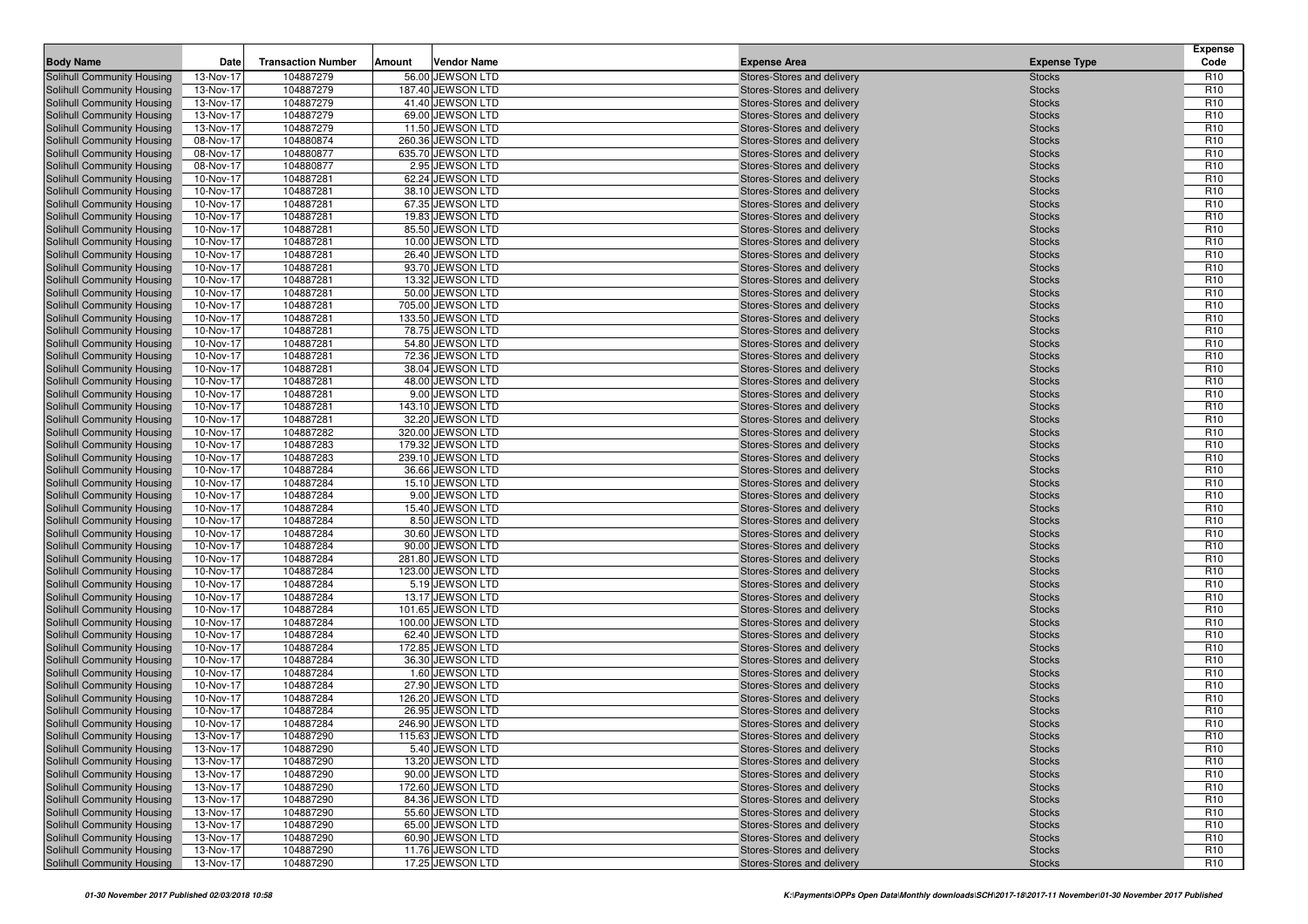| <b>Body Name</b>                                         | Date                   | <b>Transaction Number</b> | Amount | <b>Vendor Name</b>                    | <b>Expense Area</b>                                      | <b>Expense Type</b>            | <b>Expense</b><br>Code             |
|----------------------------------------------------------|------------------------|---------------------------|--------|---------------------------------------|----------------------------------------------------------|--------------------------------|------------------------------------|
| Solihull Community Housing                               | 13-Nov-17              | 104887279                 |        | 56.00 JEWSON LTD                      | Stores-Stores and delivery                               | <b>Stocks</b>                  | R <sub>10</sub>                    |
| Solihull Community Housing                               | 13-Nov-17              | 104887279                 |        | 187.40 JEWSON LTD                     | Stores-Stores and delivery                               | <b>Stocks</b>                  | R <sub>10</sub>                    |
| Solihull Community Housing                               | 13-Nov-17              | 104887279                 |        | 41.40 JEWSON LTD                      | Stores-Stores and delivery                               | <b>Stocks</b>                  | R <sub>10</sub>                    |
| Solihull Community Housing                               | 13-Nov-17              | 104887279                 |        | 69.00 JEWSON LTD                      | Stores-Stores and delivery                               | <b>Stocks</b>                  | R <sub>10</sub>                    |
| Solihull Community Housing                               | 13-Nov-17              | 104887279                 |        | 11.50 JEWSON LTD                      | Stores-Stores and delivery                               | <b>Stocks</b>                  | R <sub>10</sub>                    |
| Solihull Community Housing                               | 08-Nov-17              | 104880874                 |        | 260.36 JEWSON LTD                     | Stores-Stores and delivery                               | <b>Stocks</b>                  | R <sub>10</sub>                    |
| Solihull Community Housing                               | 08-Nov-17              | 104880877                 |        | 635.70 JEWSON LTD                     | Stores-Stores and delivery                               | <b>Stocks</b>                  | R <sub>10</sub>                    |
| Solihull Community Housing                               | 08-Nov-17              | 104880877                 |        | 2.95 JEWSON LTD                       | Stores-Stores and delivery                               | <b>Stocks</b>                  | R <sub>10</sub>                    |
| Solihull Community Housing                               | 10-Nov-17              | 104887281                 |        | 62.24 JEWSON LTD                      | Stores-Stores and delivery                               | <b>Stocks</b>                  | R <sub>10</sub>                    |
| Solihull Community Housing                               | 10-Nov-17              | 104887281                 |        | 38.10 JEWSON LTD                      | Stores-Stores and delivery                               | <b>Stocks</b>                  | R <sub>10</sub>                    |
| Solihull Community Housing                               | 10-Nov-17              | 104887281                 |        | 67.35 JEWSON LTD                      | Stores-Stores and delivery                               | <b>Stocks</b>                  | R <sub>10</sub>                    |
| Solihull Community Housing                               | 10-Nov-17              | 104887281                 |        | 19.83 JEWSON LTD                      | Stores-Stores and delivery                               | <b>Stocks</b>                  | R <sub>10</sub>                    |
| Solihull Community Housing                               | 10-Nov-17              | 104887281                 |        | 85.50 JEWSON LTD                      | Stores-Stores and delivery                               | <b>Stocks</b>                  | R <sub>10</sub>                    |
| Solihull Community Housing                               | 10-Nov-17              | 104887281                 |        | 10.00 JEWSON LTD                      | Stores-Stores and delivery                               | <b>Stocks</b>                  | R <sub>10</sub>                    |
| Solihull Community Housing                               | 10-Nov-17              | 104887281                 |        | 26.40 JEWSON LTD                      | Stores-Stores and delivery                               | <b>Stocks</b>                  | R <sub>10</sub>                    |
| Solihull Community Housing                               | 10-Nov-17              | 104887281                 |        | 93.70 JEWSON LTD                      | Stores-Stores and delivery                               | <b>Stocks</b>                  | R <sub>10</sub>                    |
| Solihull Community Housing                               | 10-Nov-17              | 104887281                 |        | 13.32 JEWSON LTD                      | Stores-Stores and delivery                               | <b>Stocks</b>                  | R <sub>10</sub><br>R <sub>10</sub> |
| Solihull Community Housing                               | 10-Nov-17              | 104887281<br>104887281    |        | 50.00 JEWSON LTD<br>705.00 JEWSON LTD | Stores-Stores and delivery                               | <b>Stocks</b>                  | R <sub>10</sub>                    |
| Solihull Community Housing<br>Solihull Community Housing | 10-Nov-17<br>10-Nov-17 | 104887281                 |        | 133.50 JEWSON LTD                     | Stores-Stores and delivery<br>Stores-Stores and delivery | <b>Stocks</b><br><b>Stocks</b> | R <sub>10</sub>                    |
| Solihull Community Housing                               | 10-Nov-17              | 104887281                 |        | 78.75 JEWSON LTD                      | Stores-Stores and delivery                               | <b>Stocks</b>                  | R <sub>10</sub>                    |
| Solihull Community Housing                               | 10-Nov-17              | 104887281                 |        | 54.80 JEWSON LTD                      | Stores-Stores and delivery                               | <b>Stocks</b>                  | R <sub>10</sub>                    |
| Solihull Community Housing                               | 10-Nov-17              | 104887281                 |        | 72.36 JEWSON LTD                      | Stores-Stores and delivery                               | <b>Stocks</b>                  | R <sub>10</sub>                    |
| Solihull Community Housing                               | 10-Nov-17              | 104887281                 |        | 38.04 JEWSON LTD                      | Stores-Stores and delivery                               | <b>Stocks</b>                  | R <sub>10</sub>                    |
| Solihull Community Housing                               | 10-Nov-17              | 104887281                 |        | 48.00 JEWSON LTD                      | Stores-Stores and delivery                               | <b>Stocks</b>                  | R <sub>10</sub>                    |
| Solihull Community Housing                               | 10-Nov-17              | 104887281                 |        | 9.00 JEWSON LTD                       | Stores-Stores and delivery                               | <b>Stocks</b>                  | R <sub>10</sub>                    |
| Solihull Community Housing                               | 10-Nov-17              | 104887281                 |        | 143.10 JEWSON LTD                     | Stores-Stores and delivery                               | <b>Stocks</b>                  | R <sub>10</sub>                    |
| Solihull Community Housing                               | 10-Nov-17              | 104887281                 |        | 32.20 JEWSON LTD                      | Stores-Stores and delivery                               | <b>Stocks</b>                  | R <sub>10</sub>                    |
| Solihull Community Housing                               | 10-Nov-17              | 104887282                 |        | 320.00 JEWSON LTD                     | Stores-Stores and delivery                               | <b>Stocks</b>                  | R <sub>10</sub>                    |
| Solihull Community Housing                               | 10-Nov-17              | 104887283                 |        | 179.32 JEWSON LTD                     | Stores-Stores and delivery                               | <b>Stocks</b>                  | R <sub>10</sub>                    |
| Solihull Community Housing                               | 10-Nov-17              | 104887283                 |        | 239.10 JEWSON LTD                     | Stores-Stores and delivery                               | <b>Stocks</b>                  | R <sub>10</sub>                    |
| Solihull Community Housing                               | 10-Nov-17              | 104887284                 |        | 36.66 JEWSON LTD                      | Stores-Stores and delivery                               | <b>Stocks</b>                  | R <sub>10</sub>                    |
| Solihull Community Housing                               | 10-Nov-17              | 104887284                 |        | 15.10 JEWSON LTD                      | Stores-Stores and delivery                               | <b>Stocks</b>                  | R <sub>10</sub>                    |
| Solihull Community Housing                               | 10-Nov-17              | 104887284                 |        | 9.00 JEWSON LTD                       | Stores-Stores and delivery                               | <b>Stocks</b>                  | R <sub>10</sub>                    |
| Solihull Community Housing                               | 10-Nov-17              | 104887284                 |        | 15.40 JEWSON LTD                      | Stores-Stores and delivery                               | <b>Stocks</b>                  | R <sub>10</sub>                    |
| Solihull Community Housing                               | 10-Nov-17              | 104887284                 |        | 8.50 JEWSON LTD                       | Stores-Stores and delivery                               | <b>Stocks</b>                  | R <sub>10</sub>                    |
| Solihull Community Housing                               | 10-Nov-17              | 104887284                 |        | 30.60 JEWSON LTD                      | Stores-Stores and delivery                               | <b>Stocks</b>                  | R <sub>10</sub>                    |
| Solihull Community Housing                               | 10-Nov-17              | 104887284                 |        | 90.00 JEWSON LTD                      | Stores-Stores and delivery                               | <b>Stocks</b>                  | R <sub>10</sub>                    |
| Solihull Community Housing                               | 10-Nov-17              | 104887284                 |        | 281.80 JEWSON LTD                     | Stores-Stores and delivery                               | <b>Stocks</b>                  | R <sub>10</sub>                    |
| Solihull Community Housing                               | 10-Nov-17              | 104887284                 |        | 123.00 JEWSON LTD                     | Stores-Stores and delivery                               | <b>Stocks</b>                  | R <sub>10</sub>                    |
| Solihull Community Housing                               | 10-Nov-17              | 104887284                 |        | 5.19 JEWSON LTD                       | Stores-Stores and delivery                               | <b>Stocks</b>                  | R <sub>10</sub>                    |
| Solihull Community Housing<br>Solihull Community Housing | 10-Nov-17<br>10-Nov-17 | 104887284<br>104887284    |        | 13.17 JEWSON LTD<br>101.65 JEWSON LTD | Stores-Stores and delivery<br>Stores-Stores and delivery | <b>Stocks</b><br><b>Stocks</b> | R <sub>10</sub><br>R <sub>10</sub> |
| Solihull Community Housing                               | 10-Nov-17              | 104887284                 |        | 100.00 JEWSON LTD                     | Stores-Stores and delivery                               | <b>Stocks</b>                  | R <sub>10</sub>                    |
| Solihull Community Housing                               | 10-Nov-17              | 104887284                 |        | 62.40 JEWSON LTD                      | Stores-Stores and delivery                               | <b>Stocks</b>                  | R <sub>10</sub>                    |
| Solihull Community Housing                               | 10-Nov-17              | 104887284                 |        | 172.85 JEWSON LTD                     | Stores-Stores and delivery                               | <b>Stocks</b>                  | R <sub>10</sub>                    |
| Solihull Community Housing                               | 10-Nov-17              | 104887284                 |        | 36.30 JEWSON LTD                      | Stores-Stores and delivery                               | <b>Stocks</b>                  | R <sub>10</sub>                    |
| Solihull Community Housing                               | 10-Nov-17              | 104887284                 |        | 1.60 JEWSON LTD                       | Stores-Stores and delivery                               | <b>Stocks</b>                  | R <sub>10</sub>                    |
| Solihull Community Housing                               | 10-Nov-17              | 104887284                 |        | 27.90 JEWSON LTD                      | Stores-Stores and delivery                               | <b>Stocks</b>                  | R <sub>10</sub>                    |
| Solihull Community Housing                               | 10-Nov-17              | 104887284                 |        | 126.20 JEWSON LTD                     | Stores-Stores and delivery                               | <b>Stocks</b>                  | R <sub>10</sub>                    |
| Solihull Community Housing                               | 10-Nov-17              | 104887284                 |        | 26.95 JEWSON LTD                      | Stores-Stores and delivery                               | <b>Stocks</b>                  | R <sub>10</sub>                    |
| <b>Solihull Community Housing</b>                        | 10-Nov-17              | 104887284                 |        | 246.90 JEWSON LTD                     | Stores-Stores and delivery                               | <b>Stocks</b>                  | R <sub>10</sub>                    |
| Solihull Community Housing                               | 13-Nov-17              | 104887290                 |        | 115.63 JEWSON LTD                     | Stores-Stores and delivery                               | <b>Stocks</b>                  | R <sub>10</sub>                    |
| Solihull Community Housing                               | 13-Nov-17              | 104887290                 |        | 5.40 JEWSON LTD                       | Stores-Stores and delivery                               | <b>Stocks</b>                  | R <sub>10</sub>                    |
| Solihull Community Housing                               | 13-Nov-17              | 104887290                 |        | 13.20 JEWSON LTD                      | Stores-Stores and delivery                               | <b>Stocks</b>                  | R <sub>10</sub>                    |
| Solihull Community Housing                               | 13-Nov-17              | 104887290                 |        | 90.00 JEWSON LTD                      | Stores-Stores and delivery                               | <b>Stocks</b>                  | R <sub>10</sub>                    |
| Solihull Community Housing                               | 13-Nov-17              | 104887290                 |        | 172.60 JEWSON LTD                     | Stores-Stores and delivery                               | <b>Stocks</b>                  | R <sub>10</sub>                    |
| Solihull Community Housing                               | 13-Nov-17              | 104887290                 |        | 84.36 JEWSON LTD                      | Stores-Stores and delivery                               | <b>Stocks</b>                  | R <sub>10</sub>                    |
| Solihull Community Housing                               | 13-Nov-17              | 104887290                 |        | 55.60 JEWSON LTD                      | Stores-Stores and delivery                               | <b>Stocks</b>                  | R <sub>10</sub>                    |
| Solihull Community Housing                               | 13-Nov-17              | 104887290                 |        | 65.00 JEWSON LTD                      | Stores-Stores and delivery                               | <b>Stocks</b>                  | R <sub>10</sub>                    |
| Solihull Community Housing                               | 13-Nov-17              | 104887290                 |        | 60.90 JEWSON LTD                      | Stores-Stores and delivery                               | <b>Stocks</b>                  | R <sub>10</sub>                    |
| Solihull Community Housing                               | 13-Nov-17              | 104887290                 |        | 11.76 JEWSON LTD                      | Stores-Stores and delivery                               | <b>Stocks</b>                  | R <sub>10</sub>                    |
| Solihull Community Housing                               | 13-Nov-17              | 104887290                 |        | 17.25 JEWSON LTD                      | Stores-Stores and delivery                               | <b>Stocks</b>                  | R <sub>10</sub>                    |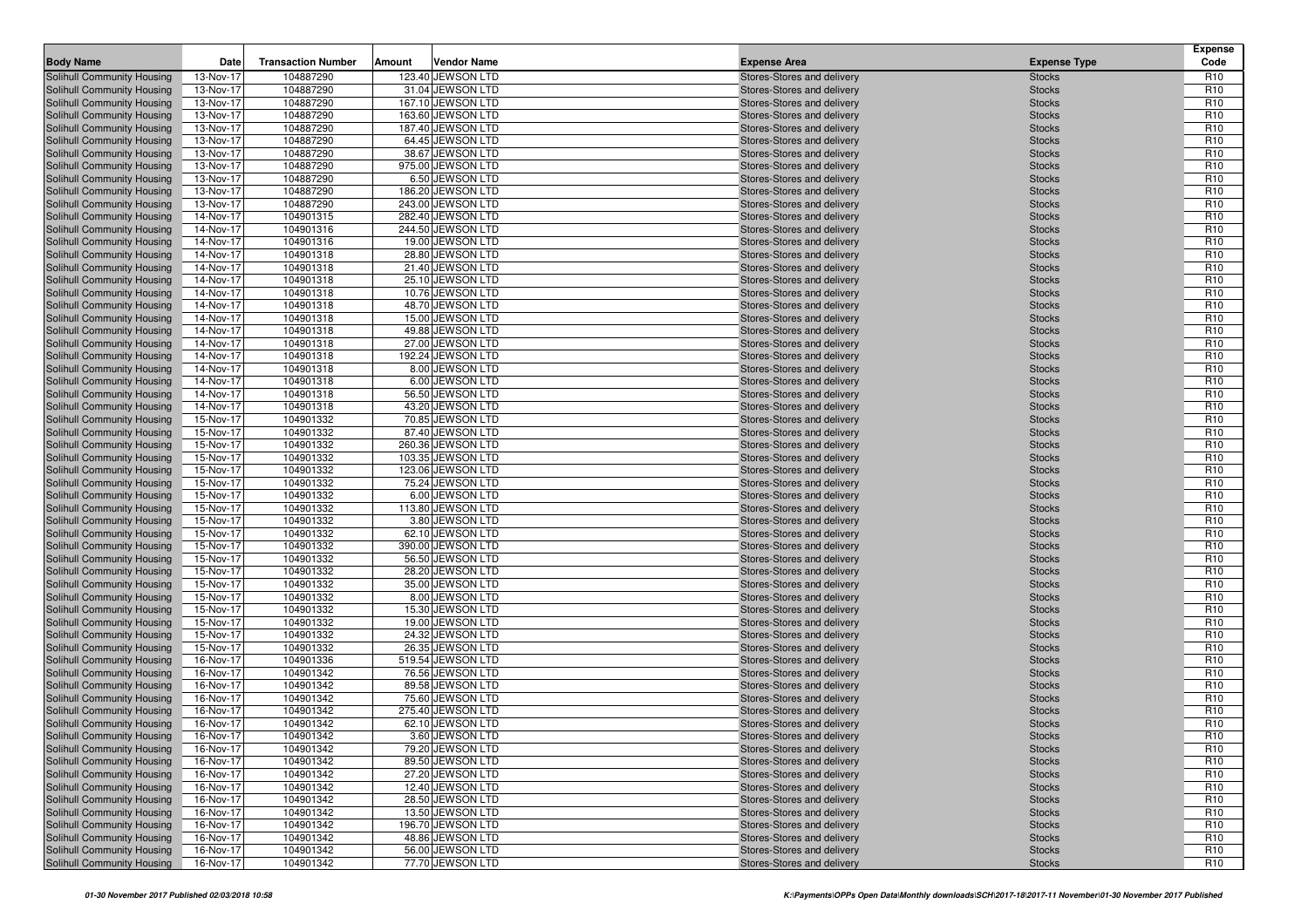| <b>Body Name</b>                                         | Date                   | <b>Transaction Number</b> | Amount | <b>Vendor Name</b>                   | <b>Expense Area</b>                                      | <b>Expense Type</b>            | <b>Expense</b><br>Code             |
|----------------------------------------------------------|------------------------|---------------------------|--------|--------------------------------------|----------------------------------------------------------|--------------------------------|------------------------------------|
| Solihull Community Housing                               | 13-Nov-17              | 104887290                 |        | 123.40 JEWSON LTD                    | Stores-Stores and delivery                               | <b>Stocks</b>                  | R <sub>10</sub>                    |
| Solihull Community Housing                               | 13-Nov-17              | 104887290                 |        | 31.04 JEWSON LTD                     | Stores-Stores and delivery                               | <b>Stocks</b>                  | R <sub>10</sub>                    |
| Solihull Community Housing                               | 13-Nov-17              | 104887290                 |        | 167.10 JEWSON LTD                    | Stores-Stores and delivery                               | <b>Stocks</b>                  | R <sub>10</sub>                    |
| Solihull Community Housing                               | 13-Nov-17              | 104887290                 |        | 163.60 JEWSON LTD                    | Stores-Stores and delivery                               | <b>Stocks</b>                  | R <sub>10</sub>                    |
| Solihull Community Housing                               | 13-Nov-17              | 104887290                 |        | 187.40 JEWSON LTD                    | Stores-Stores and delivery                               | <b>Stocks</b>                  | R <sub>10</sub>                    |
| Solihull Community Housing                               | 13-Nov-17              | 104887290                 |        | 64.45 JEWSON LTD                     | Stores-Stores and delivery                               | <b>Stocks</b>                  | R <sub>10</sub>                    |
| Solihull Community Housing                               | 13-Nov-17              | 104887290                 |        | 38.67 JEWSON LTD                     | Stores-Stores and delivery                               | <b>Stocks</b>                  | R <sub>10</sub>                    |
| Solihull Community Housing                               | 13-Nov-17              | 104887290                 |        | 975.00 JEWSON LTD                    | Stores-Stores and delivery                               | <b>Stocks</b>                  | R <sub>10</sub>                    |
| Solihull Community Housing                               | 13-Nov-17              | 104887290                 |        | 6.50 JEWSON LTD                      | Stores-Stores and delivery                               | <b>Stocks</b>                  | R <sub>10</sub>                    |
| Solihull Community Housing                               | 13-Nov-17              | 104887290                 |        | 186.20 JEWSON LTD                    | Stores-Stores and delivery                               | <b>Stocks</b>                  | R <sub>10</sub>                    |
| Solihull Community Housing                               | 13-Nov-17              | 104887290                 |        | 243.00 JEWSON LTD                    | Stores-Stores and delivery                               | <b>Stocks</b>                  | R <sub>10</sub>                    |
| Solihull Community Housing                               | 14-Nov-17              | 104901315                 |        | 282.40 JEWSON LTD                    | Stores-Stores and delivery                               | <b>Stocks</b>                  | R <sub>10</sub>                    |
| Solihull Community Housing                               | 14-Nov-17              | 104901316                 |        | 244.50 JEWSON LTD                    | Stores-Stores and delivery                               | <b>Stocks</b>                  | R <sub>10</sub>                    |
| Solihull Community Housing                               | 14-Nov-17              | 104901316                 |        | 19.00 JEWSON LTD                     | Stores-Stores and delivery                               | <b>Stocks</b>                  | R <sub>10</sub>                    |
| Solihull Community Housing                               | 14-Nov-17              | 104901318                 |        | 28.80 JEWSON LTD                     | Stores-Stores and delivery                               | <b>Stocks</b>                  | R <sub>10</sub>                    |
| Solihull Community Housing                               | 14-Nov-17              | 104901318                 |        | 21.40 JEWSON LTD                     | Stores-Stores and delivery                               | <b>Stocks</b>                  | R <sub>10</sub>                    |
| Solihull Community Housing                               | 14-Nov-17              | 104901318                 |        | 25.10 JEWSON LTD                     | Stores-Stores and delivery                               | <b>Stocks</b>                  | R <sub>10</sub><br>R <sub>10</sub> |
| Solihull Community Housing                               | 14-Nov-17              | 104901318<br>104901318    |        | 10.76 JEWSON LTD<br>48.70 JEWSON LTD | Stores-Stores and delivery                               | <b>Stocks</b>                  | R <sub>10</sub>                    |
| Solihull Community Housing<br>Solihull Community Housing | 14-Nov-17<br>14-Nov-17 | 104901318                 |        | 15.00 JEWSON LTD                     | Stores-Stores and delivery<br>Stores-Stores and delivery | <b>Stocks</b><br><b>Stocks</b> | R <sub>10</sub>                    |
| Solihull Community Housing                               | 14-Nov-17              | 104901318                 |        | 49.88 JEWSON LTD                     | Stores-Stores and delivery                               | <b>Stocks</b>                  | R <sub>10</sub>                    |
| Solihull Community Housing                               | 14-Nov-17              | 104901318                 |        | 27.00 JEWSON LTD                     | Stores-Stores and delivery                               | <b>Stocks</b>                  | R <sub>10</sub>                    |
| Solihull Community Housing                               | 14-Nov-17              | 104901318                 |        | 192.24 JEWSON LTD                    | Stores-Stores and delivery                               | <b>Stocks</b>                  | R <sub>10</sub>                    |
| Solihull Community Housing                               | 14-Nov-17              | 104901318                 |        | 8.00 JEWSON LTD                      | Stores-Stores and delivery                               | <b>Stocks</b>                  | R <sub>10</sub>                    |
| Solihull Community Housing                               | 14-Nov-17              | 104901318                 |        | 6.00 JEWSON LTD                      | Stores-Stores and delivery                               | <b>Stocks</b>                  | R <sub>10</sub>                    |
| Solihull Community Housing                               | 14-Nov-17              | 104901318                 |        | 56.50 JEWSON LTD                     | Stores-Stores and delivery                               | <b>Stocks</b>                  | R <sub>10</sub>                    |
| Solihull Community Housing                               | 14-Nov-17              | 104901318                 |        | 43.20 JEWSON LTD                     | Stores-Stores and delivery                               | <b>Stocks</b>                  | R <sub>10</sub>                    |
| Solihull Community Housing                               | 15-Nov-17              | 104901332                 |        | 70.85 JEWSON LTD                     | Stores-Stores and delivery                               | <b>Stocks</b>                  | R <sub>10</sub>                    |
| Solihull Community Housing                               | 15-Nov-17              | 104901332                 |        | 87.40 JEWSON LTD                     | Stores-Stores and delivery                               | <b>Stocks</b>                  | R <sub>10</sub>                    |
| Solihull Community Housing                               | 15-Nov-17              | 104901332                 |        | 260.36 JEWSON LTD                    | Stores-Stores and delivery                               | <b>Stocks</b>                  | R <sub>10</sub>                    |
| Solihull Community Housing                               | 15-Nov-17              | 104901332                 |        | 103.35 JEWSON LTD                    | Stores-Stores and delivery                               | <b>Stocks</b>                  | R <sub>10</sub>                    |
| Solihull Community Housing                               | 15-Nov-17              | 104901332                 |        | 123.06 JEWSON LTD                    | Stores-Stores and delivery                               | <b>Stocks</b>                  | R <sub>10</sub>                    |
| Solihull Community Housing                               | 15-Nov-17              | 104901332                 |        | 75.24 JEWSON LTD                     | Stores-Stores and delivery                               | <b>Stocks</b>                  | R <sub>10</sub>                    |
| Solihull Community Housing                               | 15-Nov-17              | 104901332                 |        | 6.00 JEWSON LTD                      | Stores-Stores and delivery                               | <b>Stocks</b>                  | R <sub>10</sub>                    |
| Solihull Community Housing                               | 15-Nov-17              | 104901332                 |        | 113.80 JEWSON LTD                    | Stores-Stores and delivery                               | <b>Stocks</b>                  | R <sub>10</sub>                    |
| Solihull Community Housing                               | 15-Nov-17              | 104901332                 |        | 3.80 JEWSON LTD                      | Stores-Stores and delivery                               | <b>Stocks</b>                  | R <sub>10</sub>                    |
| Solihull Community Housing                               | 15-Nov-17              | 104901332                 |        | 62.10 JEWSON LTD                     | Stores-Stores and delivery                               | <b>Stocks</b>                  | R <sub>10</sub>                    |
| Solihull Community Housing                               | 15-Nov-17              | 104901332                 |        | 390.00 JEWSON LTD                    | Stores-Stores and delivery                               | <b>Stocks</b>                  | R <sub>10</sub>                    |
| Solihull Community Housing                               | 15-Nov-17              | 104901332                 |        | 56.50 JEWSON LTD                     | Stores-Stores and delivery                               | <b>Stocks</b>                  | R <sub>10</sub>                    |
| Solihull Community Housing                               | 15-Nov-17              | 104901332                 |        | 28.20 JEWSON LTD                     | Stores-Stores and delivery                               | <b>Stocks</b>                  | R <sub>10</sub>                    |
| Solihull Community Housing                               | 15-Nov-17              | 104901332                 |        | 35.00 JEWSON LTD                     | Stores-Stores and delivery                               | <b>Stocks</b>                  | R <sub>10</sub>                    |
| Solihull Community Housing<br>Solihull Community Housing | 15-Nov-17<br>15-Nov-17 | 104901332<br>104901332    |        | 8.00 JEWSON LTD<br>15.30 JEWSON LTD  | Stores-Stores and delivery<br>Stores-Stores and delivery | <b>Stocks</b><br><b>Stocks</b> | R <sub>10</sub><br>R <sub>10</sub> |
| Solihull Community Housing                               | 15-Nov-17              | 104901332                 |        | 19.00 JEWSON LTD                     | Stores-Stores and delivery                               | <b>Stocks</b>                  | R <sub>10</sub>                    |
| Solihull Community Housing                               | 15-Nov-17              | 104901332                 |        | 24.32 JEWSON LTD                     | Stores-Stores and delivery                               | <b>Stocks</b>                  | R <sub>10</sub>                    |
| Solihull Community Housing                               | 15-Nov-17              | 104901332                 |        | 26.35 JEWSON LTD                     | Stores-Stores and delivery                               | <b>Stocks</b>                  | R <sub>10</sub>                    |
| Solihull Community Housing                               | 16-Nov-17              | 104901336                 |        | 519.54 JEWSON LTD                    | Stores-Stores and delivery                               | <b>Stocks</b>                  | R <sub>10</sub>                    |
| Solihull Community Housing                               | 16-Nov-17              | 104901342                 |        | 76.56 JEWSON LTD                     | Stores-Stores and delivery                               | <b>Stocks</b>                  | R <sub>10</sub>                    |
| Solihull Community Housing                               | 16-Nov-17              | 104901342                 |        | 89.58 JEWSON LTD                     | Stores-Stores and delivery                               | <b>Stocks</b>                  | R <sub>10</sub>                    |
| Solihull Community Housing                               | 16-Nov-17              | 104901342                 |        | 75.60 JEWSON LTD                     | Stores-Stores and delivery                               | <b>Stocks</b>                  | R <sub>10</sub>                    |
| Solihull Community Housing                               | 16-Nov-17              | 104901342                 |        | 275.40 JEWSON LTD                    | Stores-Stores and delivery                               | <b>Stocks</b>                  | R <sub>10</sub>                    |
| <b>Solihull Community Housing</b>                        | 16-Nov-17              | 104901342                 |        | 62.10 JEWSON LTD                     | Stores-Stores and delivery                               | <b>Stocks</b>                  | R <sub>10</sub>                    |
| Solihull Community Housing                               | 16-Nov-17              | 104901342                 |        | 3.60 JEWSON LTD                      | Stores-Stores and delivery                               | <b>Stocks</b>                  | R <sub>10</sub>                    |
| Solihull Community Housing                               | 16-Nov-17              | 104901342                 |        | 79.20 JEWSON LTD                     | Stores-Stores and delivery                               | <b>Stocks</b>                  | R <sub>10</sub>                    |
| Solihull Community Housing                               | 16-Nov-17              | 104901342                 |        | 89.50 JEWSON LTD                     | Stores-Stores and delivery                               | <b>Stocks</b>                  | R <sub>10</sub>                    |
| Solihull Community Housing                               | 16-Nov-17              | 104901342                 |        | 27.20 JEWSON LTD                     | Stores-Stores and delivery                               | <b>Stocks</b>                  | R <sub>10</sub>                    |
| Solihull Community Housing                               | 16-Nov-17              | 104901342                 |        | 12.40 JEWSON LTD                     | Stores-Stores and delivery                               | <b>Stocks</b>                  | R <sub>10</sub>                    |
| Solihull Community Housing                               | 16-Nov-17              | 104901342                 |        | 28.50 JEWSON LTD                     | Stores-Stores and delivery                               | <b>Stocks</b>                  | R <sub>10</sub>                    |
| Solihull Community Housing                               | 16-Nov-17              | 104901342                 |        | 13.50 JEWSON LTD                     | Stores-Stores and delivery                               | <b>Stocks</b>                  | R <sub>10</sub>                    |
| Solihull Community Housing                               | 16-Nov-17              | 104901342                 |        | 196.70 JEWSON LTD                    | Stores-Stores and delivery                               | <b>Stocks</b>                  | R <sub>10</sub>                    |
| Solihull Community Housing                               | 16-Nov-17              | 104901342                 |        | 48.86 JEWSON LTD                     | Stores-Stores and delivery                               | <b>Stocks</b>                  | R <sub>10</sub>                    |
| Solihull Community Housing                               | 16-Nov-17              | 104901342                 |        | 56.00 JEWSON LTD                     | Stores-Stores and delivery                               | <b>Stocks</b>                  | R <sub>10</sub>                    |
| Solihull Community Housing                               | 16-Nov-17              | 104901342                 |        | 77.70 JEWSON LTD                     | Stores-Stores and delivery                               | <b>Stocks</b>                  | R <sub>10</sub>                    |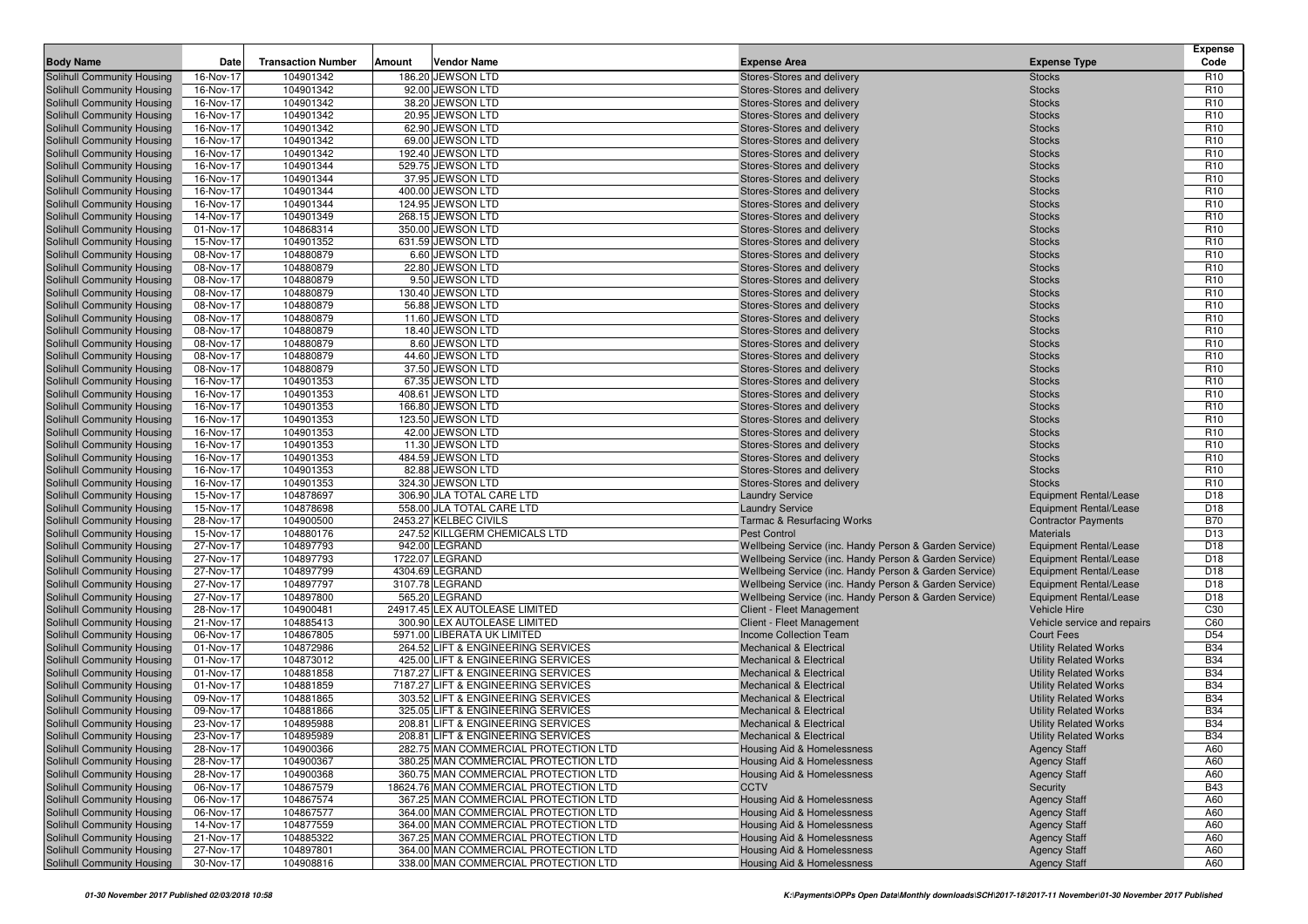| <b>Body Name</b>                                         | Date                   | <b>Transaction Number</b> | Amount | <b>Vendor Name</b>                              | <b>Expense Area</b>                                                                                              | <b>Expense Type</b>                                            | <b>Expense</b><br>Code        |
|----------------------------------------------------------|------------------------|---------------------------|--------|-------------------------------------------------|------------------------------------------------------------------------------------------------------------------|----------------------------------------------------------------|-------------------------------|
| Solihull Community Housing                               | 16-Nov-17              | 104901342                 |        | 186.20 JEWSON LTD                               | Stores-Stores and delivery                                                                                       | <b>Stocks</b>                                                  | R <sub>10</sub>               |
| Solihull Community Housing                               | 16-Nov-17              | 104901342                 |        | 92.00 JEWSON LTD                                | Stores-Stores and delivery                                                                                       | <b>Stocks</b>                                                  | R <sub>10</sub>               |
| Solihull Community Housing                               | 16-Nov-17              | 104901342                 |        | 38.20 JEWSON LTD                                | Stores-Stores and delivery                                                                                       | <b>Stocks</b>                                                  | R <sub>10</sub>               |
| Solihull Community Housing                               | 16-Nov-17              | 104901342                 |        | 20.95 JEWSON LTD                                | Stores-Stores and delivery                                                                                       | <b>Stocks</b>                                                  | R <sub>10</sub>               |
| Solihull Community Housing                               | 16-Nov-17              | 104901342                 |        | 62.90 JEWSON LTD                                | Stores-Stores and delivery                                                                                       | <b>Stocks</b>                                                  | R <sub>10</sub>               |
| Solihull Community Housing                               | 16-Nov-17              | 104901342                 |        | 69.00 JEWSON LTD                                | Stores-Stores and delivery                                                                                       | <b>Stocks</b>                                                  | R <sub>10</sub>               |
| Solihull Community Housing                               | 16-Nov-17              | 104901342                 |        | 192.40 JEWSON LTD                               | Stores-Stores and delivery                                                                                       | <b>Stocks</b>                                                  | R <sub>10</sub>               |
| Solihull Community Housing                               | 16-Nov-17              | 104901344                 |        | 529.75 JEWSON LTD                               | Stores-Stores and delivery                                                                                       | <b>Stocks</b>                                                  | R <sub>10</sub>               |
| Solihull Community Housing                               | 16-Nov-17              | 104901344                 |        | 37.95 JEWSON LTD                                | Stores-Stores and delivery                                                                                       | <b>Stocks</b>                                                  | R <sub>10</sub>               |
| Solihull Community Housing                               | 16-Nov-17              | 104901344                 |        | 400.00 JEWSON LTD                               | Stores-Stores and delivery                                                                                       | <b>Stocks</b>                                                  | R <sub>10</sub>               |
| Solihull Community Housing                               | 16-Nov-17              | 104901344                 |        | 124.95 JEWSON LTD                               | Stores-Stores and delivery                                                                                       | <b>Stocks</b>                                                  | R <sub>10</sub>               |
| Solihull Community Housing                               | 14-Nov-17              | 104901349                 |        | 268.15 JEWSON LTD                               | Stores-Stores and delivery                                                                                       | <b>Stocks</b>                                                  | R <sub>10</sub>               |
| Solihull Community Housing                               | 01-Nov-17              | 104868314                 |        | 350.00 JEWSON LTD                               | Stores-Stores and delivery                                                                                       | <b>Stocks</b>                                                  | R <sub>10</sub>               |
| Solihull Community Housing                               | 15-Nov-17              | 104901352                 |        | 631.59 JEWSON LTD                               | Stores-Stores and delivery                                                                                       | <b>Stocks</b>                                                  | R <sub>10</sub>               |
| Solihull Community Housing                               | 08-Nov-17              | 104880879                 |        | 6.60 JEWSON LTD                                 | Stores-Stores and delivery                                                                                       | <b>Stocks</b>                                                  | R <sub>10</sub>               |
| Solihull Community Housing                               | 08-Nov-17              | 104880879                 |        | 22.80 JEWSON LTD                                | Stores-Stores and delivery                                                                                       | <b>Stocks</b>                                                  | R <sub>10</sub>               |
| Solihull Community Housing                               | 08-Nov-17              | 104880879                 |        | 9.50 JEWSON LTD                                 | Stores-Stores and delivery                                                                                       | <b>Stocks</b>                                                  | R <sub>10</sub>               |
| Solihull Community Housing                               | 08-Nov-17              | 104880879                 |        | 130.40 JEWSON LTD                               | Stores-Stores and delivery                                                                                       | <b>Stocks</b>                                                  | R <sub>10</sub>               |
| Solihull Community Housing                               | 08-Nov-17              | 104880879                 |        | 56.88 JEWSON LTD                                | Stores-Stores and delivery                                                                                       | <b>Stocks</b>                                                  | R <sub>10</sub>               |
| Solihull Community Housing                               | 08-Nov-17              | 104880879                 |        | 11.60 JEWSON LTD                                | Stores-Stores and delivery                                                                                       | <b>Stocks</b>                                                  | R <sub>10</sub>               |
| Solihull Community Housing                               | 08-Nov-17              | 104880879                 |        | 18.40 JEWSON LTD                                | Stores-Stores and delivery                                                                                       | <b>Stocks</b>                                                  | R <sub>10</sub>               |
| Solihull Community Housing                               | 08-Nov-17              | 104880879                 |        | 8.60 JEWSON LTD                                 | Stores-Stores and delivery                                                                                       | <b>Stocks</b>                                                  | R <sub>10</sub>               |
| Solihull Community Housing                               | 08-Nov-17              | 104880879                 |        | 44.60 JEWSON LTD                                | Stores-Stores and delivery                                                                                       | <b>Stocks</b>                                                  | R <sub>10</sub>               |
| Solihull Community Housing                               | 08-Nov-17              | 104880879                 |        | 37.50 JEWSON LTD                                | Stores-Stores and delivery                                                                                       | <b>Stocks</b>                                                  | R <sub>10</sub>               |
| Solihull Community Housing                               | 16-Nov-17              | 104901353                 |        | 67.35 JEWSON LTD                                | Stores-Stores and delivery                                                                                       | <b>Stocks</b>                                                  | R <sub>10</sub>               |
| Solihull Community Housing                               | 16-Nov-17              | 104901353                 |        | 408.61 JEWSON LTD                               | Stores-Stores and delivery                                                                                       | <b>Stocks</b>                                                  | R <sub>10</sub>               |
| Solihull Community Housing                               | 16-Nov-17              | 104901353                 |        | 166.80 JEWSON LTD                               | Stores-Stores and delivery                                                                                       | <b>Stocks</b>                                                  | R <sub>10</sub>               |
| Solihull Community Housing                               | 16-Nov-17              | 104901353                 |        | 123.50 JEWSON LTD                               | Stores-Stores and delivery                                                                                       | <b>Stocks</b>                                                  | R <sub>10</sub>               |
| Solihull Community Housing                               | 16-Nov-17              | 104901353                 |        | 42.00 JEWSON LTD                                | Stores-Stores and delivery                                                                                       | <b>Stocks</b>                                                  | R <sub>10</sub>               |
| Solihull Community Housing                               | 16-Nov-17              | 104901353                 |        | 11.30 JEWSON LTD                                | Stores-Stores and delivery                                                                                       | <b>Stocks</b>                                                  | R <sub>10</sub>               |
| Solihull Community Housing                               | 16-Nov-17              | 104901353                 |        | 484.59 JEWSON LTD                               | Stores-Stores and delivery                                                                                       | <b>Stocks</b>                                                  | R <sub>10</sub>               |
| Solihull Community Housing                               | 16-Nov-17              | 104901353                 |        | 82.88 JEWSON LTD                                | Stores-Stores and delivery                                                                                       | <b>Stocks</b>                                                  | R <sub>10</sub>               |
| Solihull Community Housing                               | 16-Nov-17              | 104901353                 |        | 324.30 JEWSON LTD                               | Stores-Stores and delivery                                                                                       | <b>Stocks</b>                                                  | R <sub>10</sub>               |
| Solihull Community Housing                               | 15-Nov-17              | 104878697                 |        | 306.90 JLA TOTAL CARE LTD                       | <b>Laundry Service</b>                                                                                           | <b>Equipment Rental/Lease</b>                                  | D <sub>18</sub>               |
| Solihull Community Housing                               | 15-Nov-17              | 104878698                 |        | 558.00 JLA TOTAL CARE LTD                       | <b>Laundry Service</b>                                                                                           | <b>Equipment Rental/Lease</b>                                  | D <sub>18</sub>               |
| Solihull Community Housing                               | 28-Nov-17              | 104900500<br>104880176    |        | 2453.27 KELBEC CIVILS                           | <b>Tarmac &amp; Resurfacing Works</b>                                                                            | <b>Contractor Payments</b>                                     | <b>B70</b><br>D <sub>13</sub> |
| Solihull Community Housing                               | 15-Nov-17<br>27-Nov-17 | 104897793                 |        | 247.52 KILLGERM CHEMICALS LTD<br>942.00 LEGRAND | <b>Pest Control</b>                                                                                              | <b>Materials</b>                                               | D <sub>18</sub>               |
| Solihull Community Housing<br>Solihull Community Housing | 27-Nov-17              | 104897793                 |        | 1722.07 LEGRAND                                 | Wellbeing Service (inc. Handy Person & Garden Service)<br>Wellbeing Service (inc. Handy Person & Garden Service) | <b>Equipment Rental/Lease</b><br><b>Equipment Rental/Lease</b> | D <sub>18</sub>               |
| Solihull Community Housing                               | 27-Nov-17              | 104897799                 |        | 4304.69 LEGRAND                                 | Wellbeing Service (inc. Handy Person & Garden Service)                                                           | <b>Equipment Rental/Lease</b>                                  | D <sub>18</sub>               |
| Solihull Community Housing                               | 27-Nov-17              | 104897797                 |        | 3107.78 LEGRAND                                 | Wellbeing Service (inc. Handy Person & Garden Service)                                                           | <b>Equipment Rental/Lease</b>                                  | D <sub>18</sub>               |
| Solihull Community Housing                               | 27-Nov-17              | 104897800                 |        | 565.20 LEGRAND                                  | Wellbeing Service (inc. Handy Person & Garden Service)                                                           | Equipment Rental/Lease                                         | D <sub>18</sub>               |
| Solihull Community Housing                               | 28-Nov-17              | 104900481                 |        | 24917.45 LEX AUTOLEASE LIMITED                  | Client - Fleet Management                                                                                        | Vehicle Hire                                                   | C <sub>30</sub>               |
| Solihull Community Housing                               | 21-Nov-17              | 104885413                 |        | 300.90 LEX AUTOLEASE LIMITED                    | Client - Fleet Management                                                                                        | Vehicle service and repairs                                    | C60                           |
| Solihull Community Housing                               | 06-Nov-17              | 104867805                 |        | 5971.00 LIBERATA UK LIMITED                     | <b>Income Collection Team</b>                                                                                    | <b>Court Fees</b>                                              | D <sub>54</sub>               |
| Solihull Community Housing                               | 01-Nov-17              | 104872986                 |        | 264.52 LIFT & ENGINEERING SERVICES              | <b>Mechanical &amp; Electrical</b>                                                                               | <b>Utility Related Works</b>                                   | <b>B34</b>                    |
| Solihull Community Housing                               | 01-Nov-17              | 104873012                 |        | 425.00 LIFT & ENGINEERING SERVICES              | <b>Mechanical &amp; Electrical</b>                                                                               | <b>Utility Related Works</b>                                   | <b>B34</b>                    |
| Solihull Community Housing                               | 01-Nov-17              | 104881858                 |        | 7187.27 LIFT & ENGINEERING SERVICES             | <b>Mechanical &amp; Electrical</b>                                                                               | <b>Utility Related Works</b>                                   | <b>B34</b>                    |
| Solihull Community Housing                               | 01-Nov-17              | 104881859                 |        | 7187.27 LIFT & ENGINEERING SERVICES             | <b>Mechanical &amp; Electrical</b>                                                                               | <b>Utility Related Works</b>                                   | <b>B34</b>                    |
| Solihull Community Housing                               | 09-Nov-17              | 104881865                 |        | 303.52 LIFT & ENGINEERING SERVICES              | <b>Mechanical &amp; Electrical</b>                                                                               | <b>Utility Related Works</b>                                   | <b>B34</b>                    |
| Solihull Community Housing                               | 09-Nov-17              | 104881866                 |        | 325.05 LIFT & ENGINEERING SERVICES              | <b>Mechanical &amp; Electrical</b>                                                                               | <b>Utility Related Works</b>                                   | <b>B34</b>                    |
| <b>Solihull Community Housing</b>                        | 23-Nov-17              | 104895988                 |        | 208.81 LIFT & ENGINEERING SERVICES              | <b>Mechanical &amp; Electrical</b>                                                                               | <b>Utility Related Works</b>                                   | <b>B34</b>                    |
| Solihull Community Housing                               | 23-Nov-17              | 104895989                 |        | 208.81 LIFT & ENGINEERING SERVICES              | <b>Mechanical &amp; Electrical</b>                                                                               | <b>Utility Related Works</b>                                   | <b>B34</b>                    |
| Solihull Community Housing                               | 28-Nov-17              | 104900366                 |        | 282.75 MAN COMMERCIAL PROTECTION LTD            | Housing Aid & Homelessness                                                                                       | <b>Agency Staff</b>                                            | A60                           |
| Solihull Community Housing                               | 28-Nov-17              | 104900367                 |        | 380.25 MAN COMMERCIAL PROTECTION LTD            | <b>Housing Aid &amp; Homelessness</b>                                                                            | <b>Agency Staff</b>                                            | A60                           |
| Solihull Community Housing                               | 28-Nov-17              | 104900368                 |        | 360.75 MAN COMMERCIAL PROTECTION LTD            | <b>Housing Aid &amp; Homelessness</b>                                                                            | <b>Agency Staff</b>                                            | A60                           |
| Solihull Community Housing                               | 06-Nov-17              | 104867579                 |        | 18624.76 MAN COMMERCIAL PROTECTION LTD          | <b>CCTV</b>                                                                                                      | Security                                                       | <b>B43</b>                    |
| Solihull Community Housing                               | 06-Nov-17              | 104867574                 |        | 367.25 MAN COMMERCIAL PROTECTION LTD            | Housing Aid & Homelessness                                                                                       | <b>Agency Staff</b>                                            | A60                           |
| Solihull Community Housing                               | 06-Nov-17              | 104867577                 |        | 364.00 MAN COMMERCIAL PROTECTION LTD            | <b>Housing Aid &amp; Homelessness</b>                                                                            | <b>Agency Staff</b>                                            | A60                           |
| Solihull Community Housing                               | 14-Nov-17              | 104877559                 |        | 364.00 MAN COMMERCIAL PROTECTION LTD            | Housing Aid & Homelessness                                                                                       | <b>Agency Staff</b>                                            | A60                           |
| Solihull Community Housing                               | 21-Nov-17              | 104885322                 |        | 367.25 MAN COMMERCIAL PROTECTION LTD            | <b>Housing Aid &amp; Homelessness</b>                                                                            | <b>Agency Staff</b>                                            | A60                           |
| Solihull Community Housing                               | 27-Nov-17              | 104897801                 |        | 364.00 MAN COMMERCIAL PROTECTION LTD            | <b>Housing Aid &amp; Homelessness</b>                                                                            | <b>Agency Staff</b>                                            | A60                           |
| Solihull Community Housing                               | 30-Nov-17              | 104908816                 |        | 338.00 MAN COMMERCIAL PROTECTION LTD            | <b>Housing Aid &amp; Homelessness</b>                                                                            | <b>Agency Staff</b>                                            | A60                           |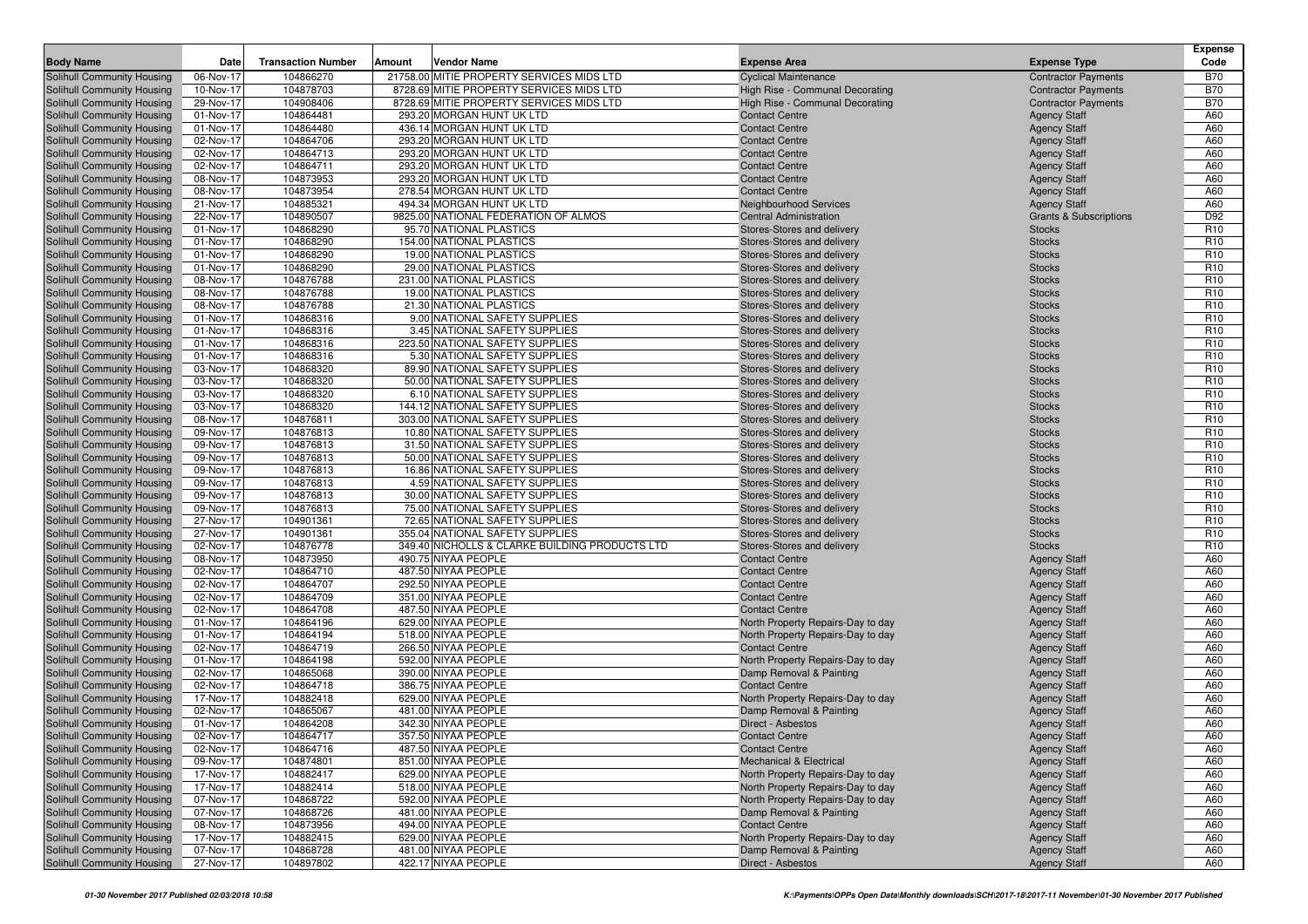| <b>Body Name</b>                                         | Date                   | <b>Transaction Number</b> | Amount | Vendor Name                                                      | <b>Expense Area</b>                                      | <b>Expense Type</b>               | <b>Expense</b><br>Code             |
|----------------------------------------------------------|------------------------|---------------------------|--------|------------------------------------------------------------------|----------------------------------------------------------|-----------------------------------|------------------------------------|
| Solihull Community Housing                               | 06-Nov-17              | 104866270                 |        | 21758.00 MITIE PROPERTY SERVICES MIDS LTD                        | <b>Cyclical Maintenance</b>                              | <b>Contractor Payments</b>        | <b>B70</b>                         |
| Solihull Community Housing                               | 10-Nov-17              | 104878703                 |        | 8728.69 MITIE PROPERTY SERVICES MIDS LTD                         | High Rise - Communal Decorating                          | <b>Contractor Payments</b>        | <b>B70</b>                         |
| Solihull Community Housing                               | 29-Nov-17              | 104908406                 |        | 8728.69 MITIE PROPERTY SERVICES MIDS LTD                         | High Rise - Communal Decorating                          | <b>Contractor Payments</b>        | <b>B70</b>                         |
| Solihull Community Housing                               | 01-Nov-17              | 104864481                 |        | 293.20 MORGAN HUNT UK LTD                                        | <b>Contact Centre</b>                                    | <b>Agency Staff</b>               | A60                                |
| Solihull Community Housing                               | 01-Nov-17              | 104864480                 |        | 436.14 MORGAN HUNT UK LTD                                        | <b>Contact Centre</b>                                    | <b>Agency Staff</b>               | A60                                |
| Solihull Community Housing                               | 02-Nov-17              | 104864706                 |        | 293.20 MORGAN HUNT UK LTD                                        | <b>Contact Centre</b>                                    | <b>Agency Staff</b>               | A60                                |
| Solihull Community Housing                               | 02-Nov-17              | 104864713                 |        | 293.20 MORGAN HUNT UK LTD                                        | <b>Contact Centre</b>                                    | <b>Agency Staff</b>               | A60                                |
| Solihull Community Housing                               | 02-Nov-17              | 104864711                 |        | 293.20 MORGAN HUNT UK LTD                                        | <b>Contact Centre</b>                                    | <b>Agency Staff</b>               | A60                                |
| Solihull Community Housing                               | 08-Nov-17              | 104873953                 |        | 293.20 MORGAN HUNT UK LTD                                        | <b>Contact Centre</b>                                    | <b>Agency Staff</b>               | A60                                |
| Solihull Community Housing                               | 08-Nov-17              | 104873954                 |        | 278.54 MORGAN HUNT UK LTD                                        | <b>Contact Centre</b>                                    | <b>Agency Staff</b>               | A60                                |
| Solihull Community Housing                               | 21-Nov-17              | 104885321                 |        | 494.34 MORGAN HUNT UK LTD                                        | <b>Neighbourhood Services</b>                            | <b>Agency Staff</b>               | A60                                |
| Solihull Community Housing                               | 22-Nov-17              | 104890507                 |        | 9825.00 NATIONAL FEDERATION OF ALMOS                             | Central Administration                                   | <b>Grants &amp; Subscriptions</b> | D92                                |
| Solihull Community Housing                               | 01-Nov-17              | 104868290                 |        | 95.70 NATIONAL PLASTICS                                          | Stores-Stores and delivery                               | <b>Stocks</b>                     | R <sub>10</sub>                    |
| Solihull Community Housing                               | 01-Nov-17              | 104868290                 |        | 154.00 NATIONAL PLASTICS                                         | Stores-Stores and delivery                               | <b>Stocks</b>                     | R <sub>10</sub>                    |
| Solihull Community Housing                               | 01-Nov-17              | 104868290                 |        | 19.00 NATIONAL PLASTICS                                          | Stores-Stores and delivery                               | <b>Stocks</b>                     | R <sub>10</sub>                    |
| Solihull Community Housing                               | 01-Nov-17              | 104868290                 |        | 29.00 NATIONAL PLASTICS                                          | Stores-Stores and delivery                               | <b>Stocks</b>                     | R <sub>10</sub>                    |
| Solihull Community Housing                               | 08-Nov-17              | 104876788                 |        | 231.00 NATIONAL PLASTICS                                         | Stores-Stores and delivery                               | <b>Stocks</b>                     | R <sub>10</sub>                    |
| Solihull Community Housing                               | 08-Nov-17              | 104876788                 |        | 19.00 NATIONAL PLASTICS                                          | Stores-Stores and delivery                               | <b>Stocks</b>                     | R <sub>10</sub>                    |
| Solihull Community Housing                               | 08-Nov-17              | 104876788                 |        | 21.30 NATIONAL PLASTICS                                          | Stores-Stores and delivery                               | <b>Stocks</b>                     | R <sub>10</sub>                    |
| Solihull Community Housing                               | 01-Nov-17              | 104868316                 |        | 9.00 NATIONAL SAFETY SUPPLIES                                    | Stores-Stores and delivery                               | <b>Stocks</b>                     | R <sub>10</sub>                    |
| Solihull Community Housing                               | 01-Nov-17              | 104868316                 |        | 3.45 NATIONAL SAFETY SUPPLIES                                    | Stores-Stores and delivery                               | <b>Stocks</b>                     | R <sub>10</sub>                    |
| Solihull Community Housing                               | 01-Nov-17              | 104868316                 |        | 223.50 NATIONAL SAFETY SUPPLIES                                  | Stores-Stores and delivery                               | <b>Stocks</b>                     | R <sub>10</sub>                    |
| Solihull Community Housing                               | 01-Nov-17              | 104868316                 |        | 5.30 NATIONAL SAFETY SUPPLIES                                    | Stores-Stores and delivery                               | <b>Stocks</b>                     | R <sub>10</sub>                    |
| Solihull Community Housing                               | 03-Nov-17              | 104868320                 |        | 89.90 NATIONAL SAFETY SUPPLIES                                   | Stores-Stores and delivery                               | <b>Stocks</b>                     | R <sub>10</sub>                    |
| Solihull Community Housing                               | 03-Nov-17              | 104868320                 |        | 50.00 NATIONAL SAFETY SUPPLIES                                   | Stores-Stores and delivery                               | <b>Stocks</b>                     | R <sub>10</sub>                    |
| Solihull Community Housing                               | 03-Nov-17              | 104868320                 |        | 6.10 NATIONAL SAFETY SUPPLIES                                    | Stores-Stores and delivery                               | <b>Stocks</b>                     | R <sub>10</sub>                    |
| Solihull Community Housing                               | 03-Nov-17              | 104868320                 |        | 144.12 NATIONAL SAFETY SUPPLIES                                  | Stores-Stores and delivery                               | <b>Stocks</b>                     | R <sub>10</sub>                    |
| Solihull Community Housing                               | 08-Nov-17              | 104876811                 |        | 303.00 NATIONAL SAFETY SUPPLIES                                  | Stores-Stores and delivery                               | <b>Stocks</b>                     | R <sub>10</sub>                    |
| Solihull Community Housing                               | 09-Nov-17              | 104876813                 |        | 10.80 NATIONAL SAFETY SUPPLIES                                   | Stores-Stores and delivery                               | <b>Stocks</b>                     | R <sub>10</sub>                    |
| Solihull Community Housing                               | 09-Nov-17              | 104876813                 |        | 31.50 NATIONAL SAFETY SUPPLIES                                   | Stores-Stores and delivery                               | <b>Stocks</b>                     | R <sub>10</sub>                    |
| Solihull Community Housing                               | 09-Nov-17              | 104876813                 |        | 50.00 NATIONAL SAFETY SUPPLIES                                   | Stores-Stores and delivery                               | <b>Stocks</b>                     | R <sub>10</sub>                    |
| Solihull Community Housing                               | 09-Nov-17              | 104876813                 |        | 16.86 NATIONAL SAFETY SUPPLIES                                   | Stores-Stores and delivery                               | <b>Stocks</b>                     | R <sub>10</sub>                    |
| Solihull Community Housing                               | 09-Nov-17              | 104876813                 |        | 4.59 NATIONAL SAFETY SUPPLIES                                    | Stores-Stores and delivery                               | <b>Stocks</b>                     | R <sub>10</sub>                    |
| Solihull Community Housing                               | 09-Nov-17              | 104876813                 |        | 30.00 NATIONAL SAFETY SUPPLIES<br>75.00 NATIONAL SAFETY SUPPLIES | Stores-Stores and delivery                               | <b>Stocks</b>                     | R <sub>10</sub><br>R <sub>10</sub> |
| Solihull Community Housing                               | 09-Nov-17              | 104876813<br>104901361    |        | 72.65 NATIONAL SAFETY SUPPLIES                                   | Stores-Stores and delivery                               | <b>Stocks</b><br><b>Stocks</b>    | R <sub>10</sub>                    |
| Solihull Community Housing<br>Solihull Community Housing | 27-Nov-17<br>27-Nov-17 | 104901361                 |        | 355.04 NATIONAL SAFETY SUPPLIES                                  | Stores-Stores and delivery<br>Stores-Stores and delivery | <b>Stocks</b>                     | R <sub>10</sub>                    |
| Solihull Community Housing                               | 02-Nov-17              | 104876778                 |        | 349.40 NICHOLLS & CLARKE BUILDING PRODUCTS LTD                   | Stores-Stores and delivery                               | <b>Stocks</b>                     | R <sub>10</sub>                    |
| Solihull Community Housing                               | 08-Nov-17              | 104873950                 |        | 490.75 NIYAA PEOPLE                                              | <b>Contact Centre</b>                                    | <b>Agency Staff</b>               | A60                                |
| Solihull Community Housing                               | 02-Nov-17              | 104864710                 |        | 487.50 NIYAA PEOPLE                                              | <b>Contact Centre</b>                                    | <b>Agency Staff</b>               | A60                                |
| Solihull Community Housing                               | 02-Nov-17              | 104864707                 |        | 292.50 NIYAA PEOPLE                                              | <b>Contact Centre</b>                                    | <b>Agency Staff</b>               | A60                                |
| Solihull Community Housing                               | 02-Nov-17              | 104864709                 |        | 351.00 NIYAA PEOPLE                                              | <b>Contact Centre</b>                                    | <b>Agency Staff</b>               | A60                                |
| Solihull Community Housing                               | 02-Nov-17              | 104864708                 |        | 487.50 NIYAA PEOPLE                                              | <b>Contact Centre</b>                                    | <b>Agency Staff</b>               | A60                                |
| Solihull Community Housing                               | 01-Nov-17              | 104864196                 |        | 629.00 NIYAA PEOPLE                                              | North Property Repairs-Day to day                        | <b>Agency Staff</b>               | A60                                |
| Solihull Community Housing                               | 01-Nov-17              | 104864194                 |        | 518.00 NIYAA PEOPLE                                              | North Property Repairs-Day to day                        | <b>Agency Staff</b>               | A60                                |
| Solihull Community Housing                               | 02-Nov-17              | 104864719                 |        | 266.50 NIYAA PEOPLE                                              | <b>Contact Centre</b>                                    | <b>Agency Staff</b>               | A60                                |
| Solihull Community Housing                               | 01-Nov-17              | 104864198                 |        | 592.00 NIYAA PEOPLE                                              | North Property Repairs-Day to day                        | <b>Agency Staff</b>               | A60                                |
| Solihull Community Housing                               | 02-Nov-17              | 104865068                 |        | 390.00 NIYAA PEOPLE                                              | Damp Removal & Painting                                  | <b>Agency Staff</b>               | A60                                |
| Solihull Community Housing                               | 02-Nov-17              | 104864718                 |        | 386.75 NIYAA PEOPLE                                              | <b>Contact Centre</b>                                    | <b>Agency Staff</b>               | A60                                |
| Solihull Community Housing                               | 17-Nov-17              | 104882418                 |        | 629.00 NIYAA PEOPLE                                              | North Property Repairs-Day to day                        | <b>Agency Staff</b>               | A60                                |
| Solihull Community Housing                               | 02-Nov-17              | 104865067                 |        | 481.00 NIYAA PEOPLE                                              | Damp Removal & Painting                                  | <b>Agency Staff</b>               | A60                                |
| Solihull Community Housing                               | 01-Nov-17              | 104864208                 |        | 342.30 NIYAA PEOPLE                                              | Direct - Asbestos                                        | <b>Agency Staff</b>               | A60                                |
| Solihull Community Housing                               | 02-Nov-17              | 104864717                 |        | 357.50 NIYAA PEOPLE                                              | <b>Contact Centre</b>                                    | <b>Agency Staff</b>               | A60                                |
| Solihull Community Housing                               | 02-Nov-17              | 104864716                 |        | 487.50 NIYAA PEOPLE                                              | <b>Contact Centre</b>                                    | <b>Agency Staff</b>               | A60                                |
| Solihull Community Housing                               | 09-Nov-17              | 104874801                 |        | 851.00 NIYAA PEOPLE                                              | Mechanical & Electrical                                  | <b>Agency Staff</b>               | A60                                |
| Solihull Community Housing                               | 17-Nov-17              | 104882417                 |        | 629.00 NIYAA PEOPLE                                              | North Property Repairs-Day to day                        | <b>Agency Staff</b>               | A60                                |
| Solihull Community Housing                               | 17-Nov-17              | 104882414                 |        | 518.00 NIYAA PEOPLE                                              | North Property Repairs-Day to day                        | <b>Agency Staff</b>               | A60                                |
| Solihull Community Housing                               | 07-Nov-17              | 104868722                 |        | 592.00 NIYAA PEOPLE                                              | North Property Repairs-Day to day                        | <b>Agency Staff</b>               | A60                                |
| Solihull Community Housing                               | 07-Nov-17              | 104868726                 |        | 481.00 NIYAA PEOPLE                                              | Damp Removal & Painting                                  | <b>Agency Staff</b>               | A60                                |
| Solihull Community Housing                               | 08-Nov-17              | 104873956                 |        | 494.00 NIYAA PEOPLE                                              | <b>Contact Centre</b>                                    | <b>Agency Staff</b>               | A60                                |
| Solihull Community Housing                               | 17-Nov-17              | 104882415                 |        | 629.00 NIYAA PEOPLE                                              | North Property Repairs-Day to day                        | <b>Agency Staff</b>               | A60                                |
| Solihull Community Housing                               | 07-Nov-17              | 104868728                 |        | 481.00 NIYAA PEOPLE                                              | Damp Removal & Painting                                  | <b>Agency Staff</b>               | A60                                |
| Solihull Community Housing                               | 27-Nov-17              | 104897802                 |        | 422.17 NIYAA PEOPLE                                              | Direct - Asbestos                                        | <b>Agency Staff</b>               | A60                                |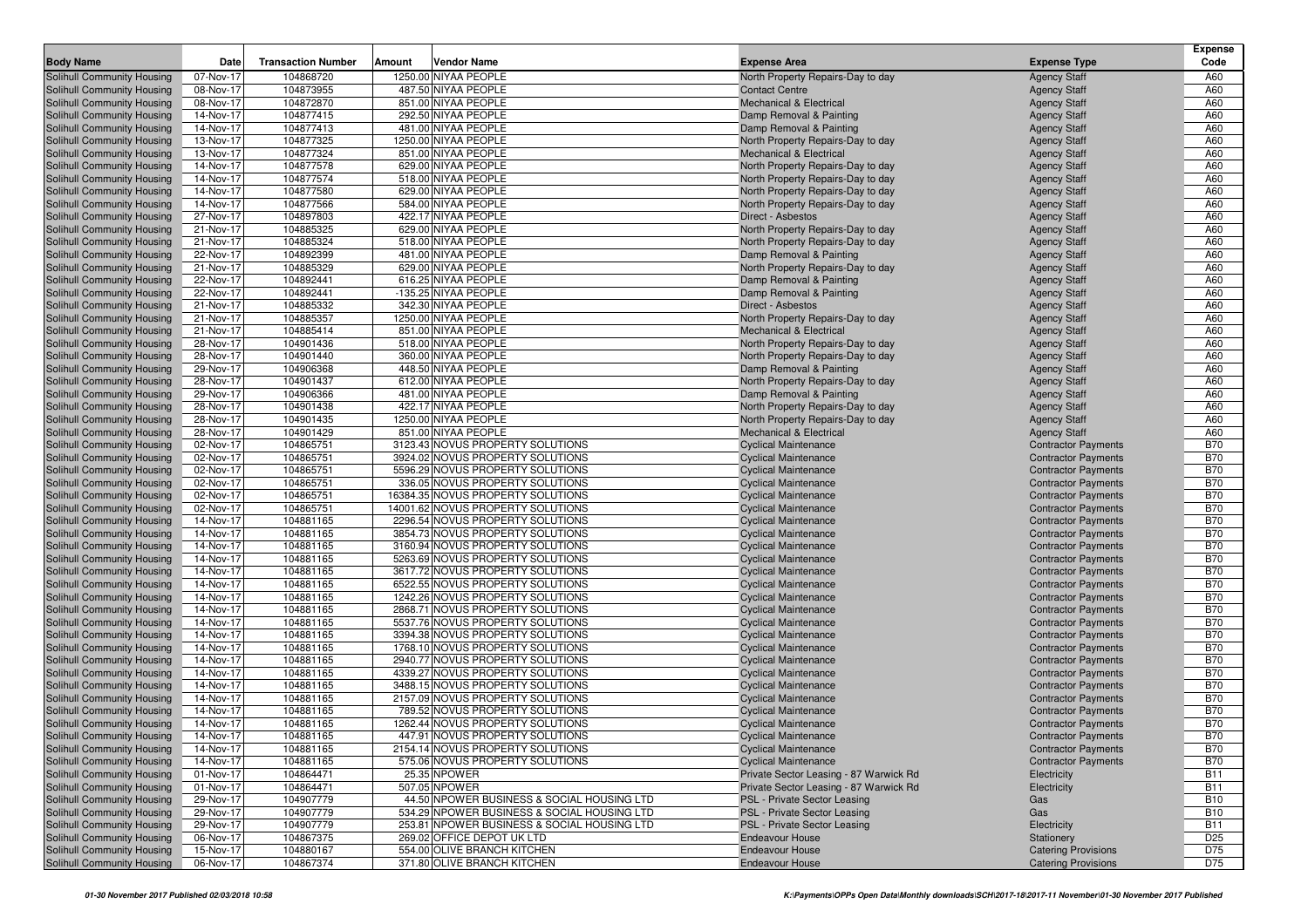|                                                          |                        |                           |        |                                                                      |                                                                         |                                                          | <b>Expense</b>           |
|----------------------------------------------------------|------------------------|---------------------------|--------|----------------------------------------------------------------------|-------------------------------------------------------------------------|----------------------------------------------------------|--------------------------|
| <b>Body Name</b>                                         | Date                   | <b>Transaction Number</b> | Amount | Vendor Name                                                          | <b>Expense Area</b>                                                     | <b>Expense Type</b>                                      | Code                     |
| Solihull Community Housing                               | 07-Nov-17              | 104868720                 |        | 1250.00 NIYAA PEOPLE                                                 | North Property Repairs-Day to day                                       | <b>Agency Staff</b>                                      | A60                      |
| Solihull Community Housing                               | 08-Nov-17              | 104873955                 |        | 487.50 NIYAA PEOPLE                                                  | <b>Contact Centre</b>                                                   | <b>Agency Staff</b>                                      | A60                      |
| Solihull Community Housing                               | 08-Nov-17              | 104872870                 |        | 851.00 NIYAA PEOPLE                                                  | <b>Mechanical &amp; Electrical</b>                                      | <b>Agency Staff</b>                                      | A60                      |
| Solihull Community Housing                               | 14-Nov-17              | 104877415                 |        | 292.50 NIYAA PEOPLE<br>481.00 NIYAA PEOPLE                           | Damp Removal & Painting                                                 | <b>Agency Staff</b>                                      | A60                      |
| Solihull Community Housing                               | 14-Nov-17              | 104877413<br>104877325    |        | 1250.00 NIYAA PEOPLE                                                 | Damp Removal & Painting                                                 | <b>Agency Staff</b>                                      | A60<br>A60               |
| Solihull Community Housing<br>Solihull Community Housing | 13-Nov-17<br>13-Nov-17 | 104877324                 |        | 851.00 NIYAA PEOPLE                                                  | North Property Repairs-Day to day<br><b>Mechanical &amp; Electrical</b> | <b>Agency Staff</b><br><b>Agency Staff</b>               | A60                      |
| Solihull Community Housing                               | 14-Nov-17              | 104877578                 |        | 629.00 NIYAA PEOPLE                                                  | North Property Repairs-Day to day                                       | <b>Agency Staff</b>                                      | A60                      |
| Solihull Community Housing                               | 14-Nov-17              | 104877574                 |        | 518.00 NIYAA PEOPLE                                                  | North Property Repairs-Day to day                                       | <b>Agency Staff</b>                                      | A60                      |
| Solihull Community Housing                               | 14-Nov-17              | 104877580                 |        | 629.00 NIYAA PEOPLE                                                  | North Property Repairs-Day to day                                       | <b>Agency Staff</b>                                      | A60                      |
| Solihull Community Housing                               | 14-Nov-17              | 104877566                 |        | 584.00 NIYAA PEOPLE                                                  | North Property Repairs-Day to day                                       | <b>Agency Staff</b>                                      | A60                      |
| Solihull Community Housing                               | 27-Nov-17              | 104897803                 |        | 422.17 NIYAA PEOPLE                                                  | Direct - Asbestos                                                       | <b>Agency Staff</b>                                      | A60                      |
| Solihull Community Housing                               | 21-Nov-17              | 104885325                 |        | 629.00 NIYAA PEOPLE                                                  | North Property Repairs-Day to day                                       | <b>Agency Staff</b>                                      | A60                      |
| Solihull Community Housing                               | 21-Nov-17              | 104885324                 |        | 518.00 NIYAA PEOPLE                                                  | North Property Repairs-Day to day                                       | <b>Agency Staff</b>                                      | A60                      |
| Solihull Community Housing                               | 22-Nov-17              | 104892399                 |        | 481.00 NIYAA PEOPLE                                                  | Damp Removal & Painting                                                 | <b>Agency Staff</b>                                      | A60                      |
| Solihull Community Housing                               | 21-Nov-17              | 104885329                 |        | 629.00 NIYAA PEOPLE                                                  | North Property Repairs-Day to day                                       | <b>Agency Staff</b>                                      | A60                      |
| Solihull Community Housing                               | 22-Nov-17              | 104892441                 |        | 616.25 NIYAA PEOPLE                                                  | Damp Removal & Painting                                                 | <b>Agency Staff</b>                                      | A60                      |
| Solihull Community Housing                               | 22-Nov-17              | 104892441                 |        | -135.25 NIYAA PEOPLE                                                 | Damp Removal & Painting                                                 | <b>Agency Staff</b>                                      | A60                      |
| Solihull Community Housing                               | 21-Nov-17              | 104885332                 |        | 342.30 NIYAA PEOPLE                                                  | Direct - Asbestos                                                       | <b>Agency Staff</b>                                      | A60                      |
| Solihull Community Housing                               | 21-Nov-17              | 104885357                 |        | 1250.00 NIYAA PEOPLE                                                 | North Property Repairs-Day to day                                       | <b>Agency Staff</b>                                      | A60                      |
| <b>Solihull Community Housing</b>                        | 21-Nov-17              | 104885414                 |        | 851.00 NIYAA PEOPLE                                                  | <b>Mechanical &amp; Electrical</b>                                      | <b>Agency Staff</b>                                      | A60                      |
| Solihull Community Housing                               | 28-Nov-17              | 104901436                 |        | 518.00 NIYAA PEOPLE                                                  | North Property Repairs-Day to day                                       | <b>Agency Staff</b>                                      | A60                      |
| Solihull Community Housing                               | 28-Nov-17              | 104901440                 |        | 360.00 NIYAA PEOPLE                                                  | North Property Repairs-Day to day                                       | <b>Agency Staff</b>                                      | A60                      |
| Solihull Community Housing                               | 29-Nov-17              | 104906368                 |        | 448.50 NIYAA PEOPLE                                                  | Damp Removal & Painting                                                 | <b>Agency Staff</b>                                      | A60                      |
| Solihull Community Housing                               | 28-Nov-17              | 104901437                 |        | 612.00 NIYAA PEOPLE                                                  | North Property Repairs-Day to day                                       | <b>Agency Staff</b>                                      | A60                      |
| Solihull Community Housing                               | 29-Nov-17              | 104906366                 |        | 481.00 NIYAA PEOPLE<br>422.17 NIYAA PEOPLE                           | Damp Removal & Painting<br>North Property Repairs-Day to day            | <b>Agency Staff</b>                                      | A60<br>A60               |
| Solihull Community Housing<br>Solihull Community Housing | 28-Nov-17<br>28-Nov-17 | 104901438<br>104901435    |        | 1250.00 NIYAA PEOPLE                                                 | North Property Repairs-Day to day                                       | <b>Agency Staff</b><br><b>Agency Staff</b>               | A60                      |
| Solihull Community Housing                               | 28-Nov-17              | 104901429                 |        | 851.00 NIYAA PEOPLE                                                  | <b>Mechanical &amp; Electrical</b>                                      | <b>Agency Staff</b>                                      | A60                      |
| Solihull Community Housing                               | 02-Nov-17              | 104865751                 |        | 3123.43 NOVUS PROPERTY SOLUTIONS                                     | <b>Cyclical Maintenance</b>                                             | <b>Contractor Payments</b>                               | <b>B70</b>               |
| Solihull Community Housing                               | 02-Nov-17              | 104865751                 |        | 3924.02 NOVUS PROPERTY SOLUTIONS                                     | <b>Cyclical Maintenance</b>                                             | <b>Contractor Payments</b>                               | <b>B70</b>               |
| Solihull Community Housing                               | 02-Nov-17              | 104865751                 |        | 5596.29 NOVUS PROPERTY SOLUTIONS                                     | <b>Cyclical Maintenance</b>                                             | <b>Contractor Payments</b>                               | <b>B70</b>               |
| Solihull Community Housing                               | 02-Nov-17              | 104865751                 |        | 336.05 NOVUS PROPERTY SOLUTIONS                                      | <b>Cyclical Maintenance</b>                                             | <b>Contractor Payments</b>                               | <b>B70</b>               |
| Solihull Community Housing                               | 02-Nov-17              | 104865751                 |        | 16384.35 NOVUS PROPERTY SOLUTIONS                                    | <b>Cyclical Maintenance</b>                                             | <b>Contractor Payments</b>                               | <b>B70</b>               |
| Solihull Community Housing                               | 02-Nov-17              | 104865751                 |        | 14001.62 NOVUS PROPERTY SOLUTIONS                                    | <b>Cyclical Maintenance</b>                                             | <b>Contractor Payments</b>                               | <b>B70</b>               |
| Solihull Community Housing                               | 14-Nov-17              | 104881165                 |        | 2296.54 NOVUS PROPERTY SOLUTIONS                                     | <b>Cyclical Maintenance</b>                                             | <b>Contractor Payments</b>                               | <b>B70</b>               |
| Solihull Community Housing                               | 14-Nov-17              | 104881165                 |        | 3854.73 NOVUS PROPERTY SOLUTIONS                                     | <b>Cyclical Maintenance</b>                                             | <b>Contractor Payments</b>                               | <b>B70</b>               |
| Solihull Community Housing                               | 14-Nov-17              | 104881165                 |        | 3160.94 NOVUS PROPERTY SOLUTIONS                                     | <b>Cyclical Maintenance</b>                                             | <b>Contractor Payments</b>                               | <b>B70</b>               |
| Solihull Community Housing                               | 14-Nov-17              | 104881165                 |        | 5263.69 NOVUS PROPERTY SOLUTIONS                                     | <b>Cyclical Maintenance</b>                                             | <b>Contractor Payments</b>                               | <b>B70</b>               |
| Solihull Community Housing                               | 14-Nov-17              | 104881165                 |        | 3617.72 NOVUS PROPERTY SOLUTIONS                                     | <b>Cyclical Maintenance</b>                                             | <b>Contractor Payments</b>                               | <b>B70</b>               |
| Solihull Community Housing                               | 14-Nov-17              | 104881165                 |        | 6522.55 NOVUS PROPERTY SOLUTIONS                                     | <b>Cyclical Maintenance</b>                                             | <b>Contractor Payments</b>                               | <b>B70</b>               |
| Solihull Community Housing                               | 14-Nov-17              | 104881165                 |        | 1242.26 NOVUS PROPERTY SOLUTIONS                                     | <b>Cyclical Maintenance</b>                                             | <b>Contractor Payments</b>                               | <b>B70</b>               |
| Solihull Community Housing                               | 14-Nov-17              | 104881165                 |        | 2868.71 NOVUS PROPERTY SOLUTIONS                                     | <b>Cyclical Maintenance</b>                                             | <b>Contractor Payments</b>                               | <b>B70</b>               |
| Solihull Community Housing                               | 14-Nov-17              | 104881165                 |        | 5537.76 NOVUS PROPERTY SOLUTIONS                                     | <b>Cyclical Maintenance</b>                                             | <b>Contractor Payments</b>                               | <b>B70</b><br><b>B70</b> |
| Solihull Community Housing<br>Solihull Community Housing | 14-Nov-17<br>14-Nov-17 | 104881165<br>104881165    |        | 3394.38 NOVUS PROPERTY SOLUTIONS<br>1768.10 NOVUS PROPERTY SOLUTIONS | <b>Cyclical Maintenance</b><br><b>Cyclical Maintenance</b>              | <b>Contractor Payments</b>                               | <b>B70</b>               |
| Solihull Community Housing                               | 14-Nov-17              | 104881165                 |        | 2940.77 NOVUS PROPERTY SOLUTIONS                                     | <b>Cyclical Maintenance</b>                                             | <b>Contractor Payments</b><br><b>Contractor Payments</b> | <b>B70</b>               |
| Solihull Community Housing                               | 14-Nov-17              | 104881165                 |        | 4339.27 NOVUS PROPERTY SOLUTIONS                                     | <b>Cyclical Maintenance</b>                                             | <b>Contractor Payments</b>                               | <b>B70</b>               |
| Solihull Community Housing                               | 14-Nov-17              | 104881165                 |        | 3488.15 NOVUS PROPERTY SOLUTIONS                                     | <b>Cyclical Maintenance</b>                                             | <b>Contractor Payments</b>                               | <b>B70</b>               |
| Solihull Community Housing                               | 14-Nov-17              | 104881165                 |        | 2157.09 NOVUS PROPERTY SOLUTIONS                                     | <b>Cyclical Maintenance</b>                                             | <b>Contractor Payments</b>                               | <b>B70</b>               |
| Solihull Community Housing                               | 14-Nov-17              | 104881165                 |        | 789.52 NOVUS PROPERTY SOLUTIONS                                      | <b>Cyclical Maintenance</b>                                             | <b>Contractor Payments</b>                               | <b>B70</b>               |
| Solihull Community Housing                               | 14-Nov-17              | 104881165                 |        | 1262.44 NOVUS PROPERTY SOLUTIONS                                     | <b>Cyclical Maintenance</b>                                             | <b>Contractor Payments</b>                               | <b>B70</b>               |
| Solihull Community Housing                               | 14-Nov-17              | 104881165                 |        | 447.91 NOVUS PROPERTY SOLUTIONS                                      | <b>Cyclical Maintenance</b>                                             | <b>Contractor Payments</b>                               | <b>B70</b>               |
| <b>Solihull Community Housing</b>                        | 14-Nov-17              | 104881165                 |        | 2154.14 NOVUS PROPERTY SOLUTIONS                                     | <b>Cyclical Maintenance</b>                                             | <b>Contractor Payments</b>                               | <b>B70</b>               |
| Solihull Community Housing                               | 14-Nov-17              | 104881165                 |        | 575.06 NOVUS PROPERTY SOLUTIONS                                      | <b>Cyclical Maintenance</b>                                             | <b>Contractor Payments</b>                               | <b>B70</b>               |
| Solihull Community Housing                               | 01-Nov-17              | 104864471                 |        | 25.35 NPOWER                                                         | Private Sector Leasing - 87 Warwick Rd                                  | Electricity                                              | <b>B11</b>               |
| Solihull Community Housing                               | 01-Nov-17              | 104864471                 |        | 507.05 NPOWER                                                        | Private Sector Leasing - 87 Warwick Rd                                  | Electricity                                              | <b>B11</b>               |
| Solihull Community Housing                               | 29-Nov-17              | 104907779                 |        | 44.50 NPOWER BUSINESS & SOCIAL HOUSING LTD                           | PSL - Private Sector Leasing                                            | Gas                                                      | <b>B10</b>               |
| Solihull Community Housing                               | 29-Nov-17              | 104907779                 |        | 534.29 NPOWER BUSINESS & SOCIAL HOUSING LTD                          | PSL - Private Sector Leasing                                            | Gas                                                      | <b>B10</b>               |
| Solihull Community Housing                               | 29-Nov-17              | 104907779                 |        | 253.81 NPOWER BUSINESS & SOCIAL HOUSING LTD                          | PSL - Private Sector Leasing                                            | Electricity                                              | <b>B11</b>               |
| Solihull Community Housing                               | 06-Nov-17              | 104867375                 |        | 269.02 OFFICE DEPOT UK LTD                                           | Endeavour House                                                         | Stationery                                               | D <sub>25</sub>          |
| Solihull Community Housing                               | 15-Nov-17              | 104880167                 |        | 554.00 OLIVE BRANCH KITCHEN                                          | <b>Endeavour House</b>                                                  | <b>Catering Provisions</b>                               | D75                      |
| Solihull Community Housing                               | 06-Nov-17              | 104867374                 |        | 371.80 OLIVE BRANCH KITCHEN                                          | <b>Endeavour House</b>                                                  | <b>Catering Provisions</b>                               | D75                      |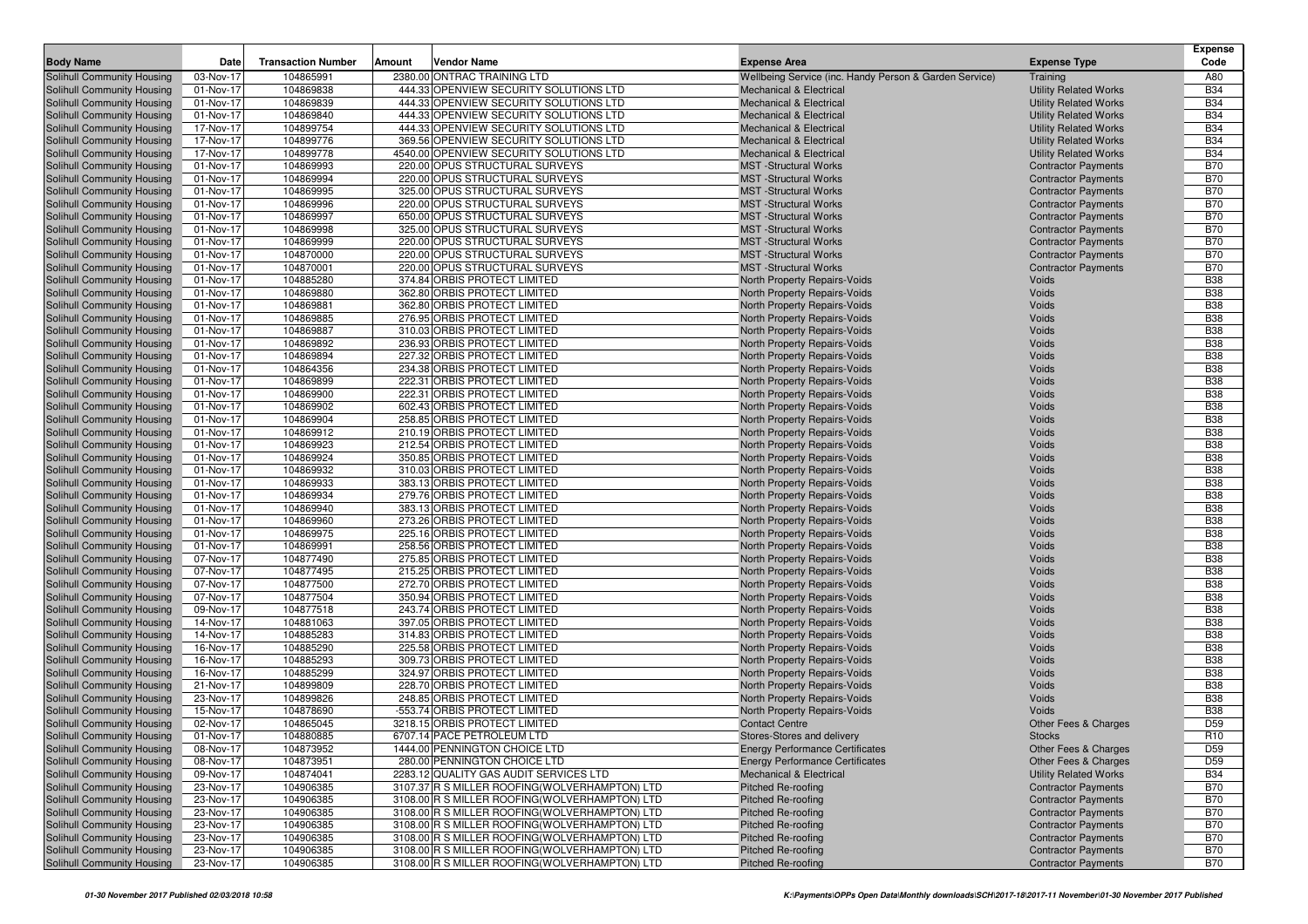|                                                          |                        |                           |        |                                                                                                 |                                                                          |                                                              | <b>Expense</b>           |
|----------------------------------------------------------|------------------------|---------------------------|--------|-------------------------------------------------------------------------------------------------|--------------------------------------------------------------------------|--------------------------------------------------------------|--------------------------|
| <b>Body Name</b>                                         | Date                   | <b>Transaction Number</b> | Amount | Vendor Name                                                                                     | <b>Expense Area</b>                                                      | <b>Expense Type</b>                                          | Code                     |
| Solihull Community Housing                               | 03-Nov-17              | 104865991                 |        | 2380.00 ONTRAC TRAINING LTD                                                                     | Wellbeing Service (inc. Handy Person & Garden Service)                   | Training                                                     | A80                      |
| Solihull Community Housing                               | 01-Nov-17              | 104869838                 |        | 444.33 OPENVIEW SECURITY SOLUTIONS LTD                                                          | <b>Mechanical &amp; Electrical</b>                                       | <b>Utility Related Works</b>                                 | <b>B34</b>               |
| Solihull Community Housing                               | 01-Nov-17<br>01-Nov-17 | 104869839<br>104869840    |        | 444.33 OPENVIEW SECURITY SOLUTIONS LTD<br>444.33 OPENVIEW SECURITY SOLUTIONS LTD                | <b>Mechanical &amp; Electrical</b><br><b>Mechanical &amp; Electrical</b> | <b>Utility Related Works</b><br><b>Utility Related Works</b> | <b>B34</b><br><b>B34</b> |
| Solihull Community Housing<br>Solihull Community Housing | 17-Nov-17              | 104899754                 |        | 444.33 OPENVIEW SECURITY SOLUTIONS LTD                                                          | <b>Mechanical &amp; Electrical</b>                                       | <b>Utility Related Works</b>                                 | <b>B34</b>               |
| Solihull Community Housing                               | 17-Nov-17              | 104899776                 |        | 369.56 OPENVIEW SECURITY SOLUTIONS LTD                                                          | <b>Mechanical &amp; Electrical</b>                                       | <b>Utility Related Works</b>                                 | <b>B34</b>               |
| Solihull Community Housing                               | 17-Nov-17              | 104899778                 |        | 4540.00 OPENVIEW SECURITY SOLUTIONS LTD                                                         | <b>Mechanical &amp; Electrical</b>                                       | <b>Utility Related Works</b>                                 | <b>B34</b>               |
| Solihull Community Housing                               | 01-Nov-17              | 104869993                 |        | 220.00 OPUS STRUCTURAL SURVEYS                                                                  | <b>MST</b> -Structural Works                                             | <b>Contractor Payments</b>                                   | <b>B70</b>               |
| Solihull Community Housing                               | 01-Nov-17              | 104869994                 |        | 220.00 OPUS STRUCTURAL SURVEYS                                                                  | <b>MST</b> -Structural Works                                             | <b>Contractor Payments</b>                                   | <b>B70</b>               |
| Solihull Community Housing                               | 01-Nov-17              | 104869995                 |        | 325.00 OPUS STRUCTURAL SURVEYS                                                                  | <b>MST</b> -Structural Works                                             | <b>Contractor Payments</b>                                   | <b>B70</b>               |
| Solihull Community Housing                               | 01-Nov-17              | 104869996                 |        | 220.00 OPUS STRUCTURAL SURVEYS                                                                  | <b>MST</b> -Structural Works                                             | <b>Contractor Payments</b>                                   | <b>B70</b>               |
| Solihull Community Housing                               | 01-Nov-17              | 104869997                 |        | 650.00 OPUS STRUCTURAL SURVEYS                                                                  | <b>MST</b> -Structural Works                                             | <b>Contractor Payments</b>                                   | <b>B70</b>               |
| Solihull Community Housing                               | 01-Nov-17              | 104869998                 |        | 325.00 OPUS STRUCTURAL SURVEYS                                                                  | <b>MST</b> -Structural Works                                             | <b>Contractor Payments</b>                                   | <b>B70</b>               |
| Solihull Community Housing                               | 01-Nov-17              | 104869999                 |        | 220.00 OPUS STRUCTURAL SURVEYS                                                                  | <b>MST</b> -Structural Works                                             | <b>Contractor Payments</b>                                   | <b>B70</b>               |
| Solihull Community Housing                               | 01-Nov-17              | 104870000                 |        | 220.00 OPUS STRUCTURAL SURVEYS                                                                  | <b>MST</b> -Structural Works                                             | <b>Contractor Payments</b>                                   | <b>B70</b>               |
| Solihull Community Housing                               | 01-Nov-17              | 104870001                 |        | 220.00 OPUS STRUCTURAL SURVEYS                                                                  | <b>MST</b> -Structural Works                                             | <b>Contractor Payments</b>                                   | <b>B70</b>               |
| Solihull Community Housing                               | 01-Nov-17              | 104885280                 |        | 374.84 ORBIS PROTECT LIMITED                                                                    | North Property Repairs-Voids                                             | Voids                                                        | <b>B38</b>               |
| Solihull Community Housing                               | 01-Nov-17              | 104869880                 |        | 362.80 ORBIS PROTECT LIMITED                                                                    | North Property Repairs-Voids                                             | Voids                                                        | <b>B38</b>               |
| Solihull Community Housing                               | 01-Nov-17              | 104869881                 |        | 362.80 ORBIS PROTECT LIMITED                                                                    | North Property Repairs-Voids                                             | Voids                                                        | <b>B38</b>               |
| Solihull Community Housing                               | 01-Nov-17              | 104869885                 |        | 276.95 ORBIS PROTECT LIMITED                                                                    | North Property Repairs-Voids                                             | Voids                                                        | <b>B38</b>               |
| Solihull Community Housing                               | 01-Nov-17              | 104869887                 |        | 310.03 ORBIS PROTECT LIMITED                                                                    | North Property Repairs-Voids                                             | Voids                                                        | <b>B38</b>               |
| Solihull Community Housing                               | 01-Nov-17              | 104869892                 |        | 236.93 ORBIS PROTECT LIMITED                                                                    | North Property Repairs-Voids                                             | Voids                                                        | <b>B38</b>               |
| Solihull Community Housing                               | 01-Nov-17              | 104869894                 |        | 227.32 ORBIS PROTECT LIMITED                                                                    | North Property Repairs-Voids                                             | Voids                                                        | <b>B38</b>               |
| Solihull Community Housing                               | 01-Nov-17<br>01-Nov-17 | 104864356<br>104869899    |        | 234.38 ORBIS PROTECT LIMITED<br>222.31 ORBIS PROTECT LIMITED                                    | North Property Repairs-Voids<br><b>North Property Repairs-Voids</b>      | Voids<br>Voids                                               | <b>B38</b><br><b>B38</b> |
| Solihull Community Housing<br>Solihull Community Housing | 01-Nov-17              | 104869900                 |        | 222.31 ORBIS PROTECT LIMITED                                                                    | North Property Repairs-Voids                                             | Voids                                                        | <b>B38</b>               |
| Solihull Community Housing                               | 01-Nov-17              | 104869902                 |        | 602.43 ORBIS PROTECT LIMITED                                                                    | North Property Repairs-Voids                                             | Voids                                                        | <b>B38</b>               |
| Solihull Community Housing                               | 01-Nov-17              | 104869904                 |        | 258.85 ORBIS PROTECT LIMITED                                                                    | North Property Repairs-Voids                                             | Voids                                                        | <b>B38</b>               |
| Solihull Community Housing                               | 01-Nov-17              | 104869912                 |        | 210.19 ORBIS PROTECT LIMITED                                                                    | North Property Repairs-Voids                                             | Voids                                                        | <b>B38</b>               |
| Solihull Community Housing                               | 01-Nov-17              | 104869923                 |        | 212.54 ORBIS PROTECT LIMITED                                                                    | North Property Repairs-Voids                                             | Voids                                                        | <b>B38</b>               |
| Solihull Community Housing                               | 01-Nov-17              | 104869924                 |        | 350.85 ORBIS PROTECT LIMITED                                                                    | North Property Repairs-Voids                                             | Voids                                                        | <b>B38</b>               |
| Solihull Community Housing                               | 01-Nov-17              | 104869932                 |        | 310.03 ORBIS PROTECT LIMITED                                                                    | <b>North Property Repairs-Voids</b>                                      | Voids                                                        | <b>B38</b>               |
| Solihull Community Housing                               | 01-Nov-17              | 104869933                 |        | 383.13 ORBIS PROTECT LIMITED                                                                    | North Property Repairs-Voids                                             | Voids                                                        | <b>B38</b>               |
| Solihull Community Housing                               | 01-Nov-17              | 104869934                 |        | 279.76 ORBIS PROTECT LIMITED                                                                    | North Property Repairs-Voids                                             | Voids                                                        | <b>B38</b>               |
| Solihull Community Housing                               | 01-Nov-17              | 104869940                 |        | 383.13 ORBIS PROTECT LIMITED                                                                    | North Property Repairs-Voids                                             | Voids                                                        | <b>B38</b>               |
| Solihull Community Housing                               | 01-Nov-17              | 104869960                 |        | 273.26 ORBIS PROTECT LIMITED                                                                    | North Property Repairs-Voids                                             | Voids                                                        | <b>B38</b>               |
| Solihull Community Housing                               | 01-Nov-17              | 104869975                 |        | 225.16 ORBIS PROTECT LIMITED                                                                    | North Property Repairs-Voids                                             | Voids                                                        | <b>B38</b>               |
| Solihull Community Housing                               | 01-Nov-17              | 104869991                 |        | 258.56 ORBIS PROTECT LIMITED                                                                    | North Property Repairs-Voids                                             | Voids                                                        | <b>B38</b>               |
| Solihull Community Housing                               | 07-Nov-17              | 104877490                 |        | 275.85 ORBIS PROTECT LIMITED                                                                    | North Property Repairs-Voids                                             | Voids                                                        | <b>B38</b>               |
| Solihull Community Housing                               | 07-Nov-17              | 104877495                 |        | 215.25 ORBIS PROTECT LIMITED                                                                    | North Property Repairs-Voids                                             | Voids                                                        | <b>B38</b>               |
| Solihull Community Housing                               | 07-Nov-17              | 104877500                 |        | 272.70 ORBIS PROTECT LIMITED                                                                    | North Property Repairs-Voids                                             | Voids                                                        | <b>B38</b>               |
| Solihull Community Housing                               | 07-Nov-17              | 104877504                 |        | 350.94 ORBIS PROTECT LIMITED<br>243.74 ORBIS PROTECT LIMITED                                    | North Property Repairs-Voids                                             | Voids                                                        | <b>B38</b><br><b>B38</b> |
| Solihull Community Housing<br>Solihull Community Housing | 09-Nov-17<br>14-Nov-17 | 104877518<br>104881063    |        | 397.05 ORBIS PROTECT LIMITED                                                                    | North Property Repairs-Voids<br>North Property Repairs-Voids             | Voids<br>Voids                                               | <b>B38</b>               |
| Solihull Community Housing                               | 14-Nov-17              | 104885283                 |        | 314.83 ORBIS PROTECT LIMITED                                                                    | North Property Repairs-Voids                                             | Voids                                                        | <b>B38</b>               |
| Solihull Community Housing                               | 16-Nov-17              | 104885290                 |        | 225.58 ORBIS PROTECT LIMITED                                                                    | North Property Repairs-Voids                                             | Voids                                                        | <b>B38</b>               |
| Solihull Community Housing                               | 16-Nov-17              | 104885293                 |        | 309.73 ORBIS PROTECT LIMITED                                                                    | North Property Repairs-Voids                                             | Voids                                                        | <b>B38</b>               |
| Solihull Community Housing                               | 16-Nov-17              | 104885299                 |        | 324.97 ORBIS PROTECT LIMITED                                                                    | North Property Repairs-Voids                                             | Voids                                                        | <b>B38</b>               |
| Solihull Community Housing                               | 21-Nov-17              | 104899809                 |        | 228.70 ORBIS PROTECT LIMITED                                                                    | North Property Repairs-Voids                                             | Voids                                                        | <b>B38</b>               |
| Solihull Community Housing                               | 23-Nov-17              | 104899826                 |        | 248.85 ORBIS PROTECT LIMITED                                                                    | <b>North Property Repairs-Voids</b>                                      | Voids                                                        | <b>B38</b>               |
| Solihull Community Housing                               | 15-Nov-17              | 104878690                 |        | -553.74 ORBIS PROTECT LIMITED                                                                   | North Property Repairs-Voids                                             | Voids                                                        | <b>B38</b>               |
| Solihull Community Housing                               | 02-Nov-17              | 104865045                 |        | 3218.15 ORBIS PROTECT LIMITED                                                                   | <b>Contact Centre</b>                                                    | <b>Other Fees &amp; Charges</b>                              | D <sub>59</sub>          |
| Solihull Community Housing                               | 01-Nov-17              | 104880885                 |        | 6707.14 PACE PETROLEUM LTD                                                                      | Stores-Stores and delivery                                               | <b>Stocks</b>                                                | R <sub>10</sub>          |
| Solihull Community Housing                               | 08-Nov-17              | 104873952                 |        | 1444.00 PENNINGTON CHOICE LTD                                                                   | <b>Energy Performance Certificates</b>                                   | Other Fees & Charges                                         | D <sub>59</sub>          |
| Solihull Community Housing                               | 08-Nov-17              | 104873951                 |        | 280.00 PENNINGTON CHOICE LTD                                                                    | <b>Energy Performance Certificates</b>                                   | Other Fees & Charges                                         | D <sub>59</sub>          |
| Solihull Community Housing                               | 09-Nov-17              | 104874041                 |        | 2283.12 QUALITY GAS AUDIT SERVICES LTD                                                          | <b>Mechanical &amp; Electrical</b>                                       | <b>Utility Related Works</b>                                 | <b>B34</b>               |
| Solihull Community Housing                               | 23-Nov-17              | 104906385                 |        | 3107.37 R S MILLER ROOFING (WOLVERHAMPTON) LTD                                                  | Pitched Re-roofing                                                       | <b>Contractor Payments</b>                                   | <b>B70</b>               |
| Solihull Community Housing                               | 23-Nov-17              | 104906385                 |        | 3108.00 R S MILLER ROOFING (WOLVERHAMPTON) LTD                                                  | Pitched Re-roofing                                                       | <b>Contractor Payments</b>                                   | <b>B70</b>               |
| Solihull Community Housing                               | 23-Nov-17              | 104906385                 |        | 3108.00 R S MILLER ROOFING (WOLVERHAMPTON) LTD                                                  | <b>Pitched Re-roofing</b>                                                | <b>Contractor Payments</b>                                   | <b>B70</b>               |
| Solihull Community Housing                               | 23-Nov-17              | 104906385                 |        | 3108.00 R S MILLER ROOFING(WOLVERHAMPTON) LTD                                                   | <b>Pitched Re-roofing</b>                                                | <b>Contractor Payments</b>                                   | <b>B70</b>               |
| Solihull Community Housing                               | 23-Nov-17              | 104906385                 |        | 3108.00 R S MILLER ROOFING (WOLVERHAMPTON) LTD                                                  | Pitched Re-roofing                                                       | <b>Contractor Payments</b>                                   | <b>B70</b>               |
| Solihull Community Housing<br>Solihull Community Housing | 23-Nov-17              | 104906385                 |        | 3108.00 R S MILLER ROOFING (WOLVERHAMPTON) LTD<br>3108.00 R S MILLER ROOFING(WOLVERHAMPTON) LTD | Pitched Re-roofing<br>Pitched Re-roofing                                 | <b>Contractor Payments</b>                                   | <b>B70</b>               |
|                                                          | 23-Nov-17              | 104906385                 |        |                                                                                                 |                                                                          | <b>Contractor Payments</b>                                   | <b>B70</b>               |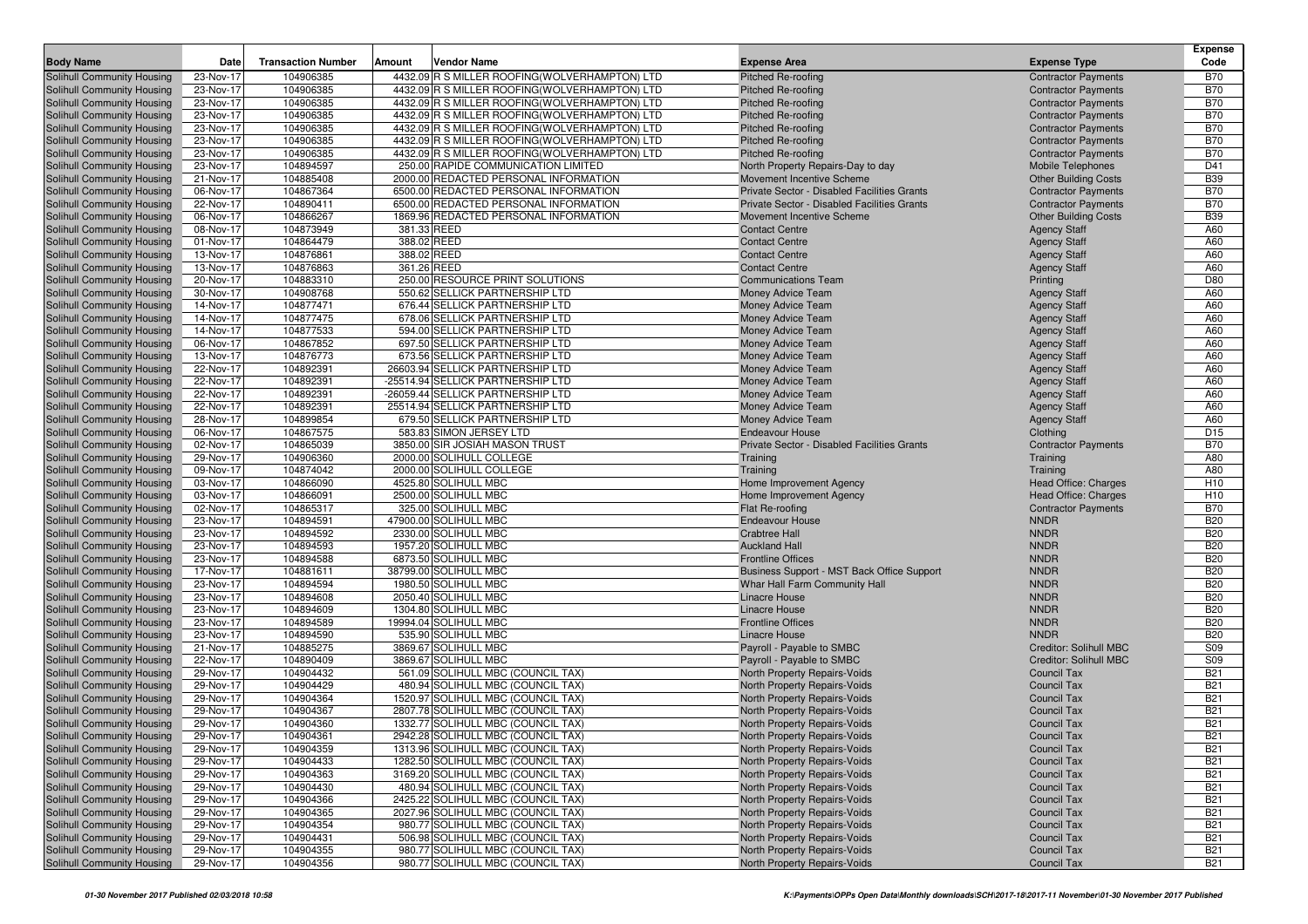| <b>Body Name</b>                                         | Date                   | <b>Transaction Number</b> | Amount | Vendor Name                                    | <b>Expense Area</b>                                                         | <b>Expense Type</b>             | <b>Expense</b><br>Code   |
|----------------------------------------------------------|------------------------|---------------------------|--------|------------------------------------------------|-----------------------------------------------------------------------------|---------------------------------|--------------------------|
| Solihull Community Housing                               | 23-Nov-17              | 104906385                 |        | 4432.09 R S MILLER ROOFING (WOLVERHAMPTON) LTD | Pitched Re-roofing                                                          | <b>Contractor Payments</b>      | <b>B70</b>               |
| Solihull Community Housing                               | 23-Nov-17              | 104906385                 |        | 4432.09 R S MILLER ROOFING (WOLVERHAMPTON) LTD | <b>Pitched Re-roofing</b>                                                   | <b>Contractor Payments</b>      | <b>B70</b>               |
| Solihull Community Housing                               | 23-Nov-17              | 104906385                 |        | 4432.09 R S MILLER ROOFING (WOLVERHAMPTON) LTD | <b>Pitched Re-roofing</b>                                                   | <b>Contractor Payments</b>      | <b>B70</b>               |
| Solihull Community Housing                               | 23-Nov-17              | 104906385                 |        | 4432.09 R S MILLER ROOFING (WOLVERHAMPTON) LTD | <b>Pitched Re-roofing</b>                                                   | <b>Contractor Payments</b>      | <b>B70</b>               |
| Solihull Community Housing                               | 23-Nov-17              | 104906385                 |        | 4432.09 R S MILLER ROOFING (WOLVERHAMPTON) LTD | Pitched Re-roofing                                                          | <b>Contractor Payments</b>      | <b>B70</b>               |
| Solihull Community Housing                               | 23-Nov-17              | 104906385                 |        | 4432.09 R S MILLER ROOFING (WOLVERHAMPTON) LTD | <b>Pitched Re-roofing</b>                                                   | <b>Contractor Payments</b>      | <b>B70</b>               |
| Solihull Community Housing                               | 23-Nov-17              | 104906385                 |        | 4432.09 R S MILLER ROOFING(WOLVERHAMPTON) LTD  | Pitched Re-roofing                                                          | <b>Contractor Payments</b>      | <b>B70</b>               |
| Solihull Community Housing                               | 23-Nov-17              | 104894597                 |        | 250.00 RAPIDE COMMUNICATION LIMITED            | North Property Repairs-Day to day                                           | Mobile Telephones               | D41                      |
| Solihull Community Housing                               | 21-Nov-17              | 104885408                 |        | 2000.00 REDACTED PERSONAL INFORMATION          | Movement Incentive Scheme                                                   | <b>Other Building Costs</b>     | <b>B39</b>               |
| Solihull Community Housing                               | 06-Nov-17              | 104867364                 |        | 6500.00 REDACTED PERSONAL INFORMATION          | Private Sector - Disabled Facilities Grants                                 | <b>Contractor Payments</b>      | <b>B70</b>               |
| Solihull Community Housing                               | 22-Nov-17              | 104890411                 |        | 6500.00 REDACTED PERSONAL INFORMATION          | Private Sector - Disabled Facilities Grants                                 | <b>Contractor Payments</b>      | <b>B70</b>               |
| Solihull Community Housing                               | 06-Nov-17              | 104866267                 |        | 1869.96 REDACTED PERSONAL INFORMATION          | Movement Incentive Scheme                                                   | <b>Other Building Costs</b>     | <b>B39</b>               |
| Solihull Community Housing                               | 08-Nov-17              | 104873949                 |        | 381.33 REED                                    | <b>Contact Centre</b>                                                       | <b>Agency Staff</b>             | A60                      |
| Solihull Community Housing                               | 01-Nov-17              | 104864479                 |        | 388.02 REED                                    | <b>Contact Centre</b>                                                       | <b>Agency Staff</b>             | A60                      |
| Solihull Community Housing                               | 13-Nov-17              | 104876861                 |        | 388.02 REED<br>361.26 REED                     | <b>Contact Centre</b>                                                       | <b>Agency Staff</b>             | A60                      |
| Solihull Community Housing<br>Solihull Community Housing | 13-Nov-17<br>20-Nov-17 | 104876863<br>104883310    |        | 250.00 RESOURCE PRINT SOLUTIONS                | <b>Contact Centre</b><br><b>Communications Team</b>                         | <b>Agency Staff</b><br>Printing | A60<br>D80               |
| Solihull Community Housing                               | 30-Nov-17              | 104908768                 |        | 550.62 SELLICK PARTNERSHIP LTD                 | <b>Money Advice Team</b>                                                    | <b>Agency Staff</b>             | A60                      |
| Solihull Community Housing                               | 14-Nov-17              | 104877471                 |        | 676.44 SELLICK PARTNERSHIP LTD                 | Money Advice Team                                                           | <b>Agency Staff</b>             | A60                      |
| Solihull Community Housing                               | 14-Nov-17              | 104877475                 |        | 678.06 SELLICK PARTNERSHIP LTD                 | Money Advice Team                                                           | <b>Agency Staff</b>             | A60                      |
| Solihull Community Housing                               | 14-Nov-17              | 104877533                 |        | 594.00 SELLICK PARTNERSHIP LTD                 | Money Advice Team                                                           | <b>Agency Staff</b>             | A60                      |
| Solihull Community Housing                               | 06-Nov-17              | 104867852                 |        | 697.50 SELLICK PARTNERSHIP LTD                 | Money Advice Team                                                           | <b>Agency Staff</b>             | A60                      |
| Solihull Community Housing                               | 13-Nov-17              | 104876773                 |        | 673.56 SELLICK PARTNERSHIP LTD                 | Money Advice Team                                                           | <b>Agency Staff</b>             | A60                      |
| Solihull Community Housing                               | 22-Nov-17              | 104892391                 |        | 26603.94 SELLICK PARTNERSHIP LTD               | Money Advice Team                                                           | <b>Agency Staff</b>             | A60                      |
| Solihull Community Housing                               | 22-Nov-17              | 104892391                 |        | -25514.94 SELLICK PARTNERSHIP LTD              | Money Advice Team                                                           | <b>Agency Staff</b>             | A60                      |
| Solihull Community Housing                               | 22-Nov-17              | 104892391                 |        | -26059.44 SELLICK PARTNERSHIP LTD              | Money Advice Team                                                           | <b>Agency Staff</b>             | A60                      |
| Solihull Community Housing                               | 22-Nov-17              | 104892391                 |        | 25514.94 SELLICK PARTNERSHIP LTD               | Money Advice Team                                                           | <b>Agency Staff</b>             | A60                      |
| Solihull Community Housing                               | 28-Nov-17              | 104899854                 |        | 679.50 SELLICK PARTNERSHIP LTD                 | Money Advice Team                                                           | <b>Agency Staff</b>             | A60                      |
| Solihull Community Housing                               | 06-Nov-17              | 104867575                 |        | 583.83 SIMON JERSEY LTD                        | <b>Endeavour House</b>                                                      | Clothing                        | D <sub>15</sub>          |
| Solihull Community Housing                               | 02-Nov-17              | 104865039                 |        | 3850.00 SIR JOSIAH MASON TRUST                 | Private Sector - Disabled Facilities Grants                                 | <b>Contractor Payments</b>      | <b>B70</b>               |
| Solihull Community Housing                               | 29-Nov-17              | 104906360                 |        | 2000.00 SOLIHULL COLLEGE                       | Training                                                                    | Training                        | A80                      |
| Solihull Community Housing                               | 09-Nov-17              | 104874042                 |        | 2000.00 SOLIHULL COLLEGE                       | Training                                                                    | Training                        | A80                      |
| Solihull Community Housing                               | 03-Nov-17              | 104866090                 |        | 4525.80 SOLIHULL MBC                           | Home Improvement Agency                                                     | Head Office: Charges            | H <sub>10</sub>          |
| Solihull Community Housing                               | 03-Nov-17              | 104866091                 |        | 2500.00 SOLIHULL MBC                           | Home Improvement Agency                                                     | Head Office: Charges            | H <sub>10</sub>          |
| Solihull Community Housing                               | 02-Nov-17              | 104865317                 |        | 325.00 SOLIHULL MBC                            | Flat Re-roofing                                                             | <b>Contractor Payments</b>      | <b>B70</b>               |
| Solihull Community Housing                               | 23-Nov-17              | 104894591                 |        | 47900.00 SOLIHULL MBC                          | <b>Endeavour House</b>                                                      | <b>NNDR</b>                     | <b>B20</b>               |
| Solihull Community Housing                               | 23-Nov-17              | 104894592                 |        | 2330.00 SOLIHULL MBC                           | <b>Crabtree Hall</b>                                                        | <b>NNDR</b>                     | <b>B20</b>               |
| Solihull Community Housing                               | 23-Nov-17              | 104894593                 |        | 1957.20 SOLIHULL MBC                           | <b>Auckland Hall</b>                                                        | <b>NNDR</b>                     | <b>B20</b>               |
| Solihull Community Housing                               | 23-Nov-17              | 104894588                 |        | 6873.50 SOLIHULL MBC                           | <b>Frontline Offices</b>                                                    | <b>NNDR</b><br><b>NNDR</b>      | <b>B20</b><br><b>B20</b> |
| Solihull Community Housing<br>Solihull Community Housing | 17-Nov-17<br>23-Nov-17 | 104881611<br>104894594    |        | 38799.00 SOLIHULL MBC<br>1980.50 SOLIHULL MBC  | Business Support - MST Back Office Support<br>Whar Hall Farm Community Hall | <b>NNDR</b>                     | <b>B20</b>               |
| Solihull Community Housing                               | 23-Nov-17              | 104894608                 |        | 2050.40 SOLIHULL MBC                           | Linacre House                                                               | <b>NNDR</b>                     | <b>B20</b>               |
| Solihull Community Housing                               | 23-Nov-17              | 104894609                 |        | 1304.80 SOLIHULL MBC                           | Linacre House                                                               | <b>NNDR</b>                     | <b>B20</b>               |
| Solihull Community Housing                               | 23-Nov-17              | 104894589                 |        | 19994.04 SOLIHULL MBC                          | <b>Frontline Offices</b>                                                    | <b>NNDR</b>                     | <b>B20</b>               |
| Solihull Community Housing                               | 23-Nov-17              | 104894590                 |        | 535.90 SOLIHULL MBC                            | Linacre House                                                               | <b>NNDR</b>                     | <b>B20</b>               |
| Solihull Community Housing                               | 21-Nov-17              | 104885275                 |        | 3869.67 SOLIHULL MBC                           | Payroll - Payable to SMBC                                                   | <b>Creditor: Solihull MBC</b>   | S <sub>09</sub>          |
| Solihull Community Housing                               | 22-Nov-17              | 104890409                 |        | 3869.67 SOLIHULL MBC                           | Payroll - Payable to SMBC                                                   | <b>Creditor: Solihull MBC</b>   | S09                      |
| Solihull Community Housing                               | 29-Nov-17              | 104904432                 |        | 561.09 SOLIHULL MBC (COUNCIL TAX)              | North Property Repairs-Voids                                                | <b>Council Tax</b>              | <b>B21</b>               |
| Solihull Community Housing                               | 29-Nov-17              | 104904429                 |        | 480.94 SOLIHULL MBC (COUNCIL TAX)              | <b>North Property Repairs-Voids</b>                                         | <b>Council Tax</b>              | <b>B21</b>               |
| Solihull Community Housing                               | 29-Nov-17              | 104904364                 |        | 1520.97 SOLIHULL MBC (COUNCIL TAX)             | North Property Repairs-Voids                                                | <b>Council Tax</b>              | <b>B21</b>               |
| Solihull Community Housing                               | 29-Nov-17              | 104904367                 |        | 2807.78 SOLIHULL MBC (COUNCIL TAX)             | North Property Repairs-Voids                                                | <b>Council Tax</b>              | <b>B21</b>               |
| Solihull Community Housing                               | 29-Nov-17              | 104904360                 |        | 1332.77 SOLIHULL MBC (COUNCIL TAX)             | <b>North Property Repairs-Voids</b>                                         | <b>Council Tax</b>              | <b>B21</b>               |
| Solihull Community Housing                               | 29-Nov-17              | 104904361                 |        | 2942.28 SOLIHULL MBC (COUNCIL TAX)             | North Property Repairs-Voids                                                | Council Tax                     | <b>B21</b>               |
| Solihull Community Housing                               | 29-Nov-17              | 104904359                 |        | 1313.96 SOLIHULL MBC (COUNCIL TAX)             | North Property Repairs-Voids                                                | <b>Council Tax</b>              | <b>B21</b>               |
| Solihull Community Housing                               | 29-Nov-17              | 104904433                 |        | 1282.50 SOLIHULL MBC (COUNCIL TAX)             | North Property Repairs-Voids                                                | Council Tax                     | <b>B21</b>               |
| Solihull Community Housing                               | 29-Nov-17              | 104904363                 |        | 3169.20 SOLIHULL MBC (COUNCIL TAX)             | North Property Repairs-Voids                                                | Council Tax                     | <b>B21</b>               |
| Solihull Community Housing                               | 29-Nov-17              | 104904430                 |        | 480.94 SOLIHULL MBC (COUNCIL TAX)              | North Property Repairs-Voids                                                | Council Tax                     | <b>B21</b>               |
| Solihull Community Housing                               | 29-Nov-17              | 104904366                 |        | 2425.22 SOLIHULL MBC (COUNCIL TAX)             | North Property Repairs-Voids                                                | <b>Council Tax</b>              | <b>B21</b>               |
| Solihull Community Housing                               | 29-Nov-17              | 104904365                 |        | 2027.96 SOLIHULL MBC (COUNCIL TAX)             | North Property Repairs-Voids                                                | Council Tax                     | <b>B21</b>               |
| Solihull Community Housing                               | 29-Nov-17              | 104904354                 |        | 980.77 SOLIHULL MBC (COUNCIL TAX)              | North Property Repairs-Voids                                                | Council Tax                     | <b>B21</b>               |
| Solihull Community Housing                               | 29-Nov-17              | 104904431                 |        | 506.98 SOLIHULL MBC (COUNCIL TAX)              | North Property Repairs-Voids                                                | <b>Council Tax</b>              | <b>B21</b>               |
| Solihull Community Housing                               | 29-Nov-17              | 104904355                 |        | 980.77 SOLIHULL MBC (COUNCIL TAX)              | North Property Repairs-Voids                                                | <b>Council Tax</b>              | <b>B21</b>               |
| <b>Solihull Community Housing</b>                        | 29-Nov-17              | 104904356                 |        | 980.77 SOLIHULL MBC (COUNCIL TAX)              | North Property Repairs-Voids                                                | <b>Council Tax</b>              | <b>B21</b>               |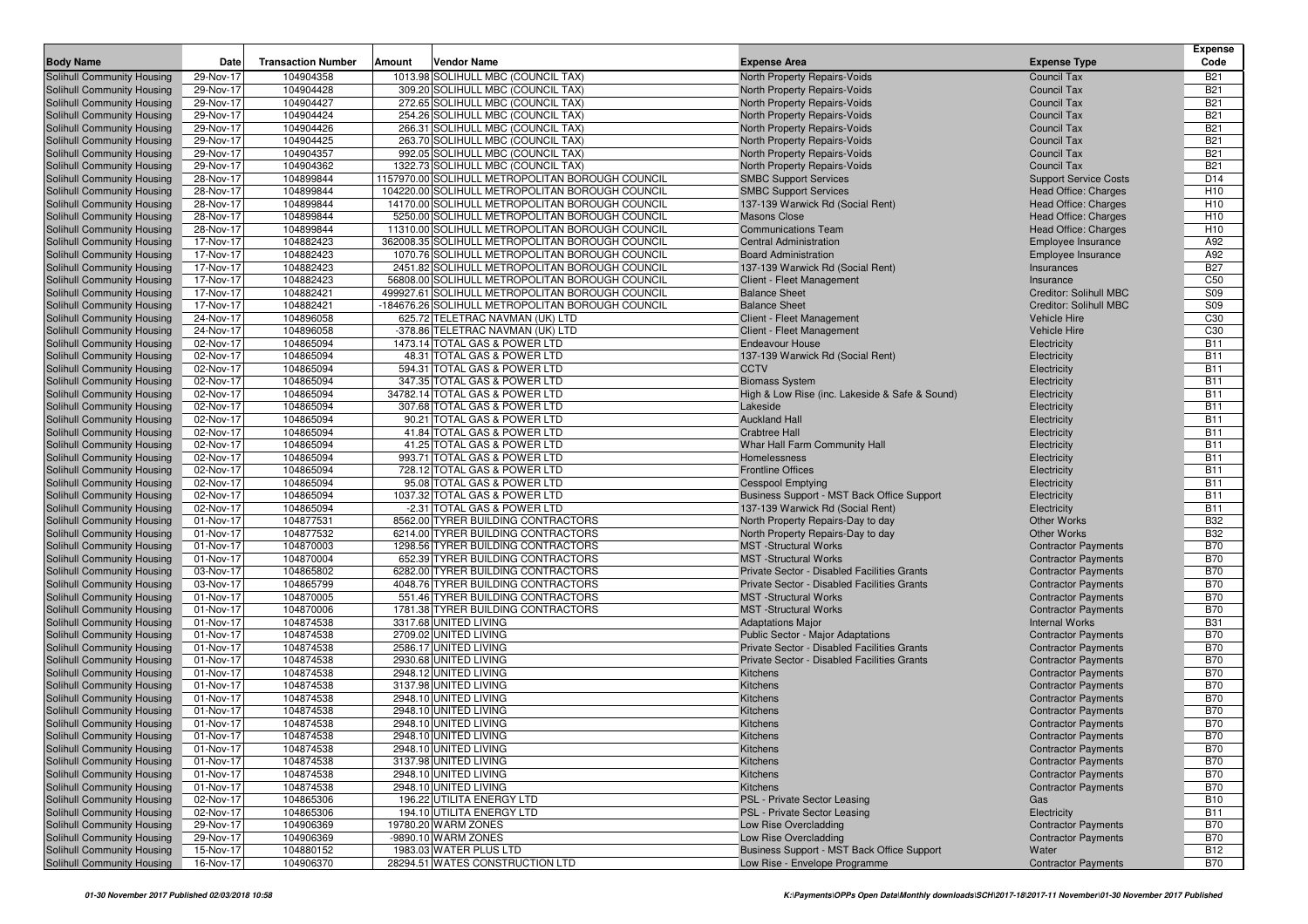| <b>Body Name</b>                                         | Date                   | <b>Transaction Number</b> | Amount | Vendor Name                                                  | <b>Expense Area</b>                                                            | <b>Expense Type</b>           | Expense<br>Code          |
|----------------------------------------------------------|------------------------|---------------------------|--------|--------------------------------------------------------------|--------------------------------------------------------------------------------|-------------------------------|--------------------------|
| Solihull Community Housing                               | 29-Nov-17              | 104904358                 |        | 1013.98 SOLIHULL MBC (COUNCIL TAX)                           | North Property Repairs-Voids                                                   | <b>Council Tax</b>            | <b>B21</b>               |
| Solihull Community Housing                               | 29-Nov-17              | 104904428                 |        | 309.20 SOLIHULL MBC (COUNCIL TAX)                            | North Property Repairs-Voids                                                   | <b>Council Tax</b>            | <b>B21</b>               |
| Solihull Community Housing                               | 29-Nov-17              | 104904427                 |        | 272.65 SOLIHULL MBC (COUNCIL TAX)                            | North Property Repairs-Voids                                                   | <b>Council Tax</b>            | <b>B21</b>               |
| Solihull Community Housing                               | 29-Nov-17              | 104904424                 |        | 254.26 SOLIHULL MBC (COUNCIL TAX)                            | North Property Repairs-Voids                                                   | <b>Council Tax</b>            | <b>B21</b>               |
| Solihull Community Housing                               | 29-Nov-17              | 104904426                 |        | 266.31 SOLIHULL MBC (COUNCIL TAX)                            | North Property Repairs-Voids                                                   | <b>Council Tax</b>            | <b>B21</b>               |
| Solihull Community Housing                               | 29-Nov-17              | 104904425                 |        | 263.70 SOLIHULL MBC (COUNCIL TAX)                            | North Property Repairs-Voids                                                   | Council Tax                   | <b>B21</b>               |
| Solihull Community Housing                               | 29-Nov-17              | 104904357                 |        | 992.05 SOLIHULL MBC (COUNCIL TAX)                            | North Property Repairs-Voids                                                   | <b>Council Tax</b>            | <b>B21</b>               |
| Solihull Community Housing                               | 29-Nov-17              | 104904362                 |        | 1322.73 SOLIHULL MBC (COUNCIL TAX)                           | North Property Repairs-Voids                                                   | <b>Council Tax</b>            | <b>B21</b>               |
| Solihull Community Housing                               | 28-Nov-17              | 104899844                 |        | 1157970.00 SOLIHULL METROPOLITAN BOROUGH COUNCIL             | <b>SMBC Support Services</b>                                                   | <b>Support Service Costs</b>  | D <sub>14</sub>          |
| Solihull Community Housing                               | 28-Nov-17              | 104899844                 |        | 104220.00 SOLIHULL METROPOLITAN BOROUGH COUNCIL              | <b>SMBC Support Services</b>                                                   | Head Office: Charges          | H <sub>10</sub>          |
| Solihull Community Housing                               | 28-Nov-17              | 104899844                 |        | 14170.00 SOLIHULL METROPOLITAN BOROUGH COUNCIL               | 137-139 Warwick Rd (Social Rent)                                               | Head Office: Charges          | H <sub>10</sub>          |
| Solihull Community Housing                               | 28-Nov-17              | 104899844                 |        | 5250.00 SOLIHULL METROPOLITAN BOROUGH COUNCIL                | <b>Masons Close</b>                                                            | Head Office: Charges          | H <sub>10</sub>          |
| Solihull Community Housing                               | 28-Nov-17              | 104899844                 |        | 11310.00 SOLIHULL METROPOLITAN BOROUGH COUNCIL               | <b>Communications Team</b>                                                     | Head Office: Charges          | H <sub>10</sub>          |
| Solihull Community Housing                               | 17-Nov-17              | 104882423                 |        | 362008.35 SOLIHULL METROPOLITAN BOROUGH COUNCIL              | <b>Central Administration</b>                                                  | Employee Insurance            | A92                      |
| Solihull Community Housing                               | 17-Nov-17              | 104882423                 |        | 1070.76 SOLIHULL METROPOLITAN BOROUGH COUNCIL                | <b>Board Administration</b>                                                    | Employee Insurance            | A92                      |
| Solihull Community Housing                               | 17-Nov-17              | 104882423                 |        | 2451.82 SOLIHULL METROPOLITAN BOROUGH COUNCIL                | 137-139 Warwick Rd (Social Rent)                                               | Insurances                    | <b>B27</b>               |
| Solihull Community Housing                               | 17-Nov-17              | 104882423                 |        | 56808.00 SOLIHULL METROPOLITAN BOROUGH COUNCIL               | Client - Fleet Management                                                      | Insurance                     | C <sub>50</sub>          |
| Solihull Community Housing                               | 17-Nov-17              | 104882421                 |        | 499927.61 SOLIHULL METROPOLITAN BOROUGH COUNCIL              | <b>Balance Sheet</b>                                                           | <b>Creditor: Solihull MBC</b> | S09                      |
| Solihull Community Housing                               | 17-Nov-17              | 104882421                 |        | -184676.26 SOLIHULL METROPOLITAN BOROUGH COUNCIL             | <b>Balance Sheet</b>                                                           | <b>Creditor: Solihull MBC</b> | S09                      |
| Solihull Community Housing                               | 24-Nov-17              | 104896058                 |        | 625.72 TELETRAC NAVMAN (UK) LTD                              | Client - Fleet Management                                                      | Vehicle Hire                  | C <sub>30</sub>          |
| Solihull Community Housing                               | 24-Nov-17              | 104896058                 |        | -378.86 TELETRAC NAVMAN (UK) LTD                             | Client - Fleet Management                                                      | <b>Vehicle Hire</b>           | C30                      |
| Solihull Community Housing                               | 02-Nov-17              | 104865094                 |        | 1473.14 TOTAL GAS & POWER LTD                                | <b>Endeavour House</b>                                                         | Electricity                   | <b>B11</b>               |
| Solihull Community Housing                               | 02-Nov-17              | 104865094                 |        | 48.31 TOTAL GAS & POWER LTD                                  | 137-139 Warwick Rd (Social Rent)                                               | Electricity                   | <b>B11</b>               |
| Solihull Community Housing                               | 02-Nov-17              | 104865094                 |        | 594.31 TOTAL GAS & POWER LTD                                 | <b>CCTV</b>                                                                    | Electricity                   | <b>B11</b>               |
| Solihull Community Housing                               | 02-Nov-17              | 104865094                 |        | 347.35 TOTAL GAS & POWER LTD                                 | <b>Biomass System</b>                                                          | Electricity                   | <b>B11</b>               |
| Solihull Community Housing                               | 02-Nov-17              | 104865094                 |        | 34782.14 TOTAL GAS & POWER LTD                               | High & Low Rise (inc. Lakeside & Safe & Sound)                                 | Electricity                   | <b>B11</b>               |
| Solihull Community Housing                               | 02-Nov-17              | 104865094                 |        | 307.68 TOTAL GAS & POWER LTD                                 | Lakeside                                                                       | Electricity                   | <b>B11</b>               |
| Solihull Community Housing                               | 02-Nov-17              | 104865094                 |        | 90.21 TOTAL GAS & POWER LTD                                  | <b>Auckland Hall</b>                                                           | Electricity                   | <b>B11</b>               |
| Solihull Community Housing                               | 02-Nov-17              | 104865094                 |        | 41.84 TOTAL GAS & POWER LTD                                  | <b>Crabtree Hall</b>                                                           | Electricity                   | <b>B11</b>               |
| Solihull Community Housing                               | 02-Nov-17              | 104865094                 |        | 41.25 TOTAL GAS & POWER LTD                                  | Whar Hall Farm Community Hall                                                  | Electricity                   | <b>B11</b>               |
| Solihull Community Housing                               | 02-Nov-17              | 104865094                 |        | 993.71 TOTAL GAS & POWER LTD                                 | Homelessness                                                                   | Electricity                   | <b>B11</b>               |
| Solihull Community Housing                               | 02-Nov-17              | 104865094                 |        | 728.12 TOTAL GAS & POWER LTD                                 | <b>Frontline Offices</b>                                                       | Electricity                   | <b>B11</b>               |
| Solihull Community Housing                               | 02-Nov-17<br>02-Nov-17 | 104865094<br>104865094    |        | 95.08 TOTAL GAS & POWER LTD<br>1037.32 TOTAL GAS & POWER LTD | <b>Cesspool Emptying</b>                                                       | Electricity                   | <b>B11</b><br><b>B11</b> |
| Solihull Community Housing<br>Solihull Community Housing | 02-Nov-17              | 104865094                 |        | -2.31 TOTAL GAS & POWER LTD                                  | Business Support - MST Back Office Support<br>137-139 Warwick Rd (Social Rent) | Electricity<br>Electricity    | <b>B11</b>               |
| Solihull Community Housing                               | 01-Nov-17              | 104877531                 |        | 8562.00 TYRER BUILDING CONTRACTORS                           | North Property Repairs-Day to day                                              | <b>Other Works</b>            | <b>B32</b>               |
| Solihull Community Housing                               | 01-Nov-17              | 104877532                 |        | 6214.00 TYRER BUILDING CONTRACTORS                           | North Property Repairs-Day to day                                              | <b>Other Works</b>            | <b>B32</b>               |
| Solihull Community Housing                               | 01-Nov-17              | 104870003                 |        | 1298.56 TYRER BUILDING CONTRACTORS                           | <b>MST</b> -Structural Works                                                   | <b>Contractor Payments</b>    | <b>B70</b>               |
| Solihull Community Housing                               | 01-Nov-17              | 104870004                 |        | 652.39 TYRER BUILDING CONTRACTORS                            | <b>MST</b> -Structural Works                                                   | <b>Contractor Payments</b>    | <b>B70</b>               |
| Solihull Community Housing                               | 03-Nov-17              | 104865802                 |        | 6282.00 TYRER BUILDING CONTRACTORS                           | Private Sector - Disabled Facilities Grants                                    | <b>Contractor Payments</b>    | <b>B70</b>               |
| Solihull Community Housing                               | 03-Nov-17              | 104865799                 |        | 4048.76 TYRER BUILDING CONTRACTORS                           | Private Sector - Disabled Facilities Grants                                    | <b>Contractor Payments</b>    | <b>B70</b>               |
| Solihull Community Housing                               | 01-Nov-17              | 104870005                 |        | 551.46 TYRER BUILDING CONTRACTORS                            | <b>MST</b> -Structural Works                                                   | <b>Contractor Payments</b>    | <b>B70</b>               |
| Solihull Community Housing                               | 01-Nov-17              | 104870006                 |        | 1781.38 TYRER BUILDING CONTRACTORS                           | <b>MST</b> -Structural Works                                                   | <b>Contractor Payments</b>    | <b>B70</b>               |
| Solihull Community Housing                               | 01-Nov-17              | 104874538                 |        | 3317.68 UNITED LIVING                                        | <b>Adaptations Major</b>                                                       | <b>Internal Works</b>         | <b>B31</b>               |
| Solihull Community Housing                               | 01-Nov-17              | 104874538                 |        | 2709.02 UNITED LIVING                                        | Public Sector - Major Adaptations                                              | <b>Contractor Payments</b>    | <b>B70</b>               |
| Solihull Community Housing                               | 01-Nov-17              | 104874538                 |        | 2586.17 UNITED LIVING                                        | Private Sector - Disabled Facilities Grants                                    | <b>Contractor Payments</b>    | <b>B70</b>               |
| Solihull Community Housing                               | 01-Nov-17              | 104874538                 |        | 2930.68 UNITED LIVING                                        | Private Sector - Disabled Facilities Grants                                    | <b>Contractor Payments</b>    | <b>B70</b>               |
| Solihull Community Housing                               | 01-Nov-17              | 104874538                 |        | 2948.12 UNITED LIVING                                        | Kitchens                                                                       | <b>Contractor Payments</b>    | <b>B70</b>               |
| Solihull Community Housing                               | 01-Nov-17              | 104874538                 |        | 3137.98 UNITED LIVING                                        | Kitchens                                                                       | <b>Contractor Payments</b>    | <b>B70</b>               |
| <b>Solihull Community Housing</b>                        | 01-Nov-17              | 104874538                 |        | 2948.10 UNITED LIVING                                        | Kitchens                                                                       | <b>Contractor Payments</b>    | <b>B70</b>               |
| Solihull Community Housing                               | 01-Nov-17              | 104874538                 |        | 2948.10 UNITED LIVING                                        | Kitchens                                                                       | <b>Contractor Payments</b>    | <b>B70</b>               |
| Solihull Community Housing                               | 01-Nov-17              | 104874538                 |        | 2948.10 UNITED LIVING                                        | Kitchens                                                                       | <b>Contractor Payments</b>    | <b>B70</b>               |
| Solihull Community Housing                               | 01-Nov-17              | 104874538                 |        | 2948.10 UNITED LIVING                                        | Kitchens                                                                       | <b>Contractor Payments</b>    | <b>B70</b>               |
| Solihull Community Housing                               | 01-Nov-17              | 104874538                 |        | 2948.10 UNITED LIVING                                        | <b>Kitchens</b>                                                                | <b>Contractor Payments</b>    | <b>B70</b>               |
| Solihull Community Housing                               | 01-Nov-17              | 104874538                 |        | 3137.98 UNITED LIVING                                        | Kitchens                                                                       | <b>Contractor Payments</b>    | <b>B70</b>               |
| Solihull Community Housing                               | 01-Nov-17              | 104874538                 |        | 2948.10 UNITED LIVING                                        | Kitchens                                                                       | <b>Contractor Payments</b>    | <b>B70</b>               |
| Solihull Community Housing                               | 01-Nov-17              | 104874538                 |        | 2948.10 UNITED LIVING                                        | Kitchens                                                                       | <b>Contractor Payments</b>    | <b>B70</b>               |
| Solihull Community Housing                               | 02-Nov-17              | 104865306                 |        | 196.22 UTILITA ENERGY LTD                                    | PSL - Private Sector Leasing                                                   | Gas                           | <b>B10</b>               |
| Solihull Community Housing                               | 02-Nov-17              | 104865306                 |        | 194.10 UTILITA ENERGY LTD                                    | PSL - Private Sector Leasing                                                   | Electricity                   | <b>B11</b>               |
| Solihull Community Housing                               | 29-Nov-17              | 104906369                 |        | 19780.20 WARM ZONES                                          | Low Rise Overcladding                                                          | <b>Contractor Payments</b>    | <b>B70</b>               |
| <b>Solihull Community Housing</b>                        | 29-Nov-17              | 104906369                 |        | -9890.10 WARM ZONES                                          | Low Rise Overcladding                                                          | <b>Contractor Payments</b>    | <b>B70</b>               |
| Solihull Community Housing                               | 15-Nov-17              | 104880152                 |        | 1983.03 WATER PLUS LTD                                       | Business Support - MST Back Office Support                                     | Water                         | <b>B12</b>               |
| Solihull Community Housing                               | 16-Nov-17              | 104906370                 |        | 28294.51 WATES CONSTRUCTION LTD                              | Low Rise - Envelope Programme                                                  | <b>Contractor Payments</b>    | <b>B70</b>               |